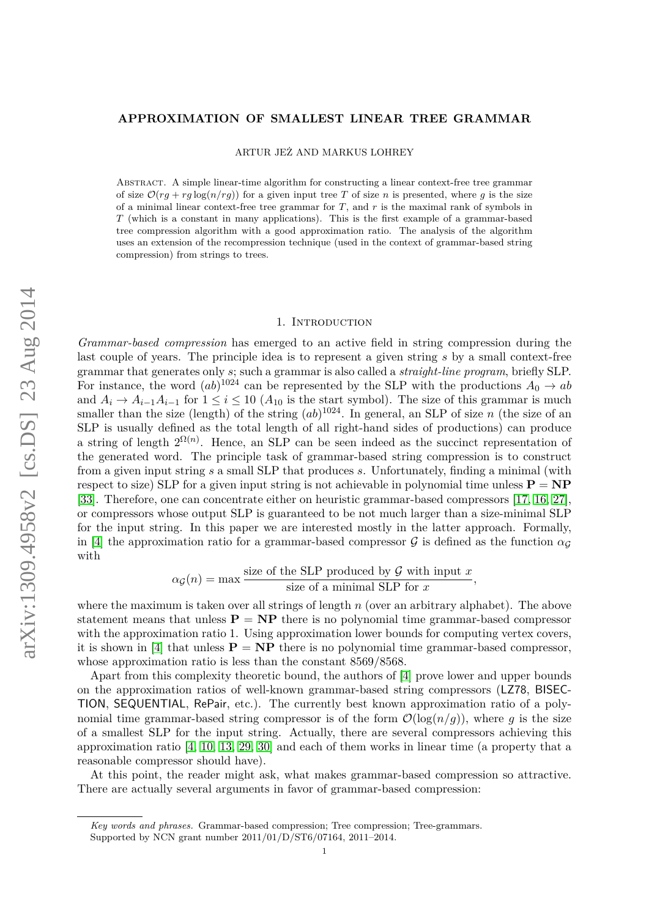#### **APPROXIMATION OF SMALLEST LINEAR TREE GRAMMAR**

ARTUR JEŻ AND MARKUS LOHREY

Abstract. A simple linear-time algorithm for constructing a linear context-free tree grammar of size  $\mathcal{O}(r_g + r_g \log(n/r_g))$  for a given input tree *T* of size *n* is presented, where *g* is the size of a minimal linear context-free tree grammar for  $T$ , and  $r$  is the maximal rank of symbols in *T* (which is a constant in many applications). This is the first example of a grammar-based tree compression algorithm with a good approximation ratio. The analysis of the algorithm uses an extension of the recompression technique (used in the context of grammar-based string compression) from strings to trees.

#### 1. Introduction

*Grammar-based compression* has emerged to an active field in string compression during the last couple of years. The principle idea is to represent a given string *s* by a small context-free grammar that generates only *s*; such a grammar is also called a *straight-line program*, briefly SLP. For instance, the word  $(ab)^{1024}$  can be represented by the SLP with the productions  $A_0 \rightarrow ab$ and  $A_i \to A_{i-1}A_{i-1}$  for  $1 \leq i \leq 10$  ( $A_{10}$  is the start symbol). The size of this grammar is much smaller than the size (length) of the string  $(ab)^{1024}$ . In general, an SLP of size *n* (the size of an SLP is usually defined as the total length of all right-hand sides of productions) can produce a string of length  $2^{\Omega(n)}$ . Hence, an SLP can be seen indeed as the succinct representation of the generated word. The principle task of grammar-based string compression is to construct from a given input string *s* a small SLP that produces *s*. Unfortunately, finding a minimal (with respect to size) SLP for a given input string is not achievable in polynomial time unless  $P = NP$ [\[33\]](#page-38-0). Therefore, one can concentrate either on heuristic grammar-based compressors [\[17,](#page-37-0) [16,](#page-37-1) [27\]](#page-37-2), or compressors whose output SLP is guaranteed to be not much larger than a size-minimal SLP for the input string. In this paper we are interested mostly in the latter approach. Formally, in [\[4\]](#page-37-3) the approximation ratio for a grammar-based compressor  $\mathcal G$  is defined as the function  $\alpha_{\mathcal G}$ with

$$
\alpha_{\mathcal{G}}(n) = \max \frac{\text{size of the SLP produced by } \mathcal{G} \text{ with input } x}{\text{size of a minimal SLP for } x}
$$

*,*

where the maximum is taken over all strings of length *n* (over an arbitrary alphabet). The above statement means that unless  $P = NP$  there is no polynomial time grammar-based compressor with the approximation ratio 1. Using approximation lower bounds for computing vertex covers, it is shown in [\[4\]](#page-37-3) that unless  $P = NP$  there is no polynomial time grammar-based compressor, whose approximation ratio is less than the constant 8569/8568.

Apart from this complexity theoretic bound, the authors of [\[4\]](#page-37-3) prove lower and upper bounds on the approximation ratios of well-known grammar-based string compressors (LZ78, BISEC-TION, SEQUENTIAL, RePair, etc.). The currently best known approximation ratio of a polynomial time grammar-based string compressor is of the form  $\mathcal{O}(\log(n/q))$ , where q is the size of a smallest SLP for the input string. Actually, there are several compressors achieving this approximation ratio [\[4,](#page-37-3) [10,](#page-37-4) [13,](#page-37-5) [29,](#page-37-6) [30\]](#page-37-7) and each of them works in linear time (a property that a reasonable compressor should have).

At this point, the reader might ask, what makes grammar-based compression so attractive. There are actually several arguments in favor of grammar-based compression:

*Key words and phrases.* Grammar-based compression; Tree compression; Tree-grammars.

Supported by NCN grant number 2011/01/D/ST6/07164, 2011–2014.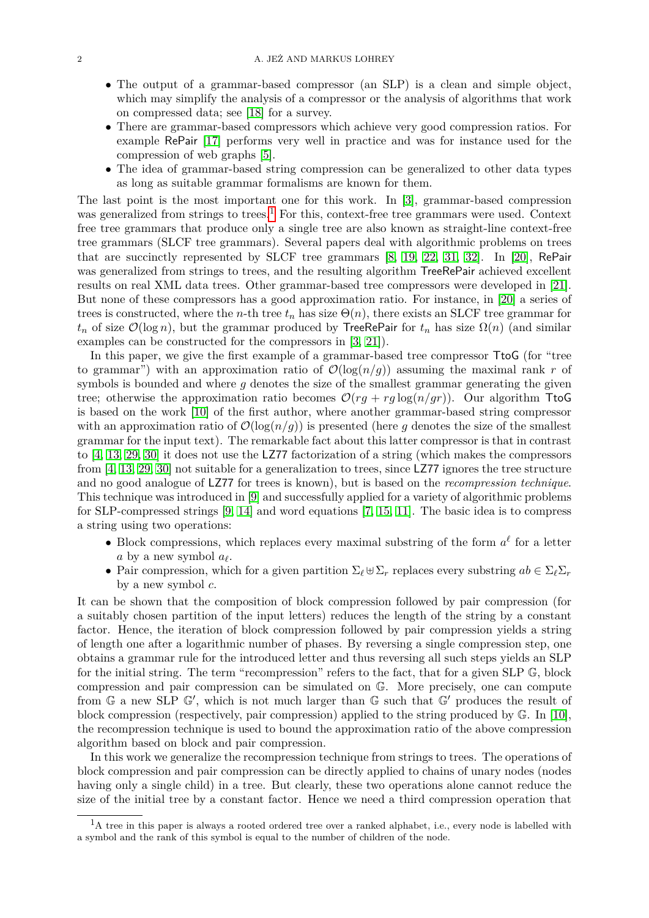- The output of a grammar-based compressor (an SLP) is a clean and simple object, which may simplify the analysis of a compressor or the analysis of algorithms that work on compressed data; see [\[18\]](#page-37-8) for a survey.
- There are grammar-based compressors which achieve very good compression ratios. For example RePair [\[17\]](#page-37-0) performs very well in practice and was for instance used for the compression of web graphs [\[5\]](#page-37-9).
- The idea of grammar-based string compression can be generalized to other data types as long as suitable grammar formalisms are known for them.

The last point is the most important one for this work. In [\[3\]](#page-36-0), grammar-based compression was generalized from strings to trees.<sup>[1](#page-1-0)</sup> For this, context-free tree grammars were used. Context free tree grammars that produce only a single tree are also known as straight-line context-free tree grammars (SLCF tree grammars). Several papers deal with algorithmic problems on trees that are succinctly represented by SLCF tree grammars [\[8,](#page-37-10) [19,](#page-37-11) [22,](#page-37-12) [31,](#page-37-13) [32\]](#page-37-14). In [\[20\]](#page-37-15), RePair was generalized from strings to trees, and the resulting algorithm TreeRePair achieved excellent results on real XML data trees. Other grammar-based tree compressors were developed in [\[21\]](#page-37-16). But none of these compressors has a good approximation ratio. For instance, in [\[20\]](#page-37-15) a series of trees is constructed, where the *n*-th tree  $t_n$  has size  $\Theta(n)$ , there exists an SLCF tree grammar for  $t_n$  of size  $\mathcal{O}(\log n)$ , but the grammar produced by TreeRePair for  $t_n$  has size  $\Omega(n)$  (and similar examples can be constructed for the compressors in [\[3,](#page-36-0) [21\]](#page-37-16)).

In this paper, we give the first example of a grammar-based tree compressor TtoG (for "tree to grammar") with an approximation ratio of  $\mathcal{O}(\log(n/q))$  assuming the maximal rank r of symbols is bounded and where *g* denotes the size of the smallest grammar generating the given tree; otherwise the approximation ratio becomes  $\mathcal{O}(rg + rg \log(n/gr))$ . Our algorithm TtoG is based on the work [\[10\]](#page-37-4) of the first author, where another grammar-based string compressor with an approximation ratio of  $\mathcal{O}(\log(n/g))$  is presented (here g denotes the size of the smallest grammar for the input text). The remarkable fact about this latter compressor is that in contrast to [\[4,](#page-37-3) [13,](#page-37-5) [29,](#page-37-6) [30\]](#page-37-7) it does not use the LZ77 factorization of a string (which makes the compressors from [\[4,](#page-37-3) [13,](#page-37-5) [29,](#page-37-6) [30\]](#page-37-7) not suitable for a generalization to trees, since LZ77 ignores the tree structure and no good analogue of LZ77 for trees is known), but is based on the *recompression technique*. This technique was introduced in [\[9\]](#page-37-17) and successfully applied for a variety of algorithmic problems for SLP-compressed strings [\[9,](#page-37-17) [14\]](#page-37-18) and word equations [\[7,](#page-37-19) [15,](#page-37-20) [11\]](#page-37-21). The basic idea is to compress a string using two operations:

- Block compressions, which replaces every maximal substring of the form  $a^{\ell}$  for a letter *a* by a new symbol  $a_{\ell}$ .
- Pair compression, which for a given partition  $\Sigma_{\ell} \boxplus \Sigma_r$  replaces every substring  $ab \in \Sigma_{\ell} \Sigma_r$ by a new symbol *c*.

It can be shown that the composition of block compression followed by pair compression (for a suitably chosen partition of the input letters) reduces the length of the string by a constant factor. Hence, the iteration of block compression followed by pair compression yields a string of length one after a logarithmic number of phases. By reversing a single compression step, one obtains a grammar rule for the introduced letter and thus reversing all such steps yields an SLP for the initial string. The term "recompression" refers to the fact, that for a given SLP G, block compression and pair compression can be simulated on G. More precisely, one can compute from  $\mathbb{G}$  a new SLP  $\mathbb{G}'$ , which is not much larger than  $\mathbb{G}$  such that  $\mathbb{G}'$  produces the result of block compression (respectively, pair compression) applied to the string produced by G. In [\[10\]](#page-37-4), the recompression technique is used to bound the approximation ratio of the above compression algorithm based on block and pair compression.

In this work we generalize the recompression technique from strings to trees. The operations of block compression and pair compression can be directly applied to chains of unary nodes (nodes having only a single child) in a tree. But clearly, these two operations alone cannot reduce the size of the initial tree by a constant factor. Hence we need a third compression operation that

<span id="page-1-0"></span><sup>&</sup>lt;sup>1</sup>A tree in this paper is always a rooted ordered tree over a ranked alphabet, i.e., every node is labelled with a symbol and the rank of this symbol is equal to the number of children of the node.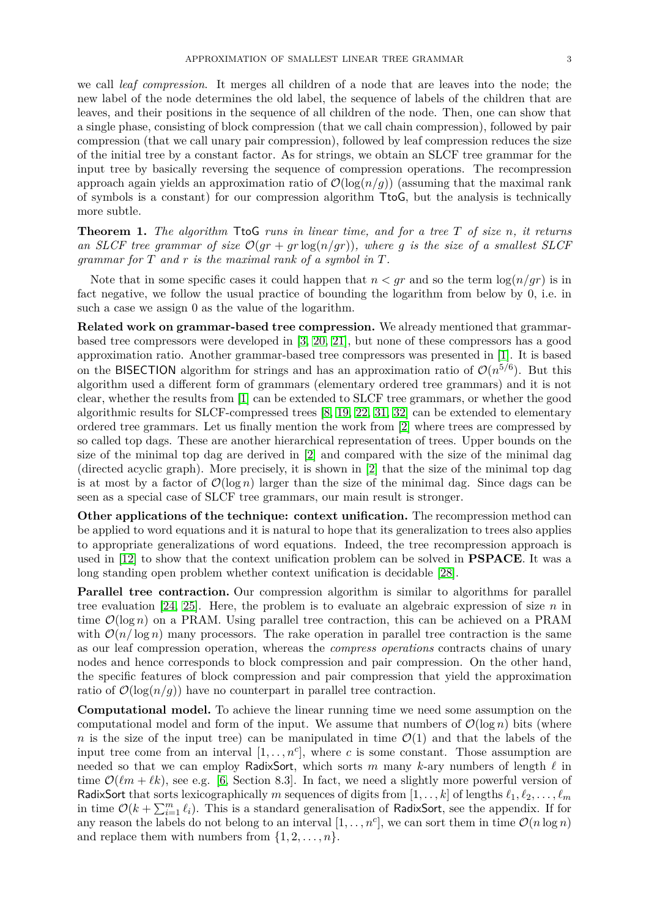we call *leaf compression*. It merges all children of a node that are leaves into the node; the new label of the node determines the old label, the sequence of labels of the children that are leaves, and their positions in the sequence of all children of the node. Then, one can show that a single phase, consisting of block compression (that we call chain compression), followed by pair compression (that we call unary pair compression), followed by leaf compression reduces the size of the initial tree by a constant factor. As for strings, we obtain an SLCF tree grammar for the input tree by basically reversing the sequence of compression operations. The recompression approach again yields an approximation ratio of  $\mathcal{O}(\log(n/g))$  (assuming that the maximal rank of symbols is a constant) for our compression algorithm TtoG, but the analysis is technically more subtle.

<span id="page-2-0"></span>**Theorem 1.** *The algorithm* TtoG *runs in linear time, and for a tree T of size n, it returns* an SLCF tree grammar of size  $\mathcal{O}(qr + qr \log(n/qr))$ , where q is the size of a smallest SLCF *grammar for T and r is the maximal rank of a symbol in T.*

Note that in some specific cases it could happen that  $n < gr$  and so the term  $\log(n/gr)$  is in fact negative, we follow the usual practice of bounding the logarithm from below by 0, i.e. in such a case we assign 0 as the value of the logarithm.

**Related work on grammar-based tree compression.** We already mentioned that grammarbased tree compressors were developed in [\[3,](#page-36-0) [20,](#page-37-15) [21\]](#page-37-16), but none of these compressors has a good approximation ratio. Another grammar-based tree compressors was presented in [\[1\]](#page-36-1). It is based on the BISECTION algorithm for strings and has an approximation ratio of  $\mathcal{O}(n^{5/6})$ . But this algorithm used a different form of grammars (elementary ordered tree grammars) and it is not clear, whether the results from [\[1\]](#page-36-1) can be extended to SLCF tree grammars, or whether the good algorithmic results for SLCF-compressed trees [\[8,](#page-37-10) [19,](#page-37-11) [22,](#page-37-12) [31,](#page-37-13) [32\]](#page-37-14) can be extended to elementary ordered tree grammars. Let us finally mention the work from [\[2\]](#page-36-2) where trees are compressed by so called top dags. These are another hierarchical representation of trees. Upper bounds on the size of the minimal top dag are derived in [\[2\]](#page-36-2) and compared with the size of the minimal dag (directed acyclic graph). More precisely, it is shown in [\[2\]](#page-36-2) that the size of the minimal top dag is at most by a factor of  $\mathcal{O}(\log n)$  larger than the size of the minimal dag. Since dags can be seen as a special case of SLCF tree grammars, our main result is stronger.

**Other applications of the technique: context unification.** The recompression method can be applied to word equations and it is natural to hope that its generalization to trees also applies to appropriate generalizations of word equations. Indeed, the tree recompression approach is used in [\[12\]](#page-37-22) to show that the context unification problem can be solved in **PSPACE**. It was a long standing open problem whether context unification is decidable [\[28\]](#page-37-23).

**Parallel tree contraction.** Our compression algorithm is similar to algorithms for parallel tree evaluation [\[24,](#page-37-24) [25\]](#page-37-25). Here, the problem is to evaluate an algebraic expression of size *n* in time  $\mathcal{O}(\log n)$  on a PRAM. Using parallel tree contraction, this can be achieved on a PRAM with  $\mathcal{O}(n/\log n)$  many processors. The rake operation in parallel tree contraction is the same as our leaf compression operation, whereas the *compress operations* contracts chains of unary nodes and hence corresponds to block compression and pair compression. On the other hand, the specific features of block compression and pair compression that yield the approximation ratio of  $\mathcal{O}(\log(n/g))$  have no counterpart in parallel tree contraction.

**Computational model.** To achieve the linear running time we need some assumption on the computational model and form of the input. We assume that numbers of  $\mathcal{O}(\log n)$  bits (where *n* is the size of the input tree) can be manipulated in time  $\mathcal{O}(1)$  and that the labels of the input tree come from an interval  $[1, \ldots, n^c]$ , where *c* is some constant. Those assumption are needed so that we can employ RadixSort, which sorts  $m$  many  $k$ -ary numbers of length  $\ell$  in time  $\mathcal{O}(\ell m + \ell k)$ , see e.g. [\[6,](#page-37-26) Section 8.3]. In fact, we need a slightly more powerful version of RadixSort that sorts lexicographically *m* sequences of digits from  $[1, \ldots, k]$  of lengths  $\ell_1, \ell_2, \ldots, \ell_m$ in time  $\mathcal{O}(k + \sum_{i=1}^{m} \ell_i)$ . This is a standard generalisation of RadixSort, see the appendix. If for any reason the labels do not belong to an interval  $[1, \ldots, n^c]$ , we can sort them in time  $\mathcal{O}(n \log n)$ and replace them with numbers from  $\{1, 2, \ldots, n\}$ .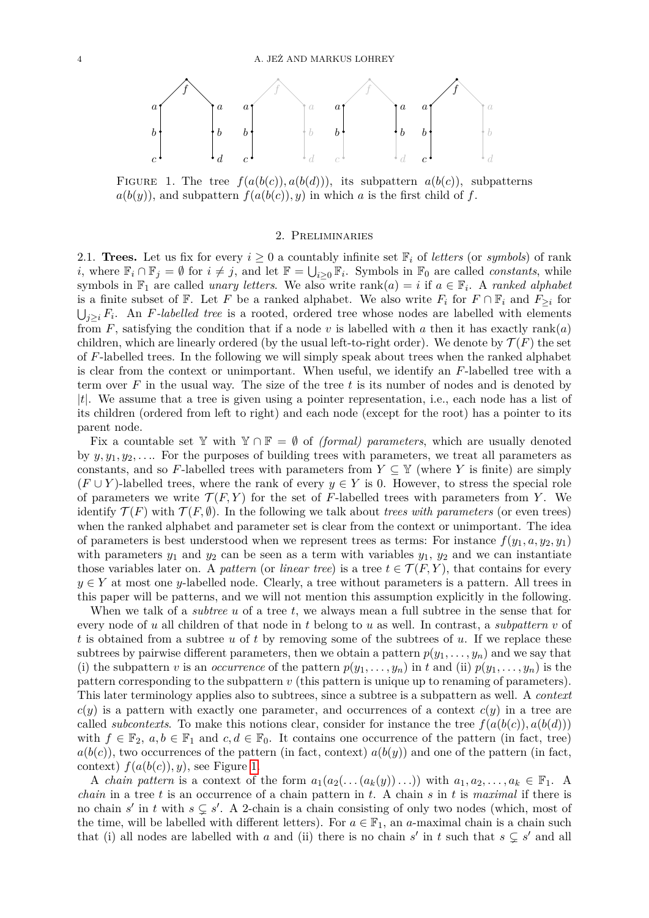

FIGURE 1. The tree  $f(a(b(c)), a(b(d)))$ , its subpattern  $a(b(c))$ , subpatterns  $a(b(y))$ , and subpattern  $f(a(b(c)), y)$  in which *a* is the first child of *f*.

## <span id="page-3-0"></span>2. Preliminaries

2.1. **Trees.** Let us fix for every  $i \geq 0$  a countably infinite set  $\mathbb{F}_i$  of *letters* (or *symbols*) of rank *i*, where  $\mathbb{F}_i \cap \mathbb{F}_j = \emptyset$  for  $i \neq j$ , and let  $\mathbb{F} = \bigcup_{i \geq 0} \mathbb{F}_i$ . Symbols in  $\mathbb{F}_0$  are called *constants*, while symbols in  $\mathbb{F}_1$  are called *unary letters*. We also write rank $(a) = i$  if  $a \in \mathbb{F}_i$ . A *ranked alphabet* is a finite subset of  $\mathbb{F}$ . Let *F* be a ranked alphabet. We also write  $F_i$  for  $F \cap \mathbb{F}_i$  and  $F_{\geq i}$  for  $\bigcup_{j\geq i} F_i$ . An *F*-labelled tree is a rooted, ordered tree whose nodes are labelled with elements from  $F$ , satisfying the condition that if a node  $v$  is labelled with  $a$  then it has exactly rank( $a$ ) children, which are linearly ordered (by the usual left-to-right order). We denote by  $\mathcal{T}(F)$  the set of *F*-labelled trees. In the following we will simply speak about trees when the ranked alphabet is clear from the context or unimportant. When useful, we identify an *F*-labelled tree with a term over *F* in the usual way. The size of the tree *t* is its number of nodes and is denoted by |*t*|. We assume that a tree is given using a pointer representation, i.e., each node has a list of its children (ordered from left to right) and each node (except for the root) has a pointer to its parent node.

Fix a countable set Y with  $Y \cap F = \emptyset$  of *(formal) parameters*, which are usually denoted by  $y, y_1, y_2, \ldots$  For the purposes of building trees with parameters, we treat all parameters as constants, and so F-labelled trees with parameters from  $Y \subseteq Y$  (where *Y* is finite) are simply  $(F \cup Y)$ -labelled trees, where the rank of every  $y \in Y$  is 0. However, to stress the special role of parameters we write  $\mathcal{T}(F, Y)$  for the set of F-labelled trees with parameters from Y. We identify  $\mathcal{T}(F)$  with  $\mathcal{T}(F,\emptyset)$ . In the following we talk about *trees with parameters* (or even trees) when the ranked alphabet and parameter set is clear from the context or unimportant. The idea of parameters is best understood when we represent trees as terms: For instance  $f(y_1, a, y_2, y_1)$ with parameters  $y_1$  and  $y_2$  can be seen as a term with variables  $y_1$ ,  $y_2$  and we can instantiate those variables later on. A *pattern* (or *linear tree*) is a tree  $t \in \mathcal{T}(F, Y)$ , that contains for every  $y \in Y$  at most one *y*-labelled node. Clearly, a tree without parameters is a pattern. All trees in this paper will be patterns, and we will not mention this assumption explicitly in the following.

When we talk of a *subtree u* of a tree *t*, we always mean a full subtree in the sense that for every node of *u* all children of that node in *t* belong to *u* as well. In contrast, a *subpattern v* of *t* is obtained from a subtree *u* of *t* by removing some of the subtrees of *u*. If we replace these subtrees by pairwise different parameters, then we obtain a pattern  $p(y_1, \ldots, y_n)$  and we say that (i) the subpattern *v* is an *occurrence* of the pattern  $p(y_1, \ldots, y_n)$  in *t* and (ii)  $p(y_1, \ldots, y_n)$  is the pattern corresponding to the subpattern *v* (this pattern is unique up to renaming of parameters). This later terminology applies also to subtrees, since a subtree is a subpattern as well. A *context*  $c(y)$  is a pattern with exactly one parameter, and occurrences of a context  $c(y)$  in a tree are called *subcontexts*. To make this notions clear, consider for instance the tree  $f(a(b(c)), a(b(d)))$ with  $f \in \mathbb{F}_2$ ,  $a, b \in \mathbb{F}_1$  and  $c, d \in \mathbb{F}_0$ . It contains one occurrence of the pattern (in fact, tree)  $a(b(c))$ , two occurrences of the pattern (in fact, context)  $a(b(y))$  and one of the pattern (in fact, context)  $f(a(b(c)), y)$ , see Figure [1.](#page-3-0)

A *chain pattern* is a context of the form  $a_1(a_2(\ldots(a_k(y))\ldots))$  with  $a_1, a_2, \ldots, a_k \in \mathbb{F}_1$ . A *chain* in a tree *t* is an occurrence of a chain pattern in *t*. A chain *s* in *t* is *maximal* if there is no chain  $s'$  in  $t$  with  $s \subsetneq s'$ . A 2-chain is a chain consisting of only two nodes (which, most of the time, will be labelled with different letters). For  $a \in \mathbb{F}_1$ , an *a*-maximal chain is a chain such that (i) all nodes are labelled with *a* and (ii) there is no chain *s'* in *t* such that  $s \subsetneq s'$  and all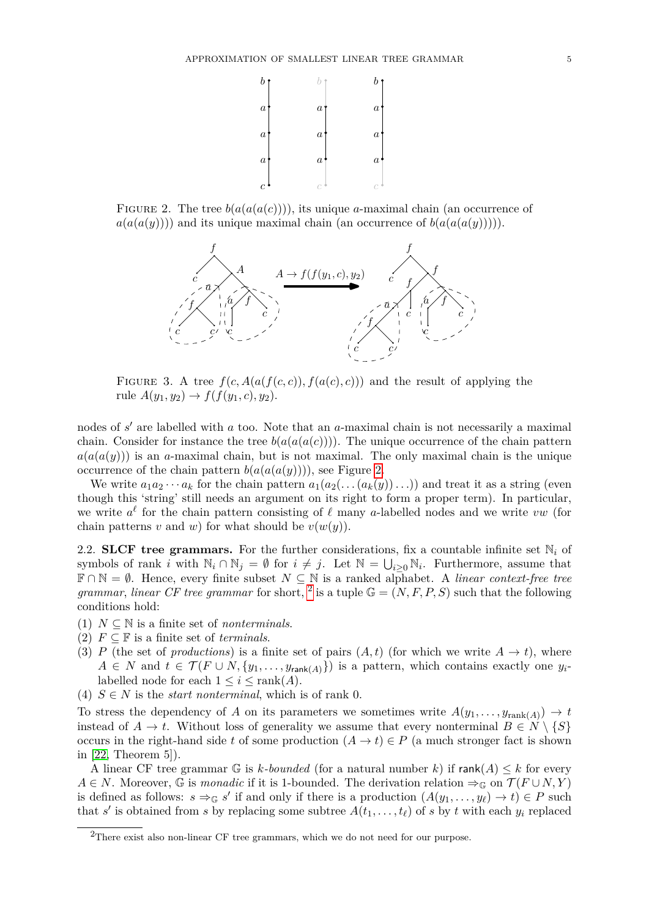<span id="page-4-0"></span>

FIGURE 2. The tree  $b(a(a(a(c))))$ , its unique *a*-maximal chain (an occurrence of  $a(a(a(y))))$  and its unique maximal chain (an occurrence of  $b(a(a(a(y))))$ ).

<span id="page-4-2"></span>

FIGURE 3. A tree  $f(c, A(a(f(c, c)), f(a(c), c)))$  and the result of applying the rule  $A(y_1, y_2) \to f(f(y_1, c), y_2)$ .

nodes of *s'* are labelled with *a* too. Note that an *a*-maximal chain is not necessarily a maximal chain. Consider for instance the tree  $b(a(a(a(c))))$ . The unique occurrence of the chain pattern  $a(a(a(y)))$  is an *a*-maximal chain, but is not maximal. The only maximal chain is the unique occurrence of the chain pattern  $b(a(a(a(y))))$ , see Figure [2.](#page-4-0)

We write  $a_1a_2\cdots a_k$  for the chain pattern  $a_1(a_2(\ldots(a_k(y))\ldots))$  and treat it as a string (even though this 'string' still needs an argument on its right to form a proper term). In particular, we write  $a^{\ell}$  for the chain pattern consisting of  $\ell$  many *a*-labelled nodes and we write *vw* (for chain patterns *v* and *w*) for what should be  $v(w(y))$ .

2.2. **SLCF** tree grammars. For the further considerations, fix a countable infinite set  $\mathbb{N}_i$  of symbols of rank *i* with  $\mathbb{N}_i \cap \mathbb{N}_j = \emptyset$  for  $i \neq j$ . Let  $\mathbb{N} = \bigcup_{i \geq 0} \mathbb{N}_i$ . Furthermore, assume that  $\mathbb{F} \cap \mathbb{N} = \emptyset$ . Hence, every finite subset  $N \subseteq \mathbb{N}$  is a ranked alphabet. A *linear context-free tree grammar, linear CF tree grammar* for short, <sup>[2](#page-4-1)</sup> is a tuple  $\mathbb{G} = (N, F, P, S)$  such that the following conditions hold:

- (1)  $N \subseteq \mathbb{N}$  is a finite set of *nonterminals*.
- (2)  $F \subseteq \mathbb{F}$  is a finite set of *terminals*.
- (3) *P* (the set of *productions*) is a finite set of pairs  $(A, t)$  (for which we write  $A \rightarrow t$ ), where  $A \in N$  and  $t \in \mathcal{T}(F \cup N, \{y_1, \ldots, y_{\text{rank}(A)}\})$  is a pattern, which contains exactly one  $y_i$ labelled node for each  $1 \leq i \leq \text{rank}(A)$ .
- (4)  $S \in N$  is the *start nonterminal*, which is of rank 0.

To stress the dependency of *A* on its parameters we sometimes write  $A(y_1, \ldots, y_{\text{rank}(A)}) \to t$ instead of  $A \to t$ . Without loss of generality we assume that every nonterminal  $B \in N \setminus \{S\}$ occurs in the right-hand side *t* of some production  $(A \to t) \in P$  (a much stronger fact is shown in [\[22,](#page-37-12) Theorem 5]).

A linear CF tree grammar G is *k-bounded* (for a natural number *k*) if  $rank(A) \leq k$  for every *A* ∈ *N*. Moreover,  $\mathbb{G}$  is *monadic* if it is 1-bounded. The derivation relation  $\Rightarrow_{\mathbb{G}}$  on  $\mathcal{T}(F \cup N, Y)$ is defined as follows:  $s \Rightarrow_{\mathbb{G}} s'$  if and only if there is a production  $(A(y_1, \ldots, y_\ell) \to t) \in P$  such that *s'* is obtained from *s* by replacing some subtree  $A(t_1, \ldots, t_\ell)$  of *s* by *t* with each  $y_i$  replaced

<span id="page-4-1"></span><sup>2</sup>There exist also non-linear CF tree grammars, which we do not need for our purpose.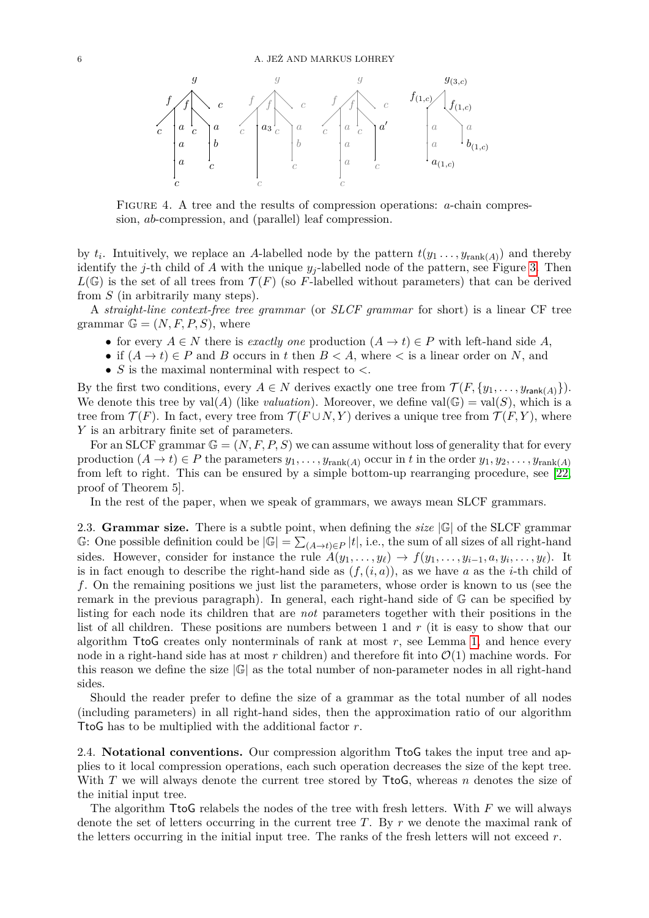

Figure 4. A tree and the results of compression operations: *a*-chain compression, *ab*-compression, and (parallel) leaf compression.

by  $t_i$ . Intuitively, we replace an *A*-labelled node by the pattern  $t(y_1, \ldots, y_{\text{rank}(A)})$  and thereby identify the *j*-th child of *A* with the unique  $y_j$ -labelled node of the pattern, see Figure [3.](#page-4-2) Then  $L(\mathbb{G})$  is the set of all trees from  $\mathcal{T}(F)$  (so *F*-labelled without parameters) that can be derived from *S* (in arbitrarily many steps).

A *straight-line context-free tree grammar* (or *SLCF grammar* for short) is a linear CF tree grammar  $\mathbb{G} = (N, F, P, S)$ , where

- for every  $A \in N$  there is *exactly one* production  $(A \to t) \in P$  with left-hand side A,
- if  $(A \to t) \in P$  and *B* occurs in *t* then  $B < A$ , where  $\lt$  is a linear order on *N*, and
- *S* is the maximal nonterminal with respect to *<*.

By the first two conditions, every  $A \in N$  derives exactly one tree from  $\mathcal{T}(F, \{y_1, \ldots, y_{\text{rank}(A)}\})$ . We denote this tree by  $val(A)$  (like *valuation*). Moreover, we define  $val(\mathbb{G}) = val(S)$ , which is a tree from  $\mathcal{T}(F)$ . In fact, every tree from  $\mathcal{T}(F \cup N, Y)$  derives a unique tree from  $\mathcal{T}(F, Y)$ , where *Y* is an arbitrary finite set of parameters.

For an SLCF grammar  $\mathbb{G} = (N, F, P, S)$  we can assume without loss of generality that for every production  $(A \to t) \in P$  the parameters  $y_1, \ldots, y_{\text{rank}(A)}$  occur in *t* in the order  $y_1, y_2, \ldots, y_{\text{rank}(A)}$ from left to right. This can be ensured by a simple bottom-up rearranging procedure, see [\[22,](#page-37-12) proof of Theorem 5].

In the rest of the paper, when we speak of grammars, we aways mean SLCF grammars.

2.3. **Grammar size.** There is a subtle point, when defining the *size* |G| of the SLCF grammar G: One possible definition could be  $|\mathbb{G}| = \sum_{(A\to t)\in P} |t|$ , i.e., the sum of all sizes of all right-hand sides. However, consider for instance the rule  $A(y_1, \ldots, y_\ell) \to f(y_1, \ldots, y_{i-1}, a, y_i, \ldots, y_\ell)$ . It is in fact enough to describe the right-hand side as  $(f,(i,a))$ , as we have a as the *i*-th child of *f*. On the remaining positions we just list the parameters, whose order is known to us (see the remark in the previous paragraph). In general, each right-hand side of G can be specified by listing for each node its children that are *not* parameters together with their positions in the list of all children. These positions are numbers between 1 and *r* (it is easy to show that our algorithm TtoG creates only nonterminals of rank at most  $r$ , see Lemma [1,](#page-6-0) and hence every node in a right-hand side has at most  $r$  children) and therefore fit into  $\mathcal{O}(1)$  machine words. For this reason we define the size  $|\mathbb{G}|$  as the total number of non-parameter nodes in all right-hand sides.

Should the reader prefer to define the size of a grammar as the total number of all nodes (including parameters) in all right-hand sides, then the approximation ratio of our algorithm TtoG has to be multiplied with the additional factor *r*.

<span id="page-5-0"></span>2.4. **Notational conventions.** Our compression algorithm TtoG takes the input tree and applies to it local compression operations, each such operation decreases the size of the kept tree. With *T* we will always denote the current tree stored by TtoG, whereas *n* denotes the size of the initial input tree.

The algorithm TtoG relabels the nodes of the tree with fresh letters. With *F* we will always denote the set of letters occurring in the current tree *T*. By *r* we denote the maximal rank of the letters occurring in the initial input tree. The ranks of the fresh letters will not exceed *r*.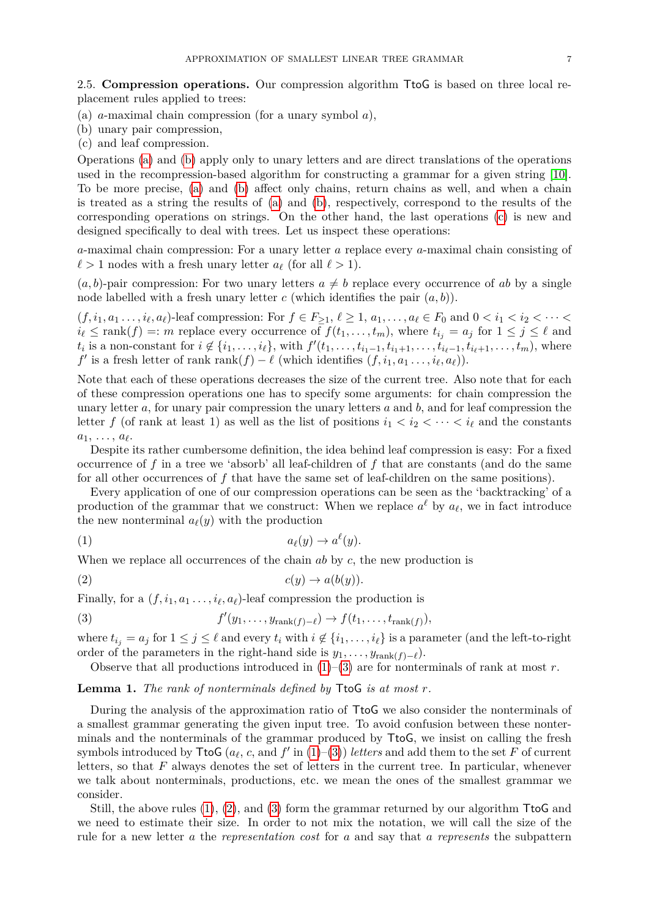2.5. **Compression operations.** Our compression algorithm TtoG is based on three local replacement rules applied to trees:

- <span id="page-6-1"></span>(a) *a*-maximal chain compression (for a unary symbol *a*),
- <span id="page-6-2"></span>(b) unary pair compression,
- <span id="page-6-3"></span>(c) and leaf compression.

Operations [\(a\)](#page-6-1) and [\(b\)](#page-6-2) apply only to unary letters and are direct translations of the operations used in the recompression-based algorithm for constructing a grammar for a given string [\[10\]](#page-37-4). To be more precise, [\(a\)](#page-6-1) and [\(b\)](#page-6-2) affect only chains, return chains as well, and when a chain is treated as a string the results of [\(a\)](#page-6-1) and [\(b\)](#page-6-2), respectively, correspond to the results of the corresponding operations on strings. On the other hand, the last operations [\(c\)](#page-6-3) is new and designed specifically to deal with trees. Let us inspect these operations:

*a*-maximal chain compression: For a unary letter *a* replace every *a*-maximal chain consisting of  $\ell > 1$  nodes with a fresh unary letter  $a_{\ell}$  (for all  $\ell > 1$ ).

 $(a, b)$ -pair compression: For two unary letters  $a \neq b$  replace every occurrence of *ab* by a single node labelled with a fresh unary letter  $c$  (which identifies the pair  $(a, b)$ ).

 $(f, i_1, a_1, \ldots, i_\ell, a_\ell)$ -leaf compression: For  $f \in F_{\geq 1}, \ell \geq 1, a_1, \ldots, a_\ell \in F_0$  and  $0 < i_1 < i_2 < \cdots <$  $i_{\ell} \leq \text{rank}(f) =: m$  replace every occurrence of  $f(t_1, \ldots, t_m)$ , where  $t_{i_j} = a_j$  for  $1 \leq j \leq \ell$  and  $t_i$  is a non-constant for  $i \notin \{i_1,\ldots,i_\ell\}$ , with  $f'(t_1,\ldots,t_{i_1-1},t_{i_1+1},\ldots,t_{i_\ell-1},t_{i_\ell+1},\ldots,t_m)$ , where *f*' is a fresh letter of rank rank $(f) - \ell$  (which identifies  $(f, i_1, a_1, \ldots, i_\ell, a_\ell)$ ).

Note that each of these operations decreases the size of the current tree. Also note that for each of these compression operations one has to specify some arguments: for chain compression the unary letter *a*, for unary pair compression the unary letters *a* and *b*, and for leaf compression the letter *f* (of rank at least 1) as well as the list of positions  $i_1 < i_2 < \cdots < i_\ell$  and the constants  $a_1, \ldots, a_\ell.$ 

Despite its rather cumbersome definition, the idea behind leaf compression is easy: For a fixed occurrence of *f* in a tree we 'absorb' all leaf-children of *f* that are constants (and do the same for all other occurrences of *f* that have the same set of leaf-children on the same positions).

Every application of one of our compression operations can be seen as the 'backtracking' of a production of the grammar that we construct: When we replace  $a^{\ell}$  by  $a_{\ell}$ , we in fact introduce the new nonterminal  $a_{\ell}(y)$  with the production

<span id="page-6-4"></span>
$$
(1) \t a_{\ell}(y) \to a^{\ell}(y).
$$

When we replace all occurrences of the chain *ab* by *c*, the new production is

<span id="page-6-6"></span>
$$
(2) \t\t c(y) \to a(b(y)).
$$

Finally, for a  $(f, i_1, a_1, \ldots, i_\ell, a_\ell)$ -leaf compression the production is

(3) 
$$
f'(y_1,\ldots,y_{\text{rank}(f)-\ell})\to f(t_1,\ldots,t_{\text{rank}(f)}),
$$

where  $t_{i_j} = a_j$  for  $1 \leq j \leq \ell$  and every  $t_i$  with  $i \notin \{i_1, \ldots, i_\ell\}$  is a parameter (and the left-to-right order of the parameters in the right-hand side is  $y_1, \ldots, y_{\text{rank}(f)-\ell}$ .

<span id="page-6-5"></span>Observe that all productions introduced in  $(1)$ – $(3)$  are for nonterminals of rank at most *r*.

<span id="page-6-0"></span>**Lemma 1.** *The rank of nonterminals defined by* TtoG *is at most r.*

During the analysis of the approximation ratio of TtoG we also consider the nonterminals of a smallest grammar generating the given input tree. To avoid confusion between these nonterminals and the nonterminals of the grammar produced by TtoG, we insist on calling the fresh symbols introduced by  $\text{TtoG}$  ( $a_{\ell}$ ,  $c$ , and  $f'$  in [\(1\)](#page-6-4)–[\(3\)](#page-6-5)) *letters* and add them to the set  $F$  of current letters, so that *F* always denotes the set of letters in the current tree. In particular, whenever we talk about nonterminals, productions, etc. we mean the ones of the smallest grammar we consider.

Still, the above rules [\(1\)](#page-6-4), [\(2\)](#page-6-6), and [\(3\)](#page-6-5) form the grammar returned by our algorithm TtoG and we need to estimate their size. In order to not mix the notation, we will call the size of the rule for a new letter *a* the *representation cost* for *a* and say that *a represents* the subpattern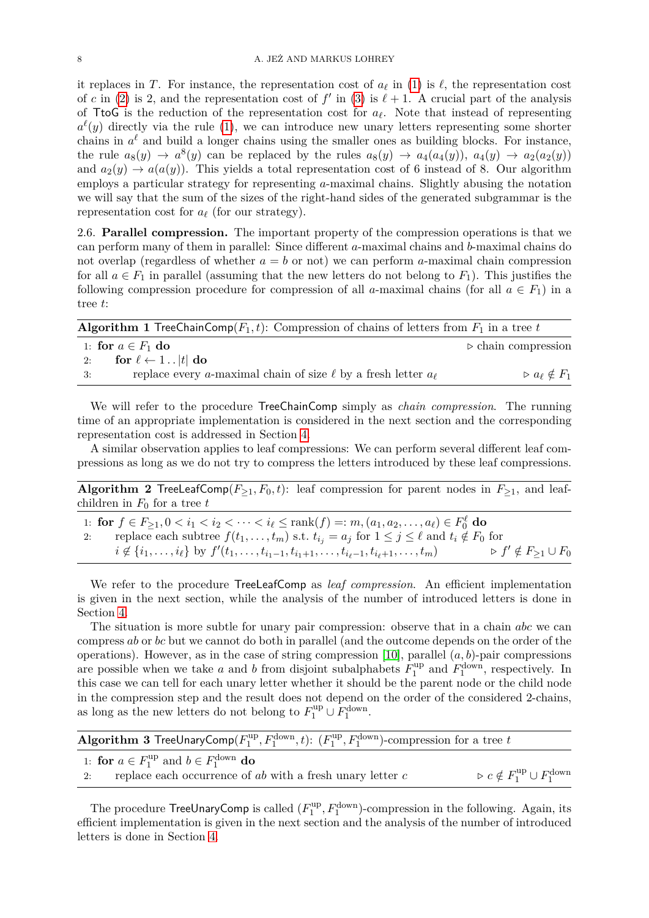it replaces in *T*. For instance, the representation cost of  $a_\ell$  in [\(1\)](#page-6-4) is  $\ell$ , the representation cost of *c* in [\(2\)](#page-6-6) is 2, and the representation cost of  $f'$  in [\(3\)](#page-6-5) is  $\ell + 1$ . A crucial part of the analysis of TtoG is the reduction of the representation cost for  $a_\ell$ . Note that instead of representing  $a^{\ell}(y)$  directly via the rule [\(1\)](#page-6-4), we can introduce new unary letters representing some shorter chains in  $a^{\ell}$  and build a longer chains using the smaller ones as building blocks. For instance, the rule  $a_8(y) \to a^8(y)$  can be replaced by the rules  $a_8(y) \to a_4(a_4(y))$ ,  $a_4(y) \to a_2(a_2(y))$ and  $a_2(y) \rightarrow a(a(y))$ . This yields a total representation cost of 6 instead of 8. Our algorithm employs a particular strategy for representing *a*-maximal chains. Slightly abusing the notation we will say that the sum of the sizes of the right-hand sides of the generated subgrammar is the representation cost for  $a_\ell$  (for our strategy).

2.6. **Parallel compression.** The important property of the compression operations is that we can perform many of them in parallel: Since different *a*-maximal chains and *b*-maximal chains do not overlap (regardless of whether  $a = b$  or not) we can perform *a*-maximal chain compression for all  $a \in F_1$  in parallel (assuming that the new letters do not belong to  $F_1$ ). This justifies the following compression procedure for compression of all *a*-maximal chains (for all  $a \in F_1$ ) in a tree *t*:

<span id="page-7-1"></span>

| <b>Algorithm 1</b> TreeChainComp( $F_1, t$ ): Compression of chains of letters from $F_1$ in a tree t |                                      |
|-------------------------------------------------------------------------------------------------------|--------------------------------------|
| 1: for $a \in F_1$ do                                                                                 | $\triangleright$ chain compression   |
| for $\ell \leftarrow 1$  t  do<br>2:                                                                  |                                      |
| replace every a-maximal chain of size $\ell$ by a fresh letter $a_{\ell}$<br>$-3:$                    | $\triangleright a_{\ell} \notin F_1$ |

We will refer to the procedure TreeChainComp simply as *chain compression*. The running time of an appropriate implementation is considered in the next section and the corresponding representation cost is addressed in Section [4.](#page-14-0)

A similar observation applies to leaf compressions: We can perform several different leaf compressions as long as we do not try to compress the letters introduced by these leaf compressions.

**Algorithm 2** TreeLeafComp $(F_{\geq 1}, F_0, t)$ : leaf compression for parent nodes in  $F_{\geq 1}$ , and leafchildren in  $F_0$  for a tree  $t$ 

1: **for**  $f \in F_{\geq 1}, 0 < i_1 < i_2 < \cdots < i_\ell \leq \text{rank}(f) =: m, (a_1, a_2, \ldots, a_\ell) \in F_0^{\ell}$  do replace each subtree  $f(t_1, \ldots, t_m)$  s.t.  $t_{i_j} = a_j$  for  $1 \leq j \leq \ell$  and  $t_i \notin F_0$  for  $i \notin \{i_1, \ldots, i_\ell\}$  by  $f'(t_1, \ldots, t_{i_1-1}, t_{i_1+1}, \ldots, t_{i_\ell-1}, t_{i_\ell+1}, \ldots, t_m)$   $\triangleright f' \notin F_{\geq 1} \cup F_0$ 

We refer to the procedure TreeLeafComp as *leaf compression*. An efficient implementation is given in the next section, while the analysis of the number of introduced letters is done in Section [4.](#page-14-0)

The situation is more subtle for unary pair compression: observe that in a chain *abc* we can compress *ab* or *bc* but we cannot do both in parallel (and the outcome depends on the order of the operations). However, as in the case of string compression [\[10\]](#page-37-4), parallel (*a, b*)-pair compressions are possible when we take *a* and *b* from disjoint subalphabets  $F_1^{\text{up}}$  $I_1^{\text{up}}$  and  $F_1^{\text{down}}$ , respectively. In this case we can tell for each unary letter whether it should be the parent node or the child node in the compression step and the result does not depend on the order of the considered 2-chains, as long as the new letters do not belong to  $F_1^{\text{up}} \cup F_1^{\text{down}}$ .

<span id="page-7-0"></span>

| <b>Algorithm 3 TreeUnaryComp</b> ( $F_1^{\text{up}}, F_1^{\text{down}}, t$ ): $(F_1^{\text{up}}, F_1^{\text{down}})$ -compression for a tree t |                                                                  |
|------------------------------------------------------------------------------------------------------------------------------------------------|------------------------------------------------------------------|
| 1: for $a \in F_1^{\text{up}}$ and $b \in F_1^{\text{down}}$ do                                                                                |                                                                  |
| replace each occurrence of $ab$ with a fresh unary letter $c$<br>2:                                                                            | $\triangleright c \notin F_1^{\text{up}} \cup F_1^{\text{down}}$ |

The procedure  $TreeUnaryComp$  is called  $(F_1^{up}$  $\mathcal{L}_1^{\text{up}}, F_1^{\text{down}}$ -compression in the following. Again, its efficient implementation is given in the next section and the analysis of the number of introduced letters is done in Section [4.](#page-14-0)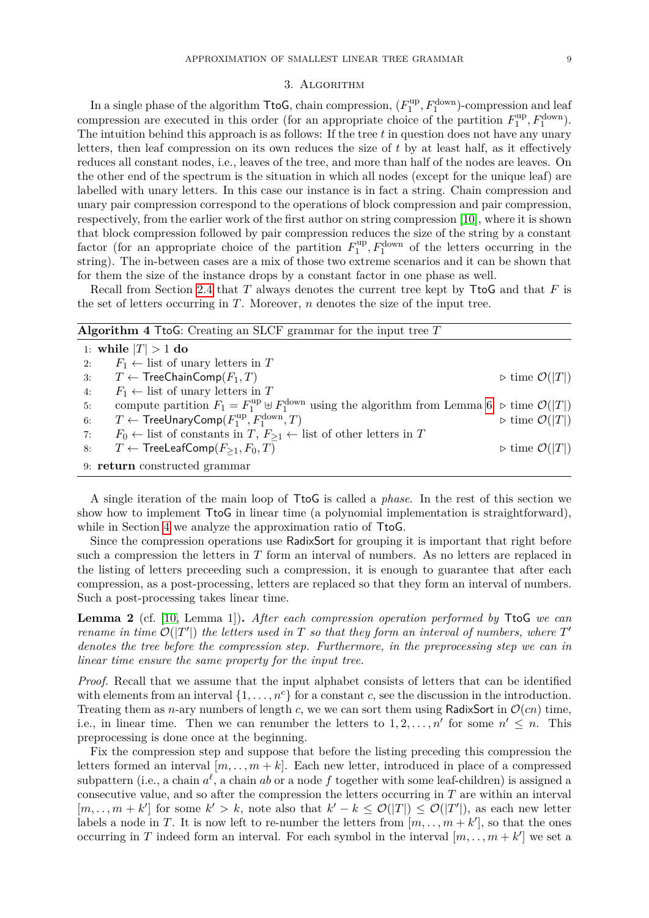#### 3. Algorithm

In a single phase of the algorithm  $\mathsf{TtoG}$ , chain compression,  $(F_1^{\text{up}})$  $T_1^{\text{up}}, F_1^{\text{down}})$ -compression and leaf compression are executed in this order (for an appropriate choice of the partition  $F_1^{\text{up}}$  $I_1^{\text{up}}, F_1^{\text{down}}$ ). The intuition behind this approach is as follows: If the tree *t* in question does not have any unary letters, then leaf compression on its own reduces the size of *t* by at least half, as it effectively reduces all constant nodes, i.e., leaves of the tree, and more than half of the nodes are leaves. On the other end of the spectrum is the situation in which all nodes (except for the unique leaf) are labelled with unary letters. In this case our instance is in fact a string. Chain compression and unary pair compression correspond to the operations of block compression and pair compression, respectively, from the earlier work of the first author on string compression [\[10\]](#page-37-4), where it is shown that block compression followed by pair compression reduces the size of the string by a constant factor (for an appropriate choice of the partition  $F_1^{\text{up}}$  $I_1^{\text{up}}, F_1^{\text{down}}$  of the letters occurring in the string). The in-between cases are a mix of those two extreme scenarios and it can be shown that for them the size of the instance drops by a constant factor in one phase as well.

Recall from Section [2.4](#page-5-0) that *T* always denotes the current tree kept by TtoG and that *F* is the set of letters occurring in *T*. Moreover, *n* denotes the size of the input tree.

<span id="page-8-1"></span>

| <b>Algorithm 4 TtoG:</b> Creating an SLCF grammar for the input tree $T$                                                                           |                                          |  |  |
|----------------------------------------------------------------------------------------------------------------------------------------------------|------------------------------------------|--|--|
| 1: while $ T  > 1$ do                                                                                                                              |                                          |  |  |
| $F_1 \leftarrow$ list of unary letters in T<br>2:                                                                                                  |                                          |  |  |
| $T \leftarrow$ TreeChainComp $(F_1, T)$<br>3:                                                                                                      | $\triangleright$ time $\mathcal{O}( T )$ |  |  |
| $F_1 \leftarrow$ list of unary letters in T<br>4:                                                                                                  |                                          |  |  |
| compute partition $F_1 = F_1^{\text{up}} \oplus F_1^{\text{down}}$ using the algorithm from Lemma 6 $\triangleright$ time $\mathcal{O}( T )$<br>5: |                                          |  |  |
| $T \leftarrow$ TreeUnaryComp( $F_1^{\text{up}}, F_1^{\text{down}}, T$ )<br>6:                                                                      | $\triangleright$ time $\mathcal{O}( T )$ |  |  |
| $F_0 \leftarrow$ list of constants in $T, F_{\geq 1} \leftarrow$ list of other letters in T<br>7:                                                  |                                          |  |  |
| $T \leftarrow$ TreeLeafComp $(F_{\geq 1}, F_0, T)$<br>8:                                                                                           | $\triangleright$ time $\mathcal{O}( T )$ |  |  |
| 9: return constructed grammar                                                                                                                      |                                          |  |  |

A single iteration of the main loop of TtoG is called a *phase*. In the rest of this section we show how to implement TtoG in linear time (a polynomial implementation is straightforward), while in Section [4](#page-14-0) we analyze the approximation ratio of  $T_{\text{to}}$ .

Since the compression operations use RadixSort for grouping it is important that right before such a compression the letters in *T* form an interval of numbers. As no letters are replaced in the listing of letters preceeding such a compression, it is enough to guarantee that after each compression, as a post-processing, letters are replaced so that they form an interval of numbers. Such a post-processing takes linear time.

<span id="page-8-0"></span>**Lemma 2** (cf. [\[10,](#page-37-4) Lemma 1])**.** *After each compression operation performed by* TtoG *we can rename in time*  $\mathcal{O}(|T'|)$  *the letters used in T so that they form an interval of numbers, where*  $T'$ *denotes the tree before the compression step. Furthermore, in the preprocessing step we can in linear time ensure the same property for the input tree.*

*Proof.* Recall that we assume that the input alphabet consists of letters that can be identified with elements from an interval  $\{1, \ldots, n^c\}$  for a constant *c*, see the discussion in the introduction. Treating them as *n*-ary numbers of length *c*, we we can sort them using RadixSort in  $\mathcal{O}(cn)$  time, i.e., in linear time. Then we can renumber the letters to  $1, 2, \ldots, n'$  for some  $n' \leq n$ . This preprocessing is done once at the beginning.

Fix the compression step and suppose that before the listing preceding this compression the letters formed an interval  $[m, \ldots, m+k]$ . Each new letter, introduced in place of a compressed subpattern (i.e., a chain  $a^{\ell}$ , a chain *ab* or a node *f* together with some leaf-children) is assigned a consecutive value, and so after the compression the letters occurring in *T* are within an interval  $[m, \ldots, m+k']$  for some  $k' > k$ , note also that  $k' - k \leq \mathcal{O}(|T|) \leq \mathcal{O}(|T'|)$ , as each new letter labels a node in *T*. It is now left to re-number the letters from  $(m, \ldots, m+k')$ , so that the ones occurring in *T* indeed form an interval. For each symbol in the interval  $[m, \ldots, m+k']$  we set a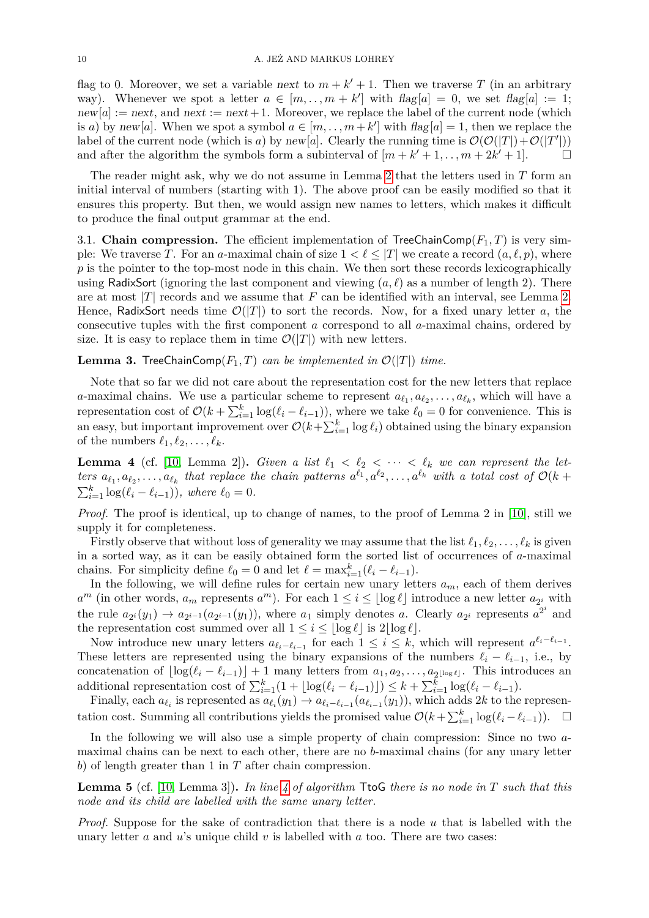flag to 0. Moreover, we set a variable next to  $m + k' + 1$ . Then we traverse T (in an arbitrary way). Whenever we spot a letter  $a \in [m, \ldots, m+k']$  with  $flag[a] = 0$ , we set  $flag[a] := 1$ ;  $new[a] := next$ , and  $next := next + 1$ . Moreover, we replace the label of the current node (which is *a*) by new[*a*]. When we spot a symbol  $a \in [m, ..., m+k']$  with  $flag[a] = 1$ , then we replace the label of the current node (which is *a*) by new[*a*]. Clearly the running time is  $\mathcal{O}(\mathcal{O}(|T|)+\mathcal{O}(|T'|))$ and after the algorithm the symbols form a subinterval of  $[m + k' + 1, \ldots, m + 2k' + 1]$ .

The reader might ask, why we do not assume in Lemma [2](#page-8-0) that the letters used in *T* form an initial interval of numbers (starting with 1). The above proof can be easily modified so that it ensures this property. But then, we would assign new names to letters, which makes it difficult to produce the final output grammar at the end.

<span id="page-9-2"></span>3.1. **Chain compression.** The efficient implementation of TreeChainComp( $F_1, T$ ) is very simple: We traverse *T*. For an *a*-maximal chain of size  $1 < \ell \leq |T|$  we create a record  $(a, \ell, p)$ , where p is the pointer to the top-most node in this chain. We then sort these records lexicographically using RadixSort (ignoring the last component and viewing  $(a, \ell)$  as a number of length 2). There are at most  $|T|$  records and we assume that  $F$  can be identified with an interval, see Lemma [2.](#page-8-0) Hence, RadixSort needs time  $\mathcal{O}(|T|)$  to sort the records. Now, for a fixed unary letter a, the consecutive tuples with the first component *a* correspond to all *a*-maximal chains, ordered by size. It is easy to replace them in time  $\mathcal{O}(|T|)$  with new letters.

<span id="page-9-1"></span>**Lemma 3.** TreeChainComp( $F_1, T$ ) *can be implemented in*  $\mathcal{O}(|T|)$  *time.* 

Note that so far we did not care about the representation cost for the new letters that replace *a*-maximal chains. We use a particular scheme to represent  $a_{\ell_1}, a_{\ell_2}, \ldots, a_{\ell_k}$ , which will have a representation cost of  $\mathcal{O}(k + \sum_{i=1}^{k} \log(\ell_i - \ell_{i-1}))$ , where we take  $\ell_0 = 0$  for convenience. This is an easy, but important improvement over  $\mathcal{O}(k + \sum_{i=1}^{k} \log \ell_i)$  obtained using the binary expansion of the numbers  $\ell_1, \ell_2, \ldots, \ell_k$ .

<span id="page-9-3"></span>**Lemma 4** (cf. [\[10,](#page-37-4) Lemma 2]). *Given a list*  $\ell_1 < \ell_2 < \cdots < \ell_k$  *we can represent the let*ters  $a_{\ell_1}, a_{\ell_2}, \ldots, a_{\ell_k}$  that replace the chain patterns  $a^{\ell_1}, a^{\ell_2}, \ldots, a^{\ell_k}$  with a total cost of  $\mathcal{O}(k + 1)$  $\sum_{i=1}^{k} \log(\ell_i - \ell_{i-1}),$  where  $\ell_0 = 0.$ 

*Proof.* The proof is identical, up to change of names, to the proof of Lemma 2 in [\[10\]](#page-37-4), still we supply it for completeness.

Firstly observe that without loss of generality we may assume that the list  $\ell_1, \ell_2, \ldots, \ell_k$  is given in a sorted way, as it can be easily obtained form the sorted list of occurrences of *a*-maximal chains. For simplicity define  $\ell_0 = 0$  and let  $\ell = \max_{i=1}^k (\ell_i - \ell_{i-1})$ .

In the following, we will define rules for certain new unary letters  $a_m$ , each of them derives  $a^m$  (in other words,  $a_m$  represents  $a^m$ ). For each  $1 \leq i \leq \lfloor \log \ell \rfloor$  introduce a new letter  $a_{2^i}$  with the rule  $a_{2^i}(y_1) \to a_{2^{i-1}}(a_{2^{i-1}}(y_1))$ , where  $a_1$  simply denotes a. Clearly  $a_{2^i}$  represents  $a^{2^i}$  and the representation cost summed over all  $1 \leq i \leq |\log \ell|$  is  $2|\log \ell|$ .

Now introduce new unary letters  $a_{\ell_i-\ell_{i-1}}$  for each  $1 \leq i \leq k$ , which will represent  $a^{\ell_i-\ell_{i-1}}$ . These letters are represented using the binary expansions of the numbers  $\ell_i - \ell_{i-1}$ , i.e., by concatenation of  $\lfloor \log(\ell_i - \ell_{i-1}) \rfloor + 1$  many letters from  $a_1, a_2, \ldots, a_{2^{\lfloor \log \ell \rfloor}}$ . This introduces an additional representation cost of  $\sum_{i=1}^{k} (1 + \lfloor \log(\ell_i - \ell_{i-1}) \rfloor) \leq k + \sum_{i=1}^{k} \log(\ell_i - \ell_{i-1}).$ 

Finally, each  $a_{\ell_i}$  is represented as  $a_{\ell_i}(y_1) \to a_{\ell_i-\ell_{i-1}}(a_{\ell_{i-1}}(y_1))$ , which adds 2*k* to the representation cost. Summing all contributions yields the promised value  $\mathcal{O}(k + \sum_{i=1}^{k} \log(\ell_i - \ell_{i-1}))$ .  $\Box$ 

In the following we will also use a simple property of chain compression: Since no two *a*maximal chains can be next to each other, there are no *b*-maximal chains (for any unary letter *b*) of length greater than 1 in *T* after chain compression.

<span id="page-9-0"></span>**Lemma 5** (cf. [\[10,](#page-37-4) Lemma 3])**.** *In line [4](#page-8-1) of algorithm* TtoG *there is no node in T such that this node and its child are labelled with the same unary letter.*

*Proof.* Suppose for the sake of contradiction that there is a node *u* that is labelled with the unary letter *a* and *u*'s unique child *v* is labelled with *a* too. There are two cases: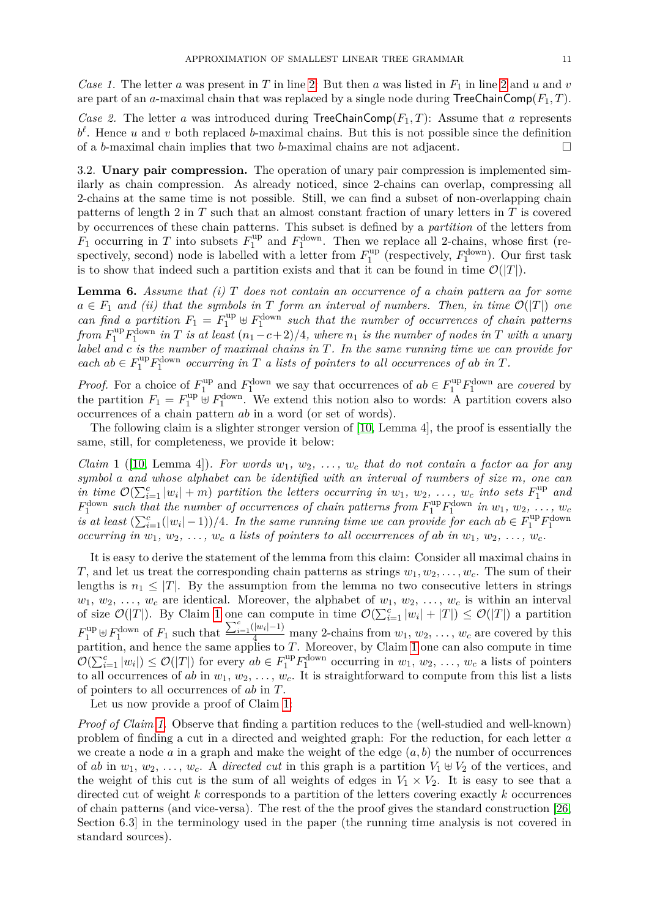*Case 1.* The letter *a* was present in *T* in line [2:](#page-8-1) But then *a* was listed in  $F_1$  in line [2](#page-8-1) and *u* and *v* are part of an *a*-maximal chain that was replaced by a single node during  $\text{TreeChainComp}(F_1, T)$ .

*Case 2.* The letter *a* was introduced during  $TreeChainComp(F_1, T)$ : Assume that *a* represents  $b^{\ell}$ . Hence *u* and *v* both replaced *b*-maximal chains. But this is not possible since the definition of a *b*-maximal chain implies that two *b*-maximal chains are not adjacent.

3.2. **Unary pair compression.** The operation of unary pair compression is implemented similarly as chain compression. As already noticed, since 2-chains can overlap, compressing all 2-chains at the same time is not possible. Still, we can find a subset of non-overlapping chain patterns of length 2 in *T* such that an almost constant fraction of unary letters in *T* is covered by occurrences of these chain patterns. This subset is defined by a *partition* of the letters from  $F_1$  occurring in *T* into subsets  $F_1^{\text{up}}$  $I_1^{\text{up}}$  and  $F_1^{\text{down}}$ . Then we replace all 2-chains, whose first (respectively, second) node is labelled with a letter from  $F_1^{\text{up}}$  $I_1^{\text{up}}$  (respectively,  $F_1^{\text{down}}$ ). Our first task is to show that indeed such a partition exists and that it can be found in time  $\mathcal{O}(|T|)$ .

<span id="page-10-0"></span>**Lemma 6.** *Assume that (i) T does not contain an occurrence of a chain pattern aa for some*  $a \in F_1$  *and (ii) that the symbols in T form an interval of numbers. Then, in time*  $\mathcal{O}(|T|)$  *one can find a partition*  $F_1 = F_1^{\text{up}} \oplus F_1^{\text{down}}$  such that the number of occurrences of chain patterns  $f$ rom  $F_1^{\text{up}} F_1^{\text{down}}$  *in*  $T$  *is at least*  $(n_1 - c + 2)/4$ *, where*  $n_1$  *is the number of nodes in*  $T$  *with a unary label and c is the number of maximal chains in T. In the same running time we can provide for*  $\mathbf{a}$  *each*  $ab \in F_1^{\text{up}} F_1^{\text{down}}$  *occurring in*  $T$  *a lists of pointers to all occurrences of ab in*  $T$ *.* 

*Proof.* For a choice of  $F_1^{\text{up}}$ <sup>up</sup> and  $F_1^{\text{down}}$  we say that occurrences of  $ab \in F_1^{\text{up}} F_1^{\text{down}}$  are *covered* by the partition  $F_1 = F_1^{\text{up}} \oplus F_1^{\text{down}}$ . We extend this notion also to words: A partition covers also occurrences of a chain pattern *ab* in a word (or set of words).

The following claim is a slighter stronger version of [\[10,](#page-37-4) Lemma 4], the proof is essentially the same, still, for completeness, we provide it below:

<span id="page-10-1"></span>*Claim* 1 ([\[10,](#page-37-4) Lemma 4])*. For words w*1*, w*2*, . . . , w<sup>c</sup> that do not contain a factor aa for any symbol a and whose alphabet can be identified with an interval of numbers of size m, one can in time*  $\mathcal{O}(\sum_{i=1}^{c} |w_i| + m)$  *partition the letters occurring in*  $w_1, w_2, \ldots, w_c$  *into sets*  $F_1^{\text{up}}$ 1 *and*  $F_1^{\text{down}}$  *such that the number of occurrences of chain patterns from*  $F_1^{\text{up}}F_1^{\text{down}}$  *in*  $w_1, w_2, \ldots, w_c$ *is at least*  $(\sum_{i=1}^{c}(|w_i|-1))/4$ *. In the same running time we can provide for each ab*  $\in F_1^{\text{up}}F_1^{\text{down}}$ *occurring in*  $w_1, w_2, \ldots, w_c$  *a lists of pointers to all occurrences of ab in*  $w_1, w_2, \ldots, w_c$ .

It is easy to derive the statement of the lemma from this claim: Consider all maximal chains in *T*, and let us treat the corresponding chain patterns as strings  $w_1, w_2, \ldots, w_c$ . The sum of their lengths is  $n_1 \leq |T|$ . By the assumption from the lemma no two consecutive letters in strings  $w_1, w_2, \ldots, w_c$  are identical. Moreover, the alphabet of  $w_1, w_2, \ldots, w_c$  is within an interval of size  $\mathcal{O}(|T|)$ . By Claim [1](#page-10-1) one can compute in time  $\mathcal{O}(\sum_{i=1}^{c} |w_i| + |T|) \leq \mathcal{O}(|T|)$  a partition  $F_1^{\text{up}} \oplus F_1^{\text{down}}$  of  $F_1$  such that  $\frac{\sum_{i=1}^c (|w_i|-1)}{4}$  many 2-chains from  $w_1, w_2, \ldots, w_c$  are covered by this partition, and hence the same applies to *T*. Moreover, by Claim [1](#page-10-1) one can also compute in time  $\mathcal{O}(\sum_{i=1}^{c} |w_i|) \leq \mathcal{O}(|T|)$  for every  $ab \in F_1^{\text{up}} F_1^{\text{down}}$  occurring in  $w_1, w_2, \ldots, w_c$  a lists of pointers to all occurrences of *ab* in  $w_1, w_2, \ldots, w_c$ . It is straightforward to compute from this list a lists of pointers to all occurrences of *ab* in *T*.

Let us now provide a proof of Claim [1:](#page-10-1)

*Proof of Claim [1.](#page-10-1)* Observe that finding a partition reduces to the (well-studied and well-known) problem of finding a cut in a directed and weighted graph: For the reduction, for each letter *a* we create a node  $a$  in a graph and make the weight of the edge  $(a, b)$  the number of occurrences of *ab* in  $w_1, w_2, \ldots, w_c$ . A *directed cut* in this graph is a partition  $V_1 \oplus V_2$  of the vertices, and the weight of this cut is the sum of all weights of edges in  $V_1 \times V_2$ . It is easy to see that a directed cut of weight *k* corresponds to a partition of the letters covering exactly *k* occurrences of chain patterns (and vice-versa). The rest of the the proof gives the standard construction [\[26,](#page-37-27) Section 6.3] in the terminology used in the paper (the running time analysis is not covered in standard sources).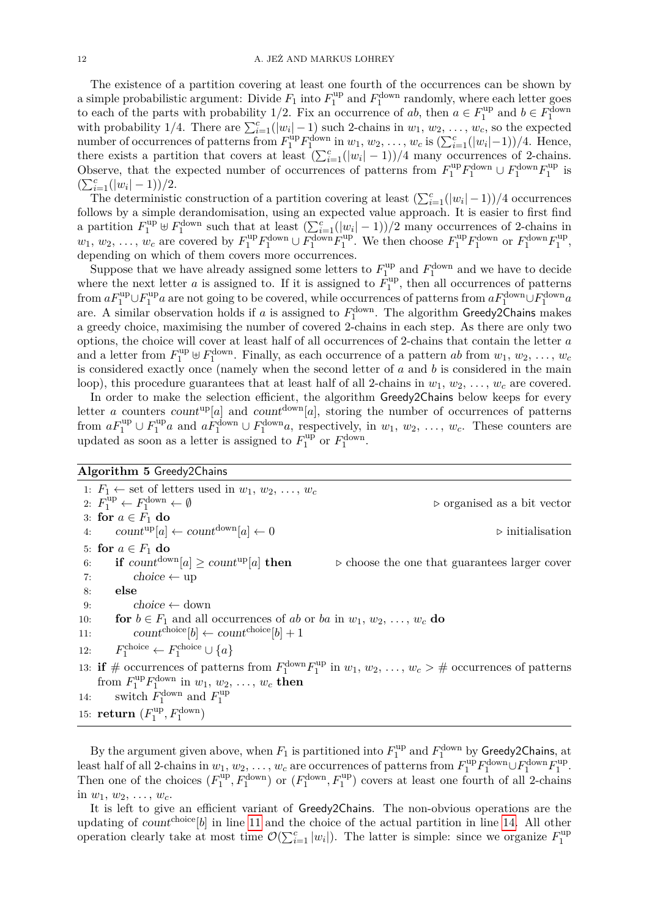The existence of a partition covering at least one fourth of the occurrences can be shown by a simple probabilistic argument: Divide  $F_1$  into  $F_1^{\text{up}}$  $I_1^{\text{up}}$  and  $F_1^{\text{down}}$  randomly, where each letter goes to each of the parts with probability 1/2. Fix an occurrence of *ab*, then  $a \in F_1^{\text{up}}$  $b \in F_1^{\text{down}}$ with probability 1/4. There are  $\sum_{i=1}^{c} (|w_i| - 1)$  such 2-chains in  $w_1, w_2, \ldots, w_c$ , so the expected number of occurrences of patterns from  $F_1^{\text{up}} F_1^{\text{down}}$  in  $w_1, w_2, \ldots, w_c$  is  $(\sum_{i=1}^c (|w_i| - 1))/4$ . Hence, there exists a partition that covers at least  $(\sum_{i=1}^{c}(|w_i|-1))/4$  many occurrences of 2-chains. Observe, that the expected number of occurrences of patterns from  $F_1^{\text{up}} F_1^{\text{down}} \cup F_1^{\text{down}} F_1^{\text{up}}$  $i_1^{\text{up}}$  is  $(\sum_{i=1}^{c}(|w_i|-1))/2.$ 

The deterministic construction of a partition covering at least  $(\sum_{i=1}^{c}(|w_i|-1))/4$  occurrences follows by a simple derandomisation, using an expected value approach. It is easier to first find a partition  $F_1^{\text{up}} \oplus F_1^{\text{down}}$  such that at least  $(\sum_{i=1}^c (|w_i| - 1))/2$  many occurrences of 2-chains in  $w_1, w_2, \ldots, w_c$  are covered by  $F_1^{\text{up}} F_1^{\text{down}} \cup F_1^{\text{down}} F_1^{\text{up}}$ <sup>up</sup>. We then choose  $F_1^{\text{up}}F_1^{\text{down}}$  or  $F_1^{\text{down}}F_1^{\text{up}}$  $1^{\text{up}}$ , depending on which of them covers more occurrences.

Suppose that we have already assigned some letters to  $F_1^{\text{up}}$ <sup>up</sup> and  $F_1^{\text{down}}$  and we have to decide where the next letter *a* is assigned to. If it is assigned to  $\overline{F}_1^{\text{up}}$  $1^{\text{up}}$ , then all occurrences of patterns from  $aF_1^{\text{up}} \cup F_1^{\text{up}}$ <sup>tup</sup> a are not going to be covered, while occurrences of patterns from  $aF_1^{\text{down}} \cup F_1^{\text{down}} a$ are. A similar observation holds if *a* is assigned to  $F_1^{\text{down}}$ . The algorithm Greedy2Chains makes a greedy choice, maximising the number of covered 2-chains in each step. As there are only two options, the choice will cover at least half of all occurrences of 2-chains that contain the letter *a* and a letter from  $F_1^{\text{up}} \oplus F_1^{\text{down}}$ . Finally, as each occurrence of a pattern *ab* from  $w_1, w_2, \ldots, w_c$ is considered exactly once (namely when the second letter of *a* and *b* is considered in the main loop), this procedure guarantees that at least half of all 2-chains in  $w_1, w_2, \ldots, w_c$  are covered.

In order to make the selection efficient, the algorithm Greedy2Chains below keeps for every letter *a* counters count<sup>up</sup>[*a*] and count<sup>down</sup>[*a*], storing the number of occurrences of patterns from  $aF_1^{\text{up}} \cup F_1^{\text{up}}$  $a_1^{\text{up}}a$  and  $a_1^{\text{down}} \cup F_1^{\text{down}}a$ , respectively, in  $w_1, w_2, \ldots, w_c$ . These counters are updated as soon as a letter is assigned to  $F_1^{\text{up}}$  $I_1^{\text{up}}$  or  $F_1^{\text{down}}$ .

# **Algorithm 5** Greedy2Chains

<span id="page-11-0"></span>1:  $F_1 \leftarrow$  set of letters used in  $w_1, w_2, \ldots, w_c$ 2:  $F_1^{\text{up}} \leftarrow F_1^{\text{down}} \leftarrow \emptyset$  b organised as a bit vector 3: **for**  $a \in F_1$  **do** 4:  $count^{\text{up}}[a] \leftarrow count^{\text{down}}[a] \leftarrow 0$   $\triangleright$  initialisation 5: **for**  $a \in F_1$  **do** 6: **if** count<sup>down</sup>[a]  $\geq$  count<sup>up</sup>[a] **then**  $\triangleright$  choose the one that guarantees larger cover 7:  $choice \leftarrow \leftarrow up$ 8: **else** 9:  $choice \leftarrow} \longrightarrow \text{choose}$ 10: **for**  $b \in F_1$  and all occurrences of *ab* or *ba* in  $w_1, w_2, \ldots, w_c$  **do** 11:  $count^{choice}[b] \leftarrow count^{choice}[b] + 1$ 12: *F*  $P_1^{\text{choice}} \leftarrow F_1^{\text{choice}} \cup \{a\}$ 13: **if**  $\#$  occurrences of patterns from  $F_1^{\text{down}}F_1^{\text{up}}$  $u_1^{up}$  in  $w_1, w_2, \ldots, w_c > \text{\#}$  occurrences of patterns from  $F_1^{\text{up}} F_1^{\text{down}}$  in  $w_1, w_2, \ldots, w_c$  then 14: switch  $F_1^{\text{down}}$  and  $F_1^{\text{up}}$ 1 15: **return**  $(F_1^{\text{up}})$  $f_1^{\text{up}}, F_1^{\text{down}}$ 

By the argument given above, when  $F_1$  is partitioned into  $F_1^{\text{up}}$  $I_1^{\text{up}}$  and  $F_1^{\text{down}}$  by Greedy2Chains, at least half of all 2-chains in  $w_1, w_2, \ldots, w_c$  are occurrences of patterns from  $F_1^{\text{up}} F_1^{\text{down}} \cup F_1^{\text{down}} F_1^{\text{up}}$ ,up<br>1 Then one of the choices  $(F_1^{\text{up}})$ <sup>up</sup>,  $F_1^{\text{down}}$  or  $(F_1^{\text{down}}, F_1^{\text{up}})$  covers at least one fourth of all 2-chains in  $w_1, w_2, \ldots, w_c$ .

It is left to give an efficient variant of Greedy2Chains. The non-obvious operations are the updating of countchoice<sup>[*b*]</sup> in line [11](#page-11-0) and the choice of the actual partition in line [14.](#page-11-0) All other operation clearly take at most time  $\mathcal{O}(\sum_{i=1}^{c} |w_i|)$ . The latter is simple: since we organize  $F_1^{\text{up}}$ 1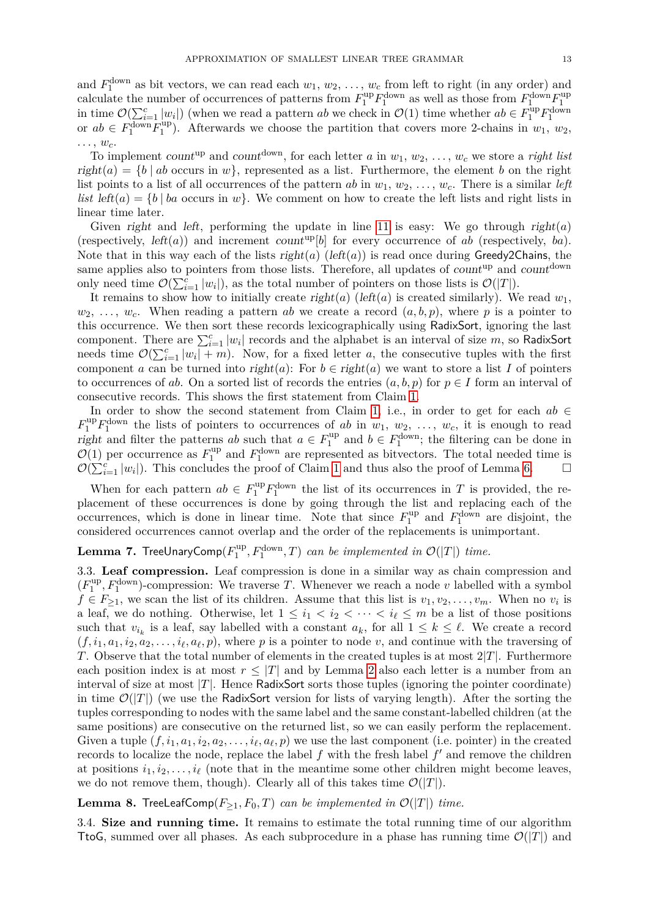and  $F_1^{\text{down}}$  as bit vectors, we can read each  $w_1, w_2, \ldots, w_c$  from left to right (in any order) and calculate the number of occurrences of patterns from  $F_1^{\text{up}}F_1^{\text{down}}$  as well as those from  $F_1^{\text{down}}F_1^{\text{up}}$ 1 in time  $\mathcal{O}(\sum_{i=1}^{c} |w_i|)$  (when we read a pattern *ab* we check in  $\mathcal{O}(1)$  time whether  $ab \in F_1^{\text{up}} F_1^{\text{down}}$ or  $ab \in F_1^{\text{down}} F_1^{\text{up}}$  $\binom{10}{1}$ . Afterwards we choose the partition that covers more 2-chains in  $w_1, w_2,$ . . . , *wc*.

To implement count<sup>up</sup> and count<sup>down</sup>, for each letter *a* in  $w_1, w_2, \ldots, w_c$  we store a *right list*  $right(a) = \{b \mid ab \text{ occurs in } w\}$ , represented as a list. Furthermore, the element *b* on the right list points to a list of all occurrences of the pattern  $ab$  in  $w_1, w_2, \ldots, w_c$ . There is a similar *left list* left(*a*) = {*b* | *ba* occurs in *w*}. We comment on how to create the left lists and right lists in linear time later.

Given right and left, performing the update in line [11](#page-11-0) is easy: We go through right $(a)$ (respectively,  $left(a)$ ) and increment count<sup>up</sup>[b] for every occurrence of *ab* (respectively, *ba*). Note that in this way each of the lists  $right(a)$  (left(a)) is read once during Greedy2Chains, the same applies also to pointers from those lists. Therefore, all updates of count<sup>up</sup> and count<sup>down</sup> only need time  $\mathcal{O}(\sum_{i=1}^c |w_i|)$ , as the total number of pointers on those lists is  $\mathcal{O}(|T|)$ .

It remains to show how to initially create right(*a*) (left(*a*) is created similarly). We read  $w_1$ ,  $w_2, \ldots, w_c$ . When reading a pattern *ab* we create a record  $(a, b, p)$ , where *p* is a pointer to this occurrence. We then sort these records lexicographically using RadixSort, ignoring the last component. There are  $\sum_{i=1}^{c} |w_i|$  records and the alphabet is an interval of size *m*, so RadixSort needs time  $\mathcal{O}(\sum_{i=1}^{c} |w_i| + m)$ . Now, for a fixed letter *a*, the consecutive tuples with the first component *a* can be turned into right(*a*): For  $b \in right(a)$  we want to store a list *I* of pointers to occurrences of *ab*. On a sorted list of records the entries  $(a, b, p)$  for  $p \in I$  form an interval of consecutive records. This shows the first statement from Claim [1.](#page-10-1)

In order to show the second statement from Claim [1,](#page-10-1) i.e., in order to get for each *ab* ∈  $F_1^{\text{up}} F_1^{\text{down}}$  the lists of pointers to occurrences of *ab* in  $w_1, w_2, \ldots, w_c$ , it is enough to read right and filter the patterns *ab* such that  $a \in F_1^{\text{up}}$ <sup>up</sup> and  $b \in F_1^{\text{down}}$ ; the filtering can be done in  $\mathcal{O}(1)$  per occurrence as  $F_1^{\text{up}}$ <sup>up</sup> and  $F_1^{\text{down}}$  are represented as bitvectors. The total needed time is  $\mathcal{O}(\sum_{i=1}^{c} |w_i|)$ . This concludes the proof of Claim [1](#page-10-1) and thus also the proof of Lemma [6.](#page-10-0)

When for each pattern  $ab \in F_1^{\text{up}} F_1^{\text{down}}$  the list of its occurrences in *T* is provided, the replacement of these occurrences is done by going through the list and replacing each of the occurrences, which is done in linear time. Note that since  $F_1^{\text{up}}$  $I_1^{\text{up}}$  and  $F_1^{\text{down}}$  are disjoint, the considered occurrences cannot overlap and the order of the replacements is unimportant.

#### <span id="page-12-0"></span> ${\bf Lemma}$  7. TreeUnaryComp $(F^{\rm up}_{1})$  $T_1^{\text{up}}, F_1^{\text{down}}, T$  *can be implemented in*  $\mathcal{O}(|T|)$  *time.*

3.3. **Leaf compression.** Leaf compression is done in a similar way as chain compression and  $(F_1^{\text{up}})$  $T_1^{\text{up}}, F_1^{\text{down}}$ -compression: We traverse *T*. Whenever we reach a node *v* labelled with a symbol  $f \in F_{\geq 1}$ , we scan the list of its children. Assume that this list is  $v_1, v_2, \ldots, v_m$ . When no  $v_i$  is a leaf, we do nothing. Otherwise, let  $1 \leq i_1 < i_2 < \cdots < i_\ell \leq m$  be a list of those positions such that  $v_{i_k}$  is a leaf, say labelled with a constant  $a_k$ , for all  $1 \leq k \leq \ell$ . We create a record  $(f, i_1, a_1, i_2, a_2, \ldots, i_\ell, a_\ell, p)$ , where *p* is a pointer to node *v*, and continue with the traversing of *T*. Observe that the total number of elements in the created tuples is at most 2|*T*|. Furthermore each position index is at most  $r \leq |T|$  and by Lemma [2](#page-8-0) also each letter is a number from an interval of size at most  $|T|$ . Hence RadixSort sorts those tuples (ignoring the pointer coordinate) in time  $\mathcal{O}(|T|)$  (we use the RadixSort version for lists of varying length). After the sorting the tuples corresponding to nodes with the same label and the same constant-labelled children (at the same positions) are consecutive on the returned list, so we can easily perform the replacement. Given a tuple  $(f, i_1, a_1, i_2, a_2, \ldots, i_\ell, a_\ell, p)$  we use the last component (i.e. pointer) in the created records to localize the node, replace the label  $f$  with the fresh label  $f'$  and remove the children at positions  $i_1, i_2, \ldots, i_\ell$  (note that in the meantime some other children might become leaves, we do not remove them, though). Clearly all of this takes time  $\mathcal{O}(|T|)$ .

<span id="page-12-1"></span>**Lemma 8.** TreeLeafComp( $F_{\geq 1}$ ,  $F_0$ , *T*) *can be implemented in*  $\mathcal{O}(|T|)$  *time.* 

3.4. **Size and running time.** It remains to estimate the total running time of our algorithm TtoG, summed over all phases. As each subprocedure in a phase has running time  $\mathcal{O}(|T|)$  and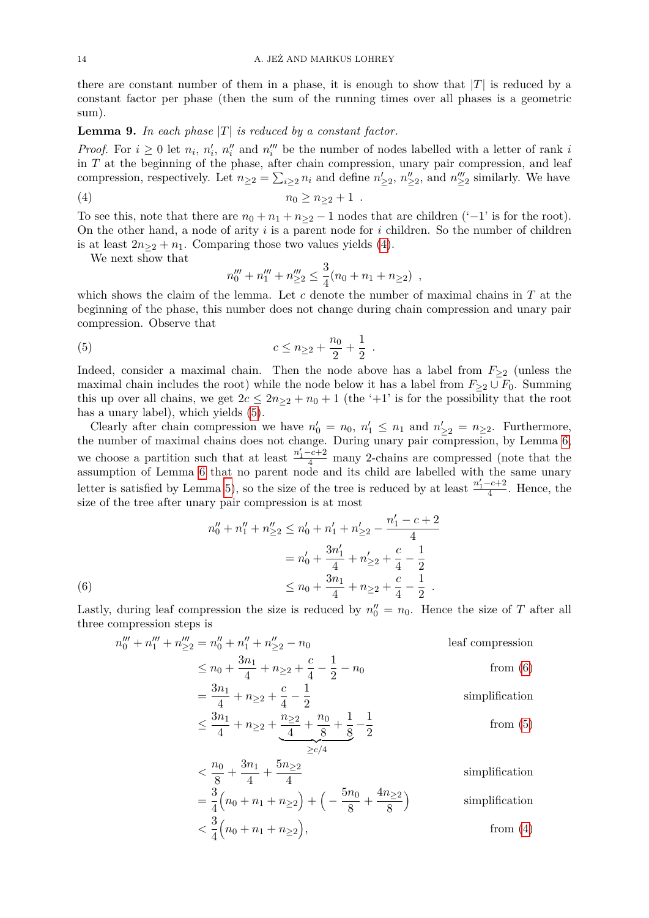there are constant number of them in a phase, it is enough to show that  $|T|$  is reduced by a constant factor per phase (then the sum of the running times over all phases is a geometric sum).

### <span id="page-13-3"></span>**Lemma 9.** *In each phase* |*T*| *is reduced by a constant factor.*

*Proof.* For  $i \geq 0$  let  $n_i$ ,  $n'_i$ ,  $n''_i$  and  $n'''_i$  be the number of nodes labelled with a letter of rank *i* in *T* at the beginning of the phase, after chain compression, unary pair compression, and leaf compression, respectively. Let  $n_{\geq 2} = \sum_{i\geq 2} n_i$  and define  $n'_{\geq 2}$ ,  $n''_{\geq 2}$ , and  $n'''_{\geq 2}$  similarly. We have

$$
(4) \t\t\t n_0 \ge n_{\ge 2} + 1 .
$$

To see this, note that there are  $n_0 + n_1 + n_{\geq 2} - 1$  nodes that are children ('-1' is for the root). On the other hand, a node of arity *i* is a parent node for *i* children. So the number of children is at least  $2n_{\geq 2} + n_1$ . Comparing those two values yields [\(4\)](#page-13-0).

We next show that

<span id="page-13-1"></span><span id="page-13-0"></span>
$$
n_0''' + n_1''' + n_{\geq 2}''' \leq \frac{3}{4}(n_0 + n_1 + n_{\geq 2}),
$$

which shows the claim of the lemma. Let *c* denote the number of maximal chains in *T* at the beginning of the phase, this number does not change during chain compression and unary pair compression. Observe that

(5) 
$$
c \leq n_{\geq 2} + \frac{n_0}{2} + \frac{1}{2}.
$$

Indeed, consider a maximal chain. Then the node above has a label from  $F_{\geq 2}$  (unless the maximal chain includes the root) while the node below it has a label from  $F_{\geq 2} \cup F_0$ . Summing this up over all chains, we get  $2c \leq 2n_{\geq 2} + n_0 + 1$  (the '+1' is for the possibility that the root has a unary label), which yields [\(5\)](#page-13-1).

Clearly after chain compression we have  $n'_0 = n_0$ ,  $n'_1 \leq n_1$  and  $n'_{\geq 2} = n_{\geq 2}$ . Furthermore, the number of maximal chains does not change. During unary pair compression, by Lemma [6,](#page-10-0) we choose a partition such that at least  $\frac{n'_1-c+2}{4}$  many 2-chains are compressed (note that the assumption of Lemma [6](#page-10-0) that no parent node and its child are labelled with the same unary letter is satisfied by Lemma [5\)](#page-9-0), so the size of the tree is reduced by at least  $\frac{n'_1-c+2}{4}$ . Hence, the size of the tree after unary pair compression is at most

$$
n_0'' + n_1'' + n_{\geq 2}'' \leq n_0' + n_1' + n_{\geq 2}' - \frac{n_1' - c + 2}{4}
$$
  
=  $n_0' + \frac{3n_1'}{4} + n_{\geq 2}' + \frac{c}{4} - \frac{1}{2}$   
(6)  

$$
\leq n_0 + \frac{3n_1}{4} + n_{\geq 2} + \frac{c}{4} - \frac{1}{2}.
$$

<span id="page-13-2"></span>Lastly, during leaf compression the size is reduced by  $n''_0 = n_0$ . Hence the size of *T* after all three compression steps is

$$
n_0''' + n_1''' + n_{\geq 2}''' = n_0'' + n_1'' + n_{\geq 2}'' - n_0
$$
 leaf compression  
\n
$$
\leq n_0 + \frac{3n_1}{4} + n_{\geq 2} + \frac{c}{4} - \frac{1}{2} - n_0
$$
 from (6)  
\n
$$
= \frac{3n_1}{4} + n_{\geq 2} + \frac{c}{4} - \frac{1}{2}
$$
 simplification  
\n
$$
\leq \frac{3n_1}{4} + n_{\geq 2} + \frac{n_{\geq 2}}{4} + \frac{n_0}{8} + \frac{1}{8} - \frac{1}{2}
$$
 from (5)  
\n
$$
< \frac{n_0}{8} + \frac{3n_1}{4} + \frac{5n_{\geq 2}}{4}
$$
 simplification  
\n
$$
= \frac{3}{4}(n_0 + n_1 + n_{\geq 2}) + \left(-\frac{5n_0}{8} + \frac{4n_{\geq 2}}{8}\right)
$$
 simplification  
\n
$$
< \frac{3}{4}(n_0 + n_1 + n_{\geq 2}),
$$
 from (4)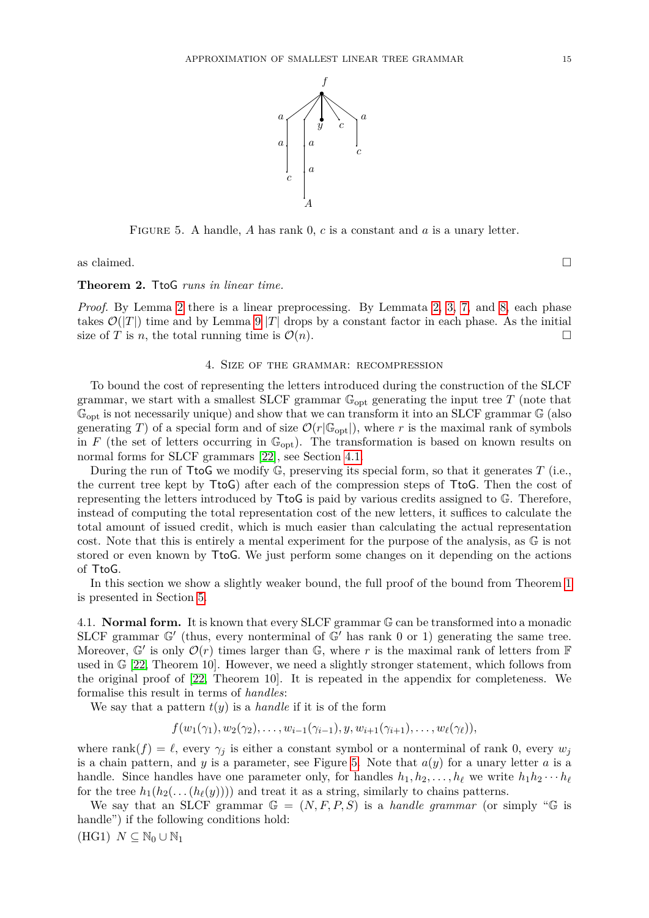<span id="page-14-2"></span>

FIGURE 5. A handle, A has rank 0, c is a constant and a is a unary letter.

as claimed.  $\Box$ 

**Theorem 2.** TtoG *runs in linear time.*

*Proof.* By Lemma [2](#page-8-0) there is a linear preprocessing. By Lemmata [2,](#page-8-0) [3,](#page-9-1) [7,](#page-12-0) and [8,](#page-12-1) each phase takes  $\mathcal{O}(|T|)$  time and by Lemma [9](#page-13-3) |*T*| drops by a constant factor in each phase. As the initial size of *T* is *n*, the total running time is  $\mathcal{O}(n)$ .

## 4. Size of the grammar: recompression

<span id="page-14-0"></span>To bound the cost of representing the letters introduced during the construction of the SLCF grammar, we start with a smallest SLCF grammar  $\mathbb{G}_{opt}$  generating the input tree  $T$  (note that  $\mathbb{G}_{\text{out}}$  is not necessarily unique) and show that we can transform it into an SLCF grammar  $\mathbb{G}$  (also generating *T*) of a special form and of size  $\mathcal{O}(r|\mathbb{G}_{opt}|)$ , where *r* is the maximal rank of symbols in *F* (the set of letters occurring in  $\mathbb{G}_{\mathrm{opt}}$ ). The transformation is based on known results on normal forms for SLCF grammars [\[22\]](#page-37-12), see Section [4.1.](#page-14-1)

During the run of TtoG we modify G, preserving its special form, so that it generates *T* (i.e., the current tree kept by TtoG) after each of the compression steps of TtoG. Then the cost of representing the letters introduced by TtoG is paid by various credits assigned to G. Therefore, instead of computing the total representation cost of the new letters, it suffices to calculate the total amount of issued credit, which is much easier than calculating the actual representation cost. Note that this is entirely a mental experiment for the purpose of the analysis, as G is not stored or even known by TtoG. We just perform some changes on it depending on the actions of TtoG.

In this section we show a slightly weaker bound, the full proof of the bound from Theorem [1](#page-2-0) is presented in Section [5.](#page-32-0)

<span id="page-14-1"></span>4.1. **Normal form.** It is known that every SLCF grammar G can be transformed into a monadic SLCF grammar  $\mathbb{G}'$  (thus, every nonterminal of  $\mathbb{G}'$  has rank 0 or 1) generating the same tree. Moreover,  $\mathbb{G}'$  is only  $\mathcal{O}(r)$  times larger than  $\mathbb{G}$ , where r is the maximal rank of letters from F used in  $\mathbb{G}$  [\[22,](#page-37-12) Theorem 10]. However, we need a slightly stronger statement, which follows from the original proof of [\[22,](#page-37-12) Theorem 10]. It is repeated in the appendix for completeness. We formalise this result in terms of *handles*:

We say that a pattern  $t(y)$  is a *handle* if it is of the form

$$
f(w_1(\gamma_1), w_2(\gamma_2), \ldots, w_{i-1}(\gamma_{i-1}), y, w_{i+1}(\gamma_{i+1}), \ldots, w_{\ell}(\gamma_{\ell})),
$$

where rank $(f) = \ell$ , every  $\gamma_j$  is either a constant symbol or a nonterminal of rank 0, every  $w_j$ is a chain pattern, and *y* is a parameter, see Figure [5.](#page-14-2) Note that  $a(y)$  for a unary letter *a* is a handle. Since handles have one parameter only, for handles  $h_1, h_2, \ldots, h_\ell$  we write  $h_1 h_2 \cdots h_\ell$ for the tree  $h_1(h_2(\ldots(h_\ell(y))))$  and treat it as a string, similarly to chains patterns.

We say that an SLCF grammar  $\mathbb{G} = (N, F, P, S)$  is a *handle grammar* (or simply " $\mathbb{G}$  is handle") if the following conditions hold:

 $(HG1)$   $N \subseteq \mathbb{N}_0 \cup \mathbb{N}_1$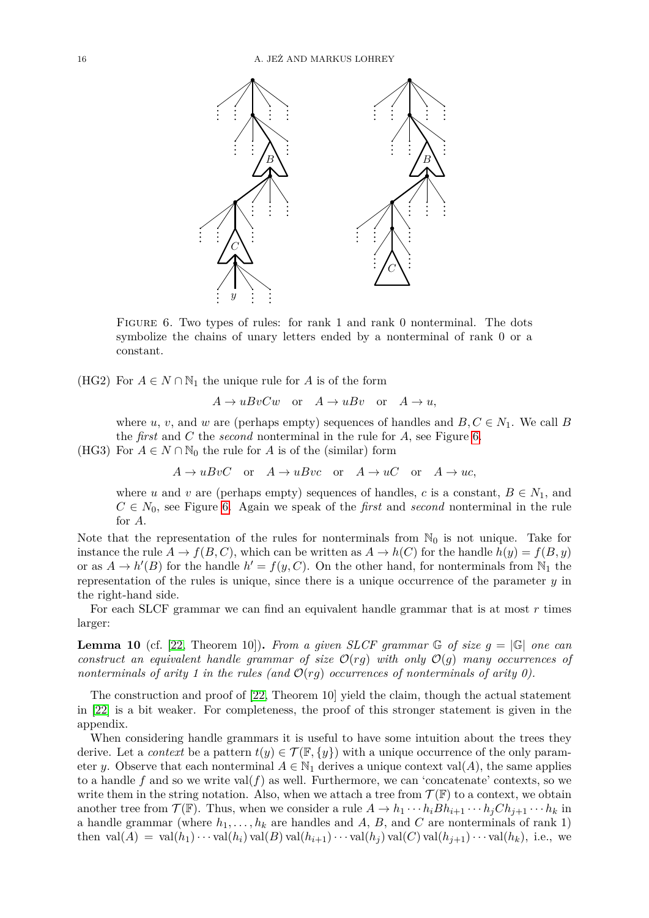

Figure 6. Two types of rules: for rank 1 and rank 0 nonterminal. The dots symbolize the chains of unary letters ended by a nonterminal of rank 0 or a constant.

<span id="page-15-3"></span>(HG2) For  $A \in N \cap \mathbb{N}_1$  the unique rule for *A* is of the form

<span id="page-15-0"></span> $A \rightarrow uBvCw$  or  $A \rightarrow uBv$  or  $A \rightarrow u$ ,

where *u*, *v*, and *w* are (perhaps empty) sequences of handles and  $B, C \in N_1$ . We call *B* the *first* and *C* the *second* nonterminal in the rule for *A*, see Figure [6.](#page-15-0)

<span id="page-15-2"></span>(HG3) For  $A \in N \cap \mathbb{N}_0$  the rule for *A* is of the (similar) form

 $A \rightarrow uBvC$  or  $A \rightarrow uBvc$  or  $A \rightarrow uC$  or  $A \rightarrow uc$ .

where *u* and *v* are (perhaps empty) sequences of handles, *c* is a constant,  $B \in N_1$ , and  $C \in N_0$ , see Figure [6.](#page-15-0) Again we speak of the *first* and *second* nonterminal in the rule for *A*.

Note that the representation of the rules for nonterminals from  $\mathbb{N}_0$  is not unique. Take for instance the rule  $A \to f(B, C)$ , which can be written as  $A \to h(C)$  for the handle  $h(y) = f(B, y)$ or as  $A \to h'(B)$  for the handle  $h' = f(y, C)$ . On the other hand, for nonterminals from  $\mathbb{N}_1$  the representation of the rules is unique, since there is a unique occurrence of the parameter *y* in the right-hand side.

For each SLCF grammar we can find an equivalent handle grammar that is at most *r* times larger:

<span id="page-15-1"></span>**Lemma 10** (cf. [\[22,](#page-37-12) Theorem 10]). *From a given SLCF grammar*  $\mathbb{G}$  *of size*  $q = |\mathbb{G}|$  *one can construct an equivalent handle grammar of size*  $\mathcal{O}(r)$  *with only*  $\mathcal{O}(g)$  *many occurrences of nonterminals of arity 1 in the rules (and*  $\mathcal{O}(rg)$  *occurrences of nonterminals of arity 0).* 

The construction and proof of [\[22,](#page-37-12) Theorem 10] yield the claim, though the actual statement in [\[22\]](#page-37-12) is a bit weaker. For completeness, the proof of this stronger statement is given in the appendix.

When considering handle grammars it is useful to have some intuition about the trees they derive. Let a *context* be a pattern  $t(y) \in \mathcal{T}(\mathbb{F}, \{y\})$  with a unique occurrence of the only parameter *y*. Observe that each nonterminal  $A \in \mathbb{N}_1$  derives a unique context val(*A*), the same applies to a handle f and so we write val $(f)$  as well. Furthermore, we can 'concatenate' contexts, so we write them in the string notation. Also, when we attach a tree from  $\mathcal{T}(\mathbb{F})$  to a context, we obtain another tree from  $\mathcal{T}(\mathbb{F})$ . Thus, when we consider a rule  $A \to h_1 \cdots h_i Bh_{i+1} \cdots h_j Ch_{j+1} \cdots h_k$  in a handle grammar (where  $h_1, \ldots, h_k$  are handles and *A*, *B*, and *C* are nonterminals of rank 1) then  $val(A) = val(h_1) \cdots val(h_i) val(B) val(h_{i+1}) \cdots val(h_j) val(C) val(h_{j+1}) \cdots val(h_k)$ , i.e., we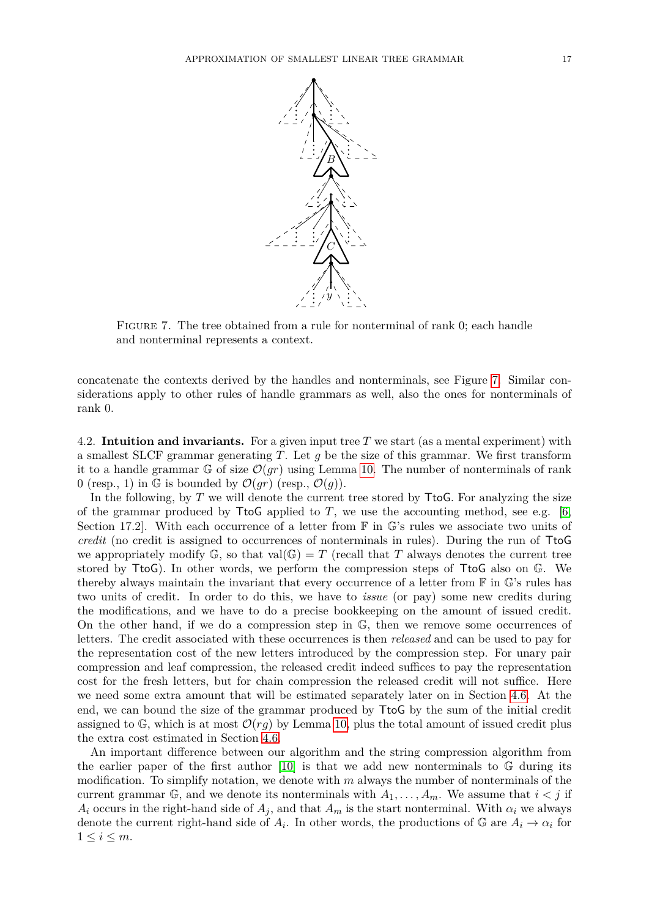<span id="page-16-0"></span>

FIGURE 7. The tree obtained from a rule for nonterminal of rank 0; each handle and nonterminal represents a context.

concatenate the contexts derived by the handles and nonterminals, see Figure [7.](#page-16-0) Similar considerations apply to other rules of handle grammars as well, also the ones for nonterminals of rank 0.

4.2. **Intuition and invariants.** For a given input tree *T* we start (as a mental experiment) with a smallest SLCF grammar generating *T*. Let *g* be the size of this grammar. We first transform it to a handle grammar G of size  $\mathcal{O}(gr)$  using Lemma [10.](#page-15-1) The number of nonterminals of rank 0 (resp., 1) in G is bounded by  $\mathcal{O}(gr)$  (resp.,  $\mathcal{O}(g)$ ).

In the following, by *T* we will denote the current tree stored by **TtoG**. For analyzing the size of the grammar produced by  $T$ to Gapplied to *T*, we use the accounting method, see e.g. [\[6,](#page-37-26) Section 17.2. With each occurrence of a letter from  $\mathbb F$  in  $\mathbb G$ 's rules we associate two units of *credit* (no credit is assigned to occurrences of nonterminals in rules). During the run of TtoG we appropriately modify  $\mathbb{G}$ , so that val $(\mathbb{G}) = T$  (recall that T always denotes the current tree stored by TtoG). In other words, we perform the compression steps of TtoG also on G. We thereby always maintain the invariant that every occurrence of a letter from F in G's rules has two units of credit. In order to do this, we have to *issue* (or pay) some new credits during the modifications, and we have to do a precise bookkeeping on the amount of issued credit. On the other hand, if we do a compression step in G, then we remove some occurrences of letters. The credit associated with these occurrences is then *released* and can be used to pay for the representation cost of the new letters introduced by the compression step. For unary pair compression and leaf compression, the released credit indeed suffices to pay the representation cost for the fresh letters, but for chain compression the released credit will not suffice. Here we need some extra amount that will be estimated separately later on in Section [4.6.](#page-28-0) At the end, we can bound the size of the grammar produced by TtoG by the sum of the initial credit assigned to  $\mathbb{G}$ , which is at most  $\mathcal{O}(rq)$  by Lemma [10,](#page-15-1) plus the total amount of issued credit plus the extra cost estimated in Section [4.6.](#page-28-0)

An important difference between our algorithm and the string compression algorithm from the earlier paper of the first author [\[10\]](#page-37-4) is that we add new nonterminals to G during its modification. To simplify notation, we denote with *m* always the number of nonterminals of the current grammar G, and we denote its nonterminals with  $A_1, \ldots, A_m$ . We assume that  $i < j$  if *A*<sup>*i*</sup> occurs in the right-hand side of  $A_j$ , and that  $A_m$  is the start nonterminal. With  $\alpha_i$  we always denote the current right-hand side of  $A_i$ . In other words, the productions of  $\mathbb{G}$  are  $A_i \to \alpha_i$  for  $1 \leq i \leq m$ .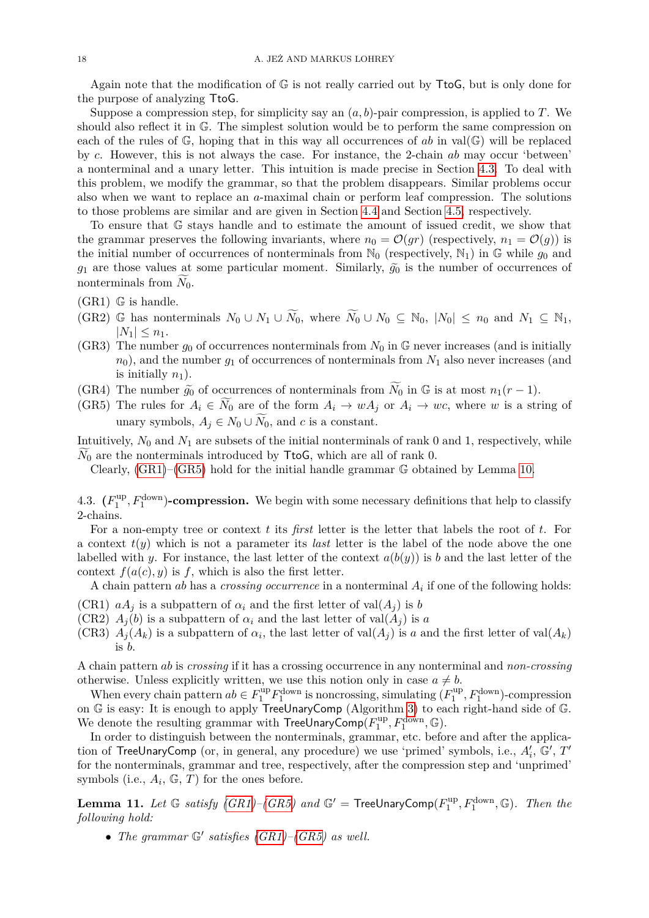Again note that the modification of G is not really carried out by TtoG, but is only done for the purpose of analyzing TtoG.

Suppose a compression step, for simplicity say an (*a, b*)-pair compression, is applied to *T*. We should also reflect it in G. The simplest solution would be to perform the same compression on each of the rules of G, hoping that in this way all occurrences of *ab* in val(G) will be replaced by *c*. However, this is not always the case. For instance, the 2-chain *ab* may occur 'between' a nonterminal and a unary letter. This intuition is made precise in Section [4.3.](#page-17-0) To deal with this problem, we modify the grammar, so that the problem disappears. Similar problems occur also when we want to replace an *a*-maximal chain or perform leaf compression. The solutions to those problems are similar and are given in Section [4.4](#page-20-0) and Section [4.5,](#page-23-0) respectively.

To ensure that G stays handle and to estimate the amount of issued credit, we show that the grammar preserves the following invariants, where  $n_0 = \mathcal{O}(gr)$  (respectively,  $n_1 = \mathcal{O}(g)$ ) is the initial number of occurrences of nonterminals from  $\mathbb{N}_0$  (respectively,  $\mathbb{N}_1$ ) in  $\mathbb{G}$  while  $g_0$  and  $g_1$  are those values at some particular moment. Similarly,  $\tilde{g}_0$  is the number of occurrences of nonterminals from  $\widetilde{N}_0$ .

<span id="page-17-1"></span> $(GR1)$  G is handle.

- <span id="page-17-3"></span>(GR2) G has nonterminals  $N_0 \cup N_1 \cup \widetilde{N_0}$ , where  $\widetilde{N_0} \cup N_0 \subseteq N_0$ ,  $|N_0| \le n_0$  and  $N_1 \subseteq N_1$ ,  $|N_1| < n_1$ .
- <span id="page-17-8"></span>(GR3) The number  $g_0$  of occurrences nonterminals from  $N_0$  in  $\mathbb{G}$  never increases (and is initially *n*0), and the number *g*<sup>1</sup> of occurrences of nonterminals from *N*<sup>1</sup> also never increases (and is initially  $n_1$ ).
- <span id="page-17-4"></span>(GR4) The number  $\tilde{g}_0$  of occurrences of nonterminals from  $\widetilde{N}_0$  in G is at most  $n_1(r-1)$ .
- <span id="page-17-2"></span>(GR5) The rules for  $A_i \in N_0$  are of the form  $A_i \to wA_j$  or  $A_i \to wc$ , where *w* is a string of unary symbols,  $A_j \in N_0 \cup \widetilde{N_0}$ , and *c* is a constant.

Intuitively,  $N_0$  and  $N_1$  are subsets of the initial nonterminals of rank 0 and 1, respectively, while  $N_0$  are the nonterminals introduced by **TtoG**, which are all of rank 0.

Clearly, [\(GR1\)](#page-17-1)–[\(GR5\)](#page-17-2) hold for the initial handle grammar G obtained by Lemma [10.](#page-15-1)

<span id="page-17-0"></span>4.3.  $(F_1^{\text{up}})$  $\mathcal{L}_1^{\text{up}}, F_1^{\text{down}}$  **-compression.** We begin with some necessary definitions that help to classify 2-chains.

For a non-empty tree or context *t* its *first* letter is the letter that labels the root of *t*. For a context  $t(y)$  which is not a parameter its *last* letter is the label of the node above the one labelled with *y*. For instance, the last letter of the context  $a(b(y))$  is *b* and the last letter of the context  $f(a(c), y)$  is f, which is also the first letter.

A chain pattern *ab* has a *crossing occurrence* in a nonterminal *A<sup>i</sup>* if one of the following holds:

- <span id="page-17-6"></span>(CR1)  $aA_j$  is a subpattern of  $\alpha_i$  and the first letter of val $(A_j)$  is *b*
- <span id="page-17-9"></span>(CR2)  $A_i(b)$  is a subpattern of  $\alpha_i$  and the last letter of val $(A_i)$  is a
- <span id="page-17-7"></span>(CR3)  $A_j(A_k)$  is a subpattern of  $\alpha_i$ , the last letter of val $(A_j)$  is a and the first letter of val $(A_k)$ is *b*.

A chain pattern *ab* is *crossing* if it has a crossing occurrence in any nonterminal and *non-crossing* otherwise. Unless explicitly written, we use this notion only in case  $a \neq b$ .

When every chain pattern  $ab \in F_1^{\text{up}} F_1^{\text{down}}$  is noncrossing, simulating  $(F_1^{\text{up}})$  $T_1^{\text{up}}, F_1^{\text{down}}$  -compression on G is easy: It is enough to apply TreeUnaryComp (Algorithm [3\)](#page-7-0) to each right-hand side of G. We denote the resulting grammar with  $\mathsf{TreeUnaryComp}(F_1^{\text{up}})$  $I_1^{\text{up}}, F_1^{\text{down}}, \mathbb{G}$ ).

In order to distinguish between the nonterminals, grammar, etc. before and after the application of TreeUnaryComp (or, in general, any procedure) we use 'primed' symbols, i.e.,  $A'_i$ ,  $G', T'$ for the nonterminals, grammar and tree, respectively, after the compression step and 'unprimed' symbols (i.e.,  $A_i$ ,  $\mathbb{G}, T$ ) for the ones before.

<span id="page-17-5"></span>**Lemma 11.** Let  $\mathbb{G}$  *satisfy [\(GR1\)](#page-17-1)*–*[\(GR5\)](#page-17-2)* and  $\mathbb{G}'$  = TreeUnaryComp( $F_1^{\text{up}}$ )  $T_1^{\text{up}}, F_1^{\text{down}}, \mathbb{G}$ *). Then the following hold:*

• *The grammar*  $\mathbb{G}'$  *satisfies [\(GR1\)](#page-17-1)*–*[\(GR5\)](#page-17-2) as well.*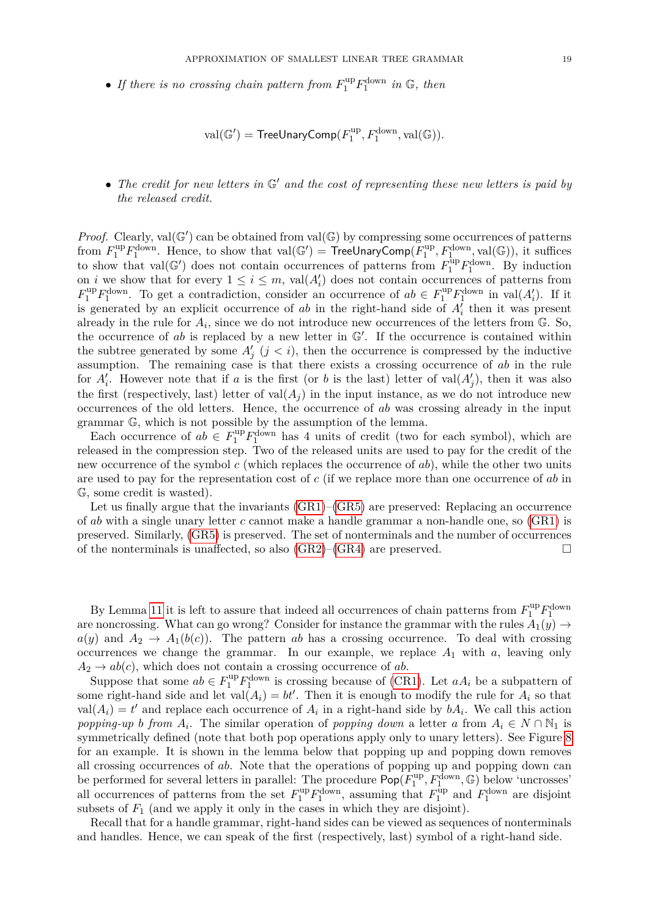• If there is no crossing chain pattern from  $F_1^{\text{up}} F_1^{\text{down}}$  in  $\mathbb{G}$ , then

$$
\text{val}(\mathbb{G}') = \text{TreeUnaryComp}(F_1^{\text{up}}, F_1^{\text{down}}, \text{val}(\mathbb{G})).
$$

• The credit for new letters in  $\mathbb{G}'$  and the cost of representing these new letters is paid by *the released credit.*

*Proof.* Clearly,  $val(\mathbb{G}')$  can be obtained from  $val(\mathbb{G})$  by compressing some occurrences of patterns from  $F_1^{\text{up}}F_1^{\text{down}}$ . Hence, to show that  $\text{val}(\mathbb{G}') = \text{TreeUnaryComp}(F_1^{\text{up}})$  $I_1^{\text{up}}, F_1^{\text{down}}, \text{val}(\mathbb{G})$ , it suffices to show that val( $\mathbb{G}'$ ) does not contain occurrences of patterns from  $F_1^{\text{up}} F_1^{\text{down}}$ . By induction on *i* we show that for every  $1 \leq i \leq m$ , val $(A'_i)$  does not contain occurrences of patterns from  $F_1^{\text{up}} F_1^{\text{down}}$ . To get a contradiction, consider an occurrence of  $ab \in F_1^{\text{up}} F_1^{\text{down}}$  in val $(A'_i)$ . If it is generated by an explicit occurrence of *ab* in the right-hand side of  $A_i^f$  then it was present already in the rule for  $A_i$ , since we do not introduce new occurrences of the letters from  $\mathbb{G}$ . So, the occurrence of  $ab$  is replaced by a new letter in  $\mathbb{G}'$ . If the occurrence is contained within the subtree generated by some  $A'_{j}$   $(j < i)$ , then the occurrence is compressed by the inductive assumption. The remaining case is that there exists a crossing occurrence of *ab* in the rule for  $A_i'$ . However note that if *a* is the first (or *b* is the last) letter of val $(A_j')$ , then it was also the first (respectively, last) letter of  $val(A_i)$  in the input instance, as we do not introduce new occurrences of the old letters. Hence, the occurrence of *ab* was crossing already in the input grammar G, which is not possible by the assumption of the lemma.

Each occurrence of  $ab \in F_1^{\text{up}} F_1^{\text{down}}$  has 4 units of credit (two for each symbol), which are released in the compression step. Two of the released units are used to pay for the credit of the new occurrence of the symbol *c* (which replaces the occurrence of *ab*), while the other two units are used to pay for the representation cost of *c* (if we replace more than one occurrence of *ab* in G, some credit is wasted).

Let us finally argue that the invariants [\(GR1\)](#page-17-1)–[\(GR5\)](#page-17-2) are preserved: Replacing an occurrence of *ab* with a single unary letter *c* cannot make a handle grammar a non-handle one, so [\(GR1\)](#page-17-1) is preserved. Similarly, [\(GR5\)](#page-17-2) is preserved. The set of nonterminals and the number of occurrences of the nonterminals is unaffected, so also  $(GR2)$ – $(GR4)$  are preserved.

By Lemma [11](#page-17-5) it is left to assure that indeed all occurrences of chain patterns from  $F_1^{\text{up}}F_1^{\text{down}}$ are noncrossing. What can go wrong? Consider for instance the grammar with the rules  $A_1(y) \rightarrow$  $a(y)$  and  $A_2 \rightarrow A_1(b(c))$ . The pattern *ab* has a crossing occurrence. To deal with crossing occurrences we change the grammar. In our example, we replace  $A_1$  with  $a$ , leaving only  $A_2 \rightarrow ab(c)$ , which does not contain a crossing occurrence of *ab*.

Suppose that some  $ab \in F_1^{\text{up}} F_1^{\text{down}}$  is crossing because of [\(CR1\)](#page-17-6). Let  $aA_i$  be a subpattern of some right-hand side and let  $val(A_i) = bt'$ . Then it is enough to modify the rule for  $A_i$  so that  $val(A_i) = t'$  and replace each occurrence of  $A_i$  in a right-hand side by  $bA_i$ . We call this action *popping-up b from*  $A_i$ . The similar operation of *popping down* a letter *a* from  $A_i \in N \cap \mathbb{N}_1$  is symmetrically defined (note that both pop operations apply only to unary letters). See Figure [8](#page-19-0) for an example. It is shown in the lemma below that popping up and popping down removes all crossing occurrences of *ab*. Note that the operations of popping up and popping down can be performed for several letters in parallel: The procedure  $\rho_{\text{op}}(F_1^{\text{up}})$  $T_1^{\text{up}}, F_1^{\text{down}}, \mathbb{G}$  below 'uncrosses' all occurrences of patterns from the set  $F_1^{\text{up}} F_1^{\text{down}}$ , assuming that  $F_1^{\text{up}}$  $I_1^{\text{up}}$  and  $F_1^{\text{down}}$  are disjoint subsets of  $F_1$  (and we apply it only in the cases in which they are disjoint).

Recall that for a handle grammar, right-hand sides can be viewed as sequences of nonterminals and handles. Hence, we can speak of the first (respectively, last) symbol of a right-hand side.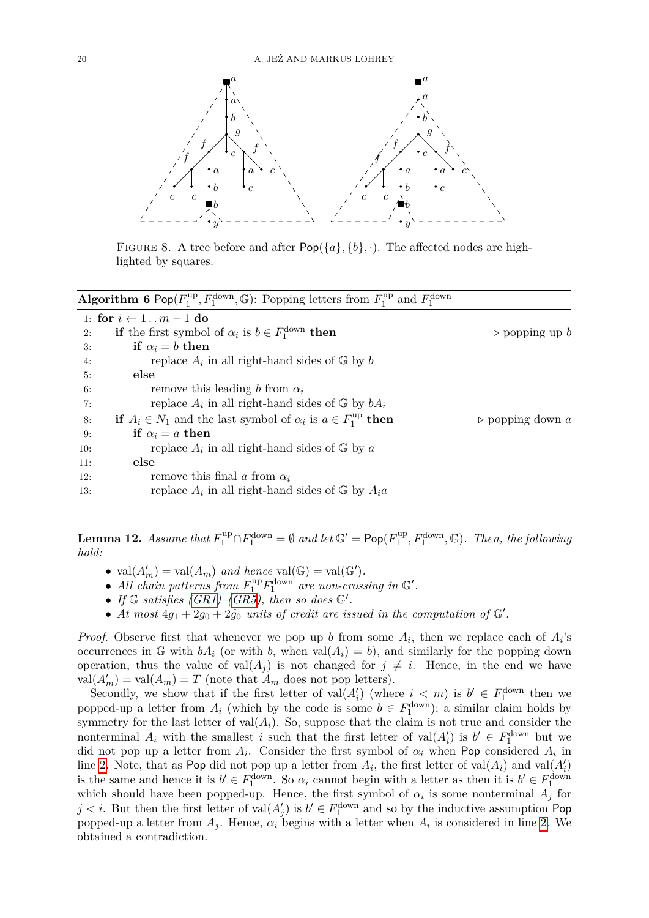

<span id="page-19-0"></span>FIGURE 8. A tree before and after  $Pop({a}, {b}, \cdot)$ . The affected nodes are highlighted by squares.

<span id="page-19-1"></span>

| <b>Algorithm 6</b> Pop $(F_1^{\text{up}}, F_1^{\text{down}}, \mathbb{G})$ : Popping letters from $F_1^{\text{up}}$ and $F_1^{\text{down}}$ |                                                                                           |                                 |  |  |
|--------------------------------------------------------------------------------------------------------------------------------------------|-------------------------------------------------------------------------------------------|---------------------------------|--|--|
| 1: for $i \leftarrow 1 \dots m-1$ do                                                                                                       |                                                                                           |                                 |  |  |
| 2:                                                                                                                                         | <b>if</b> the first symbol of $\alpha_i$ is $b \in F_1^{\text{down}}$ then                | $\rhd$ popping up b             |  |  |
| 3:                                                                                                                                         | if $\alpha_i = b$ then                                                                    |                                 |  |  |
| 4:                                                                                                                                         | replace $A_i$ in all right-hand sides of $\mathbb{G}$ by b                                |                                 |  |  |
| 5:                                                                                                                                         | else                                                                                      |                                 |  |  |
| 6:                                                                                                                                         | remove this leading b from $\alpha_i$                                                     |                                 |  |  |
| 7:                                                                                                                                         | replace $A_i$ in all right-hand sides of $\mathbb{G}$ by $bA_i$                           |                                 |  |  |
| 8:                                                                                                                                         | <b>if</b> $A_i \in N_1$ and the last symbol of $\alpha_i$ is $a \in F_1^{\text{up}}$ then | $\triangleright$ popping down a |  |  |
| 9:                                                                                                                                         | if $\alpha_i = a$ then                                                                    |                                 |  |  |
| 10:                                                                                                                                        | replace $A_i$ in all right-hand sides of $\mathbb{G}$ by a                                |                                 |  |  |
| 11:                                                                                                                                        | else                                                                                      |                                 |  |  |
| 12:                                                                                                                                        | remove this final a from $\alpha_i$                                                       |                                 |  |  |
| 13:                                                                                                                                        | replace $A_i$ in all right-hand sides of $\mathbb{G}$ by $A_i a$                          |                                 |  |  |

<span id="page-19-2"></span>**Lemma 12.** *Assume that*  $F_1^{\text{up}} \cap F_1^{\text{down}} = \emptyset$  *and let*  $\mathbb{G}' = \text{Pop}(F_1^{\text{up}})$  $T_1^{\text{up}}, F_1^{\text{down}}, \mathbb{G}$ . Then, the following *hold:*

- $val(A'_m) = val(A_m)$  *and hence*  $val(\mathbb{G}) = val(\mathbb{G}').$
- All chain patterns from  $F_1^{\text{up}} F_1^{\text{down}}$  are non-crossing in  $\mathbb{G}'$ .
- If  $\mathbb{G}$  satisfies  $(GR1)$ – $(GR5)$ , then so does  $\mathbb{G}'$ .
- At most  $4g_1 + 2g_0 + 2g_0$  *units of credit are issued in the computation of*  $\mathbb{G}'$ *.*

*Proof.* Observe first that whenever we pop up *b* from some  $A_i$ , then we replace each of  $A_i$ 's occurrences in G with  $bA_i$  (or with *b*, when val $(A_i) = b$ ), and similarly for the popping down operation, thus the value of val $(A_i)$  is not changed for  $j \neq i$ . Hence, in the end we have  $\text{val}(A'_m) = \text{val}(A_m) = T$  (note that  $A_m$  does not pop letters).

Secondly, we show that if the first letter of  $val(A'_i)$  (where  $i < m$ ) is  $b' \in F_1^{\text{down}}$  then we popped-up a letter from  $A_i$  (which by the code is some  $b \in F_1^{\text{down}}$ ); a similar claim holds by symmetry for the last letter of  $val(A_i)$ . So, suppose that the claim is not true and consider the nonterminal  $A_i$  with the smallest *i* such that the first letter of val $(A'_i)$  is  $b' \in F_1^{\text{down}}$  but we did not pop up a letter from  $A_i$ . Consider the first symbol of  $\alpha_i$  when Pop considered  $A_i$  in line [2.](#page-19-1) Note, that as Pop did not pop up a letter from  $A_i$ , the first letter of val $(A_i)$  and val $(A'_i)$ is the same and hence it is  $b' \in F_1^{\text{down}}$ . So  $\alpha_i$  cannot begin with a letter as then it is  $b' \in F_1^{\text{down}}$ which should have been popped-up. Hence, the first symbol of  $\alpha_i$  is some nonterminal  $A_j$  for  $j < i$ . But then the first letter of val $(A'_j)$  is  $b' \in F_1^{\text{down}}$  and so by the inductive assumption Pop popped-up a letter from  $A_j$ . Hence,  $\alpha_i$  begins with a letter when  $A_i$  is considered in line [2.](#page-19-1) We obtained a contradiction.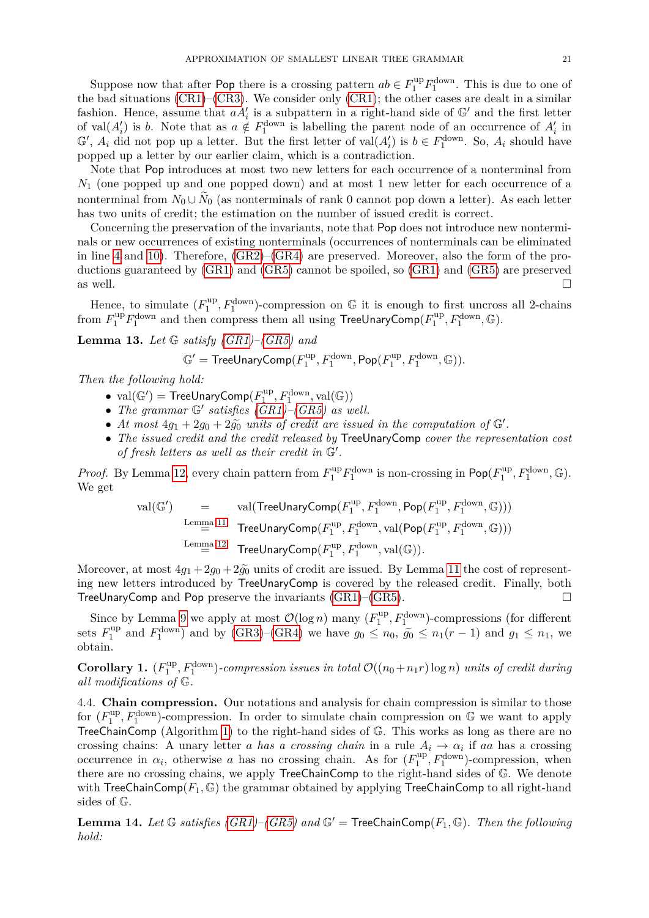Suppose now that after Pop there is a crossing pattern  $ab \in F_1^{\text{up}} F_1^{\text{down}}$ . This is due to one of the bad situations [\(CR1\)](#page-17-6)–[\(CR3\)](#page-17-7). We consider only [\(CR1\)](#page-17-6); the other cases are dealt in a similar fashion. Hence, assume that  $aA_i'$  is a subpattern in a right-hand side of  $\mathbb{G}'$  and the first letter of val $(A_i)$  is *b*. Note that as  $a \notin F_1^{\text{down}}$  is labelling the parent node of an occurrence of  $A_i'$  in  $\mathbb{G}'$ ,  $A_i$  did not pop up a letter. But the first letter of val $(A'_i)$  is  $b \in F_1^{\text{down}}$ . So,  $A_i$  should have popped up a letter by our earlier claim, which is a contradiction.

Note that Pop introduces at most two new letters for each occurrence of a nonterminal from *N*<sup>1</sup> (one popped up and one popped down) and at most 1 new letter for each occurrence of a nonterminal from  $N_0 \cup N_0$  (as nonterminals of rank 0 cannot pop down a letter). As each letter has two units of credit; the estimation on the number of issued credit is correct.

Concerning the preservation of the invariants, note that Pop does not introduce new nonterminals or new occurrences of existing nonterminals (occurrences of nonterminals can be eliminated in line [4](#page-19-1) and [10\)](#page-19-1). Therefore, [\(GR2\)](#page-17-3)–[\(GR4\)](#page-17-4) are preserved. Moreover, also the form of the productions guaranteed by [\(GR1\)](#page-17-1) and [\(GR5\)](#page-17-2) cannot be spoiled, so [\(GR1\)](#page-17-1) and [\(GR5\)](#page-17-2) are preserved as well.

Hence, to simulate  $(F_1^{\text{up}})$  $\mathbb{Z}_1^{\text{up}}, F_1^{\text{down}}$ -compression on  $\mathbb G$  it is enough to first uncross all 2-chains from  $F_1^{\text{up}}F_1^{\text{down}}$  and then compress them all using TreeUnaryComp( $F_1^{\text{up}}$  $I_1^{\text{up}}, F_1^{\text{down}}, \mathbb{G}$ .

<span id="page-20-2"></span>**Lemma 13.** *Let* G *satisfy [\(GR1\)](#page-17-1)–[\(GR5\)](#page-17-2) and*

$$
\mathbb{G}' = \mathsf{TreeUnaryComp}(F_1^{\text{up}}, F_1^{\text{down}}, \mathsf{Pop}(F_1^{\text{up}}, F_1^{\text{down}}, \mathbb{G})).
$$

*Then the following hold:*

- $val(\mathbb{G}') = \mathsf{Tree}$ UnaryComp $(F_1^{\text{up}})$  $I_1^{\text{up}}, F_1^{\text{down}}, \text{val}(\mathbb{G}))$
- *The grammar*  $\mathbb{G}'$  *satisfies*  $(GR1)$ – $(GR5)$  *as well.*
- *At most*  $4g_1 + 2g_0 + 2g_0$  *units of credit are issued in the computation of*  $\mathbb{G}'$ .
- *The issued credit and the credit released by* TreeUnaryComp *cover the representation cost* of fresh letters as well as their credit in  $\mathbb{G}'$ .

*Proof.* By Lemma [12,](#page-19-2) every chain pattern from  $F_1^{\text{up}} F_1^{\text{down}}$  is non-crossing in  $\text{Pop}(F_1^{\text{up}})$  $T_1^{\text{up}}, F_1^{\text{down}}, \mathbb{G}$ . We get

$$
\text{val}(\mathbb{G}') = \text{val}(\text{TreeUnaryComp}(F_1^{\text{up}}, F_1^{\text{down}}, \text{Pop}(F_1^{\text{up}}, F_1^{\text{down}}), \mathbb{G})))
$$
\n
$$
\xrightarrow{\text{Lemma 11}} \text{TreeUnaryComp}(F_1^{\text{up}}, F_1^{\text{down}}, \text{val}(\text{Pop}(F_1^{\text{up}}, F_1^{\text{down}}, \mathbb{G})))
$$
\n
$$
\xrightarrow{\text{Lemma 12}} \text{TreeUnaryComp}(F_1^{\text{up}}, F_1^{\text{down}}, \text{val}(\mathbb{G})).
$$

Moreover, at most  $4g_1 + 2g_0 + 2g_0$  units of credit are issued. By Lemma [11](#page-17-5) the cost of representing new letters introduced by TreeUnaryComp is covered by the released credit. Finally, both TreeUnaryComp and Pop preserve the invariants  $(GR1)$ – $(GR5)$ .

Since by Lemma [9](#page-13-3) we apply at most  $\mathcal{O}(\log n)$  many  $(F_1^{\text{up}})$  $\mathcal{L}_1^{\text{up}}, F_1^{\text{down}})$ -compressions (for different sets  $F_1^{\text{up}}$ <sup>tup</sup> and  $F_1^{\text{down}}$  and by [\(GR3\)](#page-17-8)–[\(GR4\)](#page-17-4) we have  $g_0 \le n_0$ ,  $\tilde{g}_0 \le n_1(r-1)$  and  $g_1 \le n_1$ , we obtain.

<span id="page-20-1"></span>**Corollary 1.**  $(F_1^{\text{up}})$  $\int_{1}^{\text{up}} P_{1}^{\text{down}}$  -compression issues in total  $\mathcal{O}((n_0+n_1r)\log n)$  units of credit during *all modifications of* G*.*

<span id="page-20-0"></span>4.4. **Chain compression.** Our notations and analysis for chain compression is similar to those for  $(F_1^{\text{up}})$  $\mathcal{L}_1^{\text{up}}, F_1^{\text{down}}$ -compression. In order to simulate chain compression on G we want to apply TreeChainComp (Algorithm [1\)](#page-7-1) to the right-hand sides of G. This works as long as there are no crossing chains: A unary letter *a has a crossing chain* in a rule  $A_i \rightarrow \alpha_i$  if *aa* has a crossing occurrence in  $\alpha_i$ , otherwise *a* has no crossing chain. As for  $(F_1^{\text{up}})$  $I_1^{\text{up}}, F_1^{\text{down}}$ -compression, when there are no crossing chains, we apply TreeChainComp to the right-hand sides of G. We denote with TreeChainComp( $F_1$ ,  $\mathbb{G}$ ) the grammar obtained by applying TreeChainComp to all right-hand sides of G.

**Lemma 14.** Let  $\mathbb{G}$  satisfies [\(GR1\)](#page-17-1)–[\(GR5\)](#page-17-2) and  $\mathbb{G}'$  = TreeChainComp( $F_1, \mathbb{G}$ ). Then the following *hold:*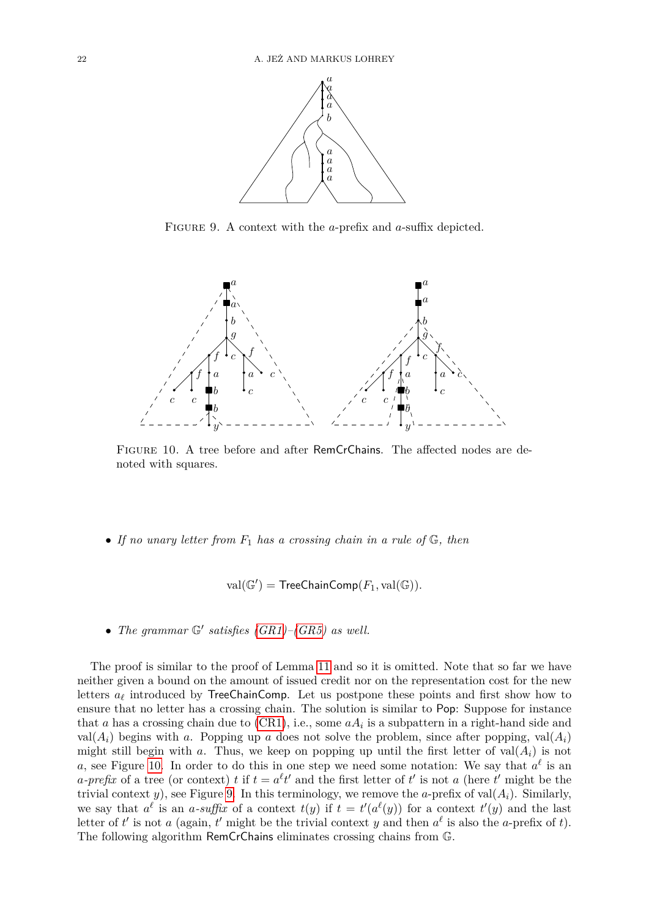<span id="page-21-1"></span>

FIGURE 9. A context with the *a*-prefix and *a*-suffix depicted.



Figure 10. A tree before and after RemCrChains. The affected nodes are denoted with squares.

• *If no unary letter from F*<sup>1</sup> *has a crossing chain in a rule of* G*, then*

<span id="page-21-0"></span>
$$
val(\mathbb{G}') = \mathsf{TreeChainComp}(F_1, val(\mathbb{G})).
$$

• *The grammar*  $\mathbb{G}'$  *satisfies [\(GR1\)](#page-17-1)*–*[\(GR5\)](#page-17-2) as well.* 

The proof is similar to the proof of Lemma [11](#page-17-5) and so it is omitted. Note that so far we have neither given a bound on the amount of issued credit nor on the representation cost for the new letters  $a_{\ell}$  introduced by TreeChainComp. Let us postpone these points and first show how to ensure that no letter has a crossing chain. The solution is similar to Pop: Suppose for instance that *a* has a crossing chain due to  $(CR1)$ , i.e., some  $aA_i$  is a subpattern in a right-hand side and val( $A_i$ ) begins with *a*. Popping up *a* does not solve the problem, since after popping, val( $A_i$ ) might still begin with *a*. Thus, we keep on popping up until the first letter of val $(A_i)$  is not a, see Figure [10.](#page-21-0) In order to do this in one step we need some notation: We say that  $a^{\ell}$  is an *a*-prefix of a tree (or context) *t* if  $t = a^{\ell}t'$  and the first letter of *t*' is not *a* (here *t*' might be the trivial context *y*), see Figure [9.](#page-21-1) In this terminology, we remove the *a*-prefix of val $(A_i)$ . Similarly, we say that  $a^{\ell}$  is an *a*-suffix of a context  $t(y)$  if  $t = t'(a^{\ell}(y))$  for a context  $t'(y)$  and the last letter of *t'* is not *a* (again, *t'* might be the trivial context *y* and then  $a^{\ell}$  is also the *a*-prefix of *t*). The following algorithm RemCrChains eliminates crossing chains from G.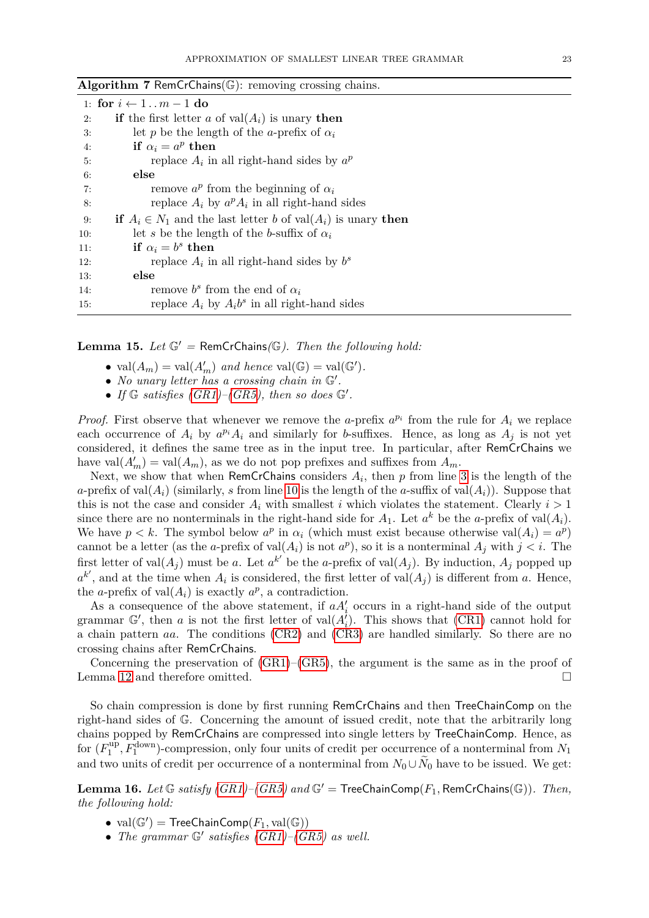<span id="page-22-0"></span>

|     | 1: for $i \leftarrow 1 \dots m - 1$ do                                     |  |  |
|-----|----------------------------------------------------------------------------|--|--|
| 2:  | if the first letter a of $val(A_i)$ is unary then                          |  |  |
| 3:  | let p be the length of the a-prefix of $\alpha_i$                          |  |  |
| 4:  | if $\alpha_i = a^p$ then                                                   |  |  |
| 5:  | replace $A_i$ in all right-hand sides by $a^p$                             |  |  |
| 6:  | else                                                                       |  |  |
| 7:  | remove $a^p$ from the beginning of $\alpha_i$                              |  |  |
| 8:  | replace $A_i$ by $a^p A_i$ in all right-hand sides                         |  |  |
| 9:  | <b>if</b> $A_i \in N_1$ and the last letter b of val $(A_i)$ is unary then |  |  |
| 10: | let s be the length of the b-suffix of $\alpha_i$                          |  |  |
| 11: | if $\alpha_i = b^s$ then                                                   |  |  |
| 12: | replace $A_i$ in all right-hand sides by $b^s$                             |  |  |
| 13: | else                                                                       |  |  |
| 14: | remove $b^s$ from the end of $\alpha_i$                                    |  |  |
| 15: | replace $A_i$ by $A_i b^s$ in all right-hand sides                         |  |  |

**Algorithm 7** RemCrChains(G): removing crossing chains.

<span id="page-22-2"></span>**Lemma 15.** Let  $\mathbb{G}'$  = RemCrChains $(\mathbb{G})$ . Then the following hold:

- $val(A_m) = val(A'_m)$  *and hence*  $val(\mathbb{G}) = val(\mathbb{G}').$
- *No unary letter has a crossing chain in*  $\mathbb{G}'$ .
- If  $\mathbb{G}$  satisfies  $(GR1)$ – $(GR5)$ , then so does  $\mathbb{G}'$ .

*Proof.* First observe that whenever we remove the *a*-prefix  $a^{p_i}$  from the rule for  $A_i$  we replace each occurrence of  $A_i$  by  $a^{p_i}A_i$  and similarly for *b*-suffixes. Hence, as long as  $A_j$  is not yet considered, it defines the same tree as in the input tree. In particular, after RemCrChains we have  $\text{val}(A'_m) = \text{val}(A_m)$ , as we do not pop prefixes and suffixes from  $A_m$ .

Next, we show that when RemCrChains considers  $A_i$ , then  $p$  from line [3](#page-22-0) is the length of the *a*-prefix of val $(A_i)$  (similarly, *s* from line [10](#page-22-0) is the length of the *a*-suffix of val $(A_i)$ ). Suppose that this is not the case and consider  $A_i$  with smallest *i* which violates the statement. Clearly  $i > 1$ since there are no nonterminals in the right-hand side for  $A_1$ . Let  $a^k$  be the *a*-prefix of val $(A_i)$ . We have  $p < k$ . The symbol below  $a^p$  in  $\alpha_i$  (which must exist because otherwise val $(A_i) = a^p$ ) cannot be a letter (as the *a*-prefix of val $(A_i)$  is not  $a^p$ ), so it is a nonterminal  $A_j$  with  $j < i$ . The first letter of val $(A_j)$  must be *a*. Let  $a^{k'}$  be the *a*-prefix of val $(A_j)$ . By induction,  $A_j$  popped up  $a^{k'}$ , and at the time when  $A_i$  is considered, the first letter of val $(A_j)$  is different from *a*. Hence, the *a*-prefix of val $(A_i)$  is exactly  $a^p$ , a contradiction.

As a consequence of the above statement, if  $aA_i'$  occurs in a right-hand side of the output grammar  $\mathbb{G}'$ , then *a* is not the first letter of val $(A<sub>i</sub><sup>j</sup>)$ . This shows that [\(CR1\)](#page-17-6) cannot hold for a chain pattern *aa*. The conditions [\(CR2\)](#page-17-9) and [\(CR3\)](#page-17-7) are handled similarly. So there are no crossing chains after RemCrChains.

Concerning the preservation of  $(GR1)$ – $(GR5)$ , the argument is the same as in the proof of Lemma [12](#page-19-2) and therefore omitted.  $\square$ 

So chain compression is done by first running RemCrChains and then TreeChainComp on the right-hand sides of G. Concerning the amount of issued credit, note that the arbitrarily long chains popped by RemCrChains are compressed into single letters by TreeChainComp. Hence, as for  $(F_1^{\text{up}})$ <sup>tup</sup>,  $F_1^{\text{down}}$ )-compression, only four units of credit per occurrence of a nonterminal from  $N_1$ and two units of credit per occurrence of a nonterminal from  $N_0 \cup N_0$  have to be issued. We get:

<span id="page-22-1"></span>**Lemma 16.** *Let* G *satisfy*  $(GR1)$ *–* $(GR5)$  *and* G' = TreeChainComp( $F_1$ , RemCrChains(G)). *Then, the following hold:*

- $val(\mathbb{G}') = \mathsf{TreeChainComp}(F_1, val(\mathbb{G}))$
- The grammar  $\mathbb{G}'$  satisfies  $(GR1)$ – $(GR5)$  as well.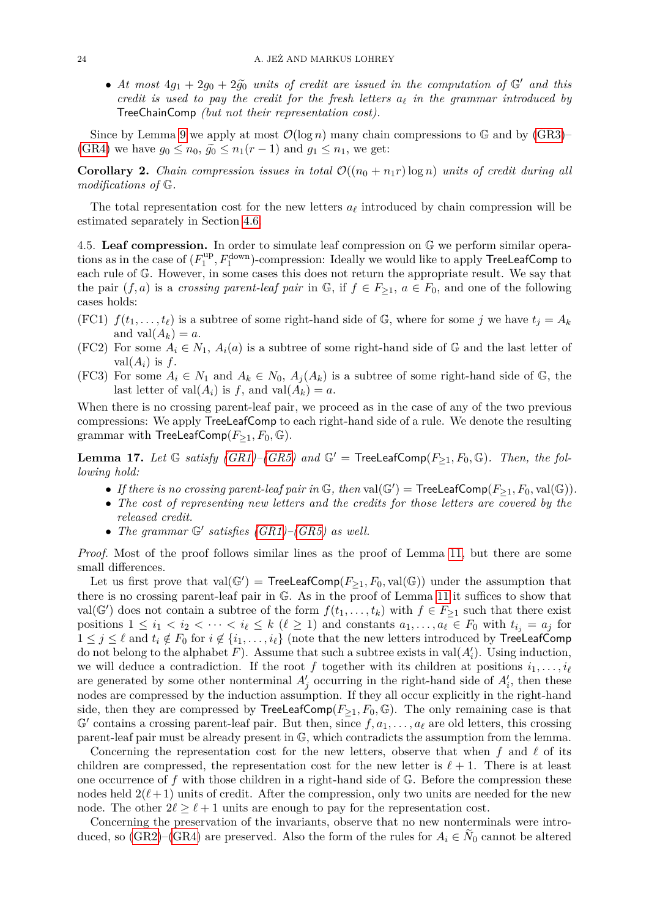• At most  $4g_1 + 2g_0 + 2\tilde{g}_0$  *units of credit are issued in the computation of*  $\mathbb{G}'$  *and this credit is used to pay the credit for the fresh letters*  $a_\ell$  *in the grammar introduced by* TreeChainComp *(but not their representation cost).*

Since by Lemma [9](#page-13-3) we apply at most  $\mathcal{O}(\log n)$  many chain compressions to G and by  $(GR3)$ – [\(GR4\)](#page-17-4) we have  $g_0 \leq n_0$ ,  $\tilde{g}_0 \leq n_1(r-1)$  and  $g_1 \leq n_1$ , we get:

<span id="page-23-5"></span>**Corollary 2.** *Chain compression issues in total*  $\mathcal{O}((n_0 + n_1r) \log n)$  *units of credit during all modifications of* G*.*

The total representation cost for the new letters  $a_\ell$  introduced by chain compression will be estimated separately in Section [4.6.](#page-28-0)

<span id="page-23-0"></span>4.5. **Leaf compression.** In order to simulate leaf compression on G we perform similar operations as in the case of  $(F_1^{\text{up}})$  $\mathcal{H}_1^{\text{up}}, F_1^{\text{down}})$ -compression: Ideally we would like to apply  $\sf TreeLeafComp$  to each rule of G. However, in some cases this does not return the appropriate result. We say that the pair  $(f, a)$  is a *crossing parent-leaf pair* in  $\mathbb{G}$ , if  $f \in F_{\geq 1}$ ,  $a \in F_0$ , and one of the following cases holds:

- <span id="page-23-3"></span>(FC1)  $f(t_1, \ldots, t_\ell)$  is a subtree of some right-hand side of G, where for some *j* we have  $t_j = A_k$ and  $val(A_k) = a$ .
- <span id="page-23-1"></span>(FC2) For some  $A_i \in N_1$ ,  $A_i(a)$  is a subtree of some right-hand side of  $\mathbb{G}$  and the last letter of  $val(A_i)$  is  $f$ .
- <span id="page-23-2"></span>(FC3) For some  $A_i \in N_1$  and  $A_k \in N_0$ ,  $A_i(A_k)$  is a subtree of some right-hand side of  $\mathbb{G}$ , the last letter of  $val(A_i)$  is f, and  $val(A_k) = a$ .

When there is no crossing parent-leaf pair, we proceed as in the case of any of the two previous compressions: We apply TreeLeafComp to each right-hand side of a rule. We denote the resulting grammar with  $TreeLeafComp(F_{\geq 1}, F_0, \mathbb{G})$ .

<span id="page-23-4"></span>**Lemma 17.** Let  $\mathbb{G}$  satisfy [\(GR1\)](#page-17-1)–[\(GR5\)](#page-17-2) and  $\mathbb{G}'$  = TreeLeafComp( $F_{\geq 1}$ ,  $F_0$ ,  $\mathbb{G}$ ). Then, the fol*lowing hold:*

- If there is no crossing parent-leaf pair in  $\mathbb{G}$ , then  $val(\mathbb{G}') = \mathsf{TreeLeafComp}(F_{\geq 1}, F_0, val(\mathbb{G}))$ .
- *The cost of representing new letters and the credits for those letters are covered by the released credit.*
- *The grammar*  $\mathbb{G}'$  *satisfies [\(GR1\)](#page-17-1)*–*[\(GR5\)](#page-17-2) as well.*

*Proof.* Most of the proof follows similar lines as the proof of Lemma [11,](#page-17-5) but there are some small differences.

Let us first prove that  $val(\mathbb{G}') = \mathsf{TreeLeafComp}(F_{\geq 1}, F_0, val(\mathbb{G}))$  under the assumption that there is no crossing parent-leaf pair in G. As in the proof of Lemma [11](#page-17-5) it suffices to show that val( $\mathbb{G}'$ ) does not contain a subtree of the form  $f(t_1, \ldots, t_k)$  with  $f \in F_{\geq 1}$  such that there exist positions  $1 \leq i_1 < i_2 < \cdots < i_\ell \leq k \ (\ell \geq 1)$  and constants  $a_1, \ldots, a_\ell \in F_0$  with  $t_{i_j} = a_j$  for  $1 \leq j \leq \ell$  and  $t_i \notin F_0$  for  $i \notin \{i_1, \ldots, i_\ell\}$  (note that the new letters introduced by **TreeLeafComp** do not belong to the alphabet  $F$ ). Assume that such a subtree exists in val $(A'_i)$ . Using induction, we will deduce a contradiction. If the root f together with its children at positions  $i_1, \ldots, i_\ell$ are generated by some other nonterminal  $A'_{j}$  occurring in the right-hand side of  $A'_{i}$ , then these nodes are compressed by the induction assumption. If they all occur explicitly in the right-hand side, then they are compressed by TreeLeafComp( $F_{\geq 1}$ ,  $F_0$ ,  $\mathbb{G}$ ). The only remaining case is that  $\mathbb{G}'$  contains a crossing parent-leaf pair. But then, since  $f, a_1, \ldots, a_\ell$  are old letters, this crossing parent-leaf pair must be already present in G, which contradicts the assumption from the lemma.

Concerning the representation cost for the new letters, observe that when  $f$  and  $\ell$  of its children are compressed, the representation cost for the new letter is  $\ell + 1$ . There is at least one occurrence of *f* with those children in a right-hand side of G. Before the compression these nodes held  $2(\ell + 1)$  units of credit. After the compression, only two units are needed for the new node. The other  $2\ell \geq \ell + 1$  units are enough to pay for the representation cost.

Concerning the preservation of the invariants, observe that no new nonterminals were introduced, so  $(GR2)$ – $(GR4)$  are preserved. Also the form of the rules for  $A_i \in N_0$  cannot be altered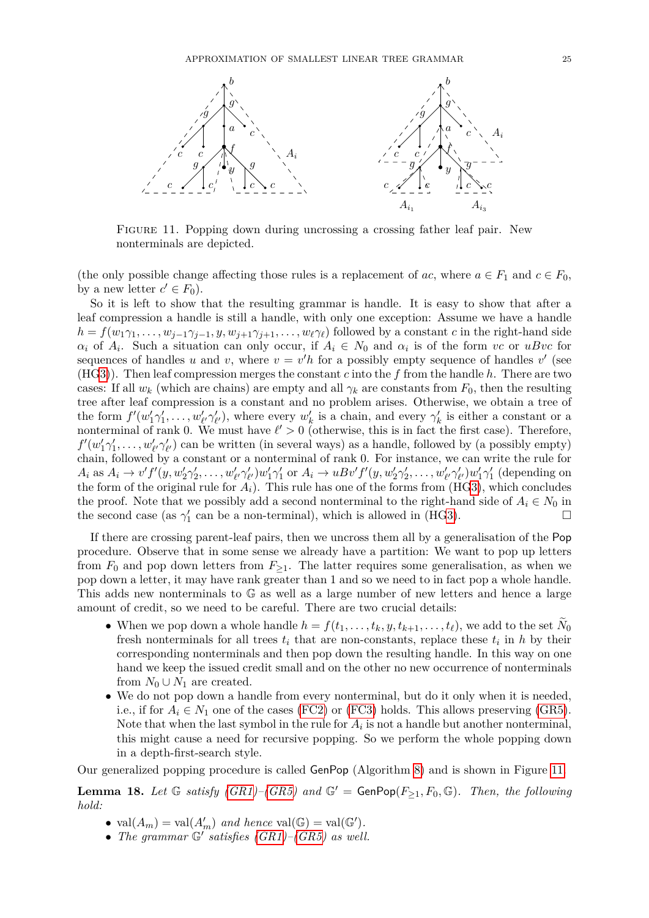

<span id="page-24-0"></span>Figure 11. Popping down during uncrossing a crossing father leaf pair. New nonterminals are depicted.

(the only possible change affecting those rules is a replacement of *ac*, where  $a \in F_1$  and  $c \in F_0$ , by a new letter  $c' \in F_0$ ).

So it is left to show that the resulting grammar is handle. It is easy to show that after a leaf compression a handle is still a handle, with only one exception: Assume we have a handle  $h = f(w_1 \gamma_1, \ldots, w_{j-1} \gamma_{j-1}, y, w_{j+1} \gamma_{j+1}, \ldots, w_\ell \gamma_\ell)$  followed by a constant *c* in the right-hand side  $\alpha_i$  of  $A_i$ . Such a situation can only occur, if  $A_i \in N_0$  and  $\alpha_i$  is of the form *vc* or *uBvc* for sequences of handles *u* and *v*, where  $v = v'h$  for a possibly empty sequence of handles *v'* (see (H[G3\)](#page-15-2)). Then leaf compression merges the constant *c* into the *f* from the handle *h*. There are two cases: If all  $w_k$  (which are chains) are empty and all  $\gamma_k$  are constants from  $F_0$ , then the resulting tree after leaf compression is a constant and no problem arises. Otherwise, we obtain a tree of the form  $f'(w'_1\gamma'_1,\ldots,w'_{\ell'}\gamma'_{\ell'})$ , where every  $w'_k$  is a chain, and every  $\gamma'_k$  is either a constant or a nonterminal of rank 0. We must have  $\ell' > 0$  (otherwise, this is in fact the first case). Therefore,  $f'(w'_1\gamma'_1,\ldots,w'_{\ell'}\gamma'_{\ell'})$  can be written (in several ways) as a handle, followed by (a possibly empty) chain, followed by a constant or a nonterminal of rank 0. For instance, we can write the rule for  $A_i$  as  $A_i \to v'f'(y, w'_2\gamma'_2, \ldots, w'_{\ell'}\gamma'_{\ell'})w'_1\gamma'_1$  or  $A_i \to uBv'f'(y, w'_2\gamma'_2, \ldots, w'_{\ell'}\gamma'_{\ell'})w'_1\gamma'_1$  (depending on the form of the original rule for  $A_i$ ). This rule has one of the forms from (H[G3\)](#page-15-2), which concludes the proof. Note that we possibly add a second nonterminal to the right-hand side of  $A_i \in N_0$  in the second case (as  $\gamma'_1$  can be a non-terminal), which is allowed in (H[G3\)](#page-15-2).

If there are crossing parent-leaf pairs, then we uncross them all by a generalisation of the Pop procedure. Observe that in some sense we already have a partition: We want to pop up letters from  $F_0$  and pop down letters from  $F_{\geq 1}$ . The latter requires some generalisation, as when we pop down a letter, it may have rank greater than 1 and so we need to in fact pop a whole handle. This adds new nonterminals to G as well as a large number of new letters and hence a large amount of credit, so we need to be careful. There are two crucial details:

- When we pop down a whole handle  $h = f(t_1, \ldots, t_k, y, t_{k+1}, \ldots, t_\ell)$ , we add to the set  $N_0$ fresh nonterminals for all trees  $t_i$  that are non-constants, replace these  $t_i$  in  $h$  by their corresponding nonterminals and then pop down the resulting handle. In this way on one hand we keep the issued credit small and on the other no new occurrence of nonterminals from  $N_0 \cup N_1$  are created.
- We do not pop down a handle from every nonterminal, but do it only when it is needed, i.e., if for  $A_i \in N_1$  one of the cases [\(FC2\)](#page-23-1) or [\(FC3\)](#page-23-2) holds. This allows preserving [\(GR5\)](#page-17-2). Note that when the last symbol in the rule for  $A_i$  is not a handle but another nonterminal, this might cause a need for recursive popping. So we perform the whole popping down in a depth-first-search style.

Our generalized popping procedure is called GenPop (Algorithm [8\)](#page-25-0) and is shown in Figure [11.](#page-24-0)

<span id="page-24-1"></span>**Lemma 18.** Let  $\mathbb{G}$  *satisfy*  $(GR1)$ *–* $(GR5)$  and  $\mathbb{G}'$  = GenPop $(F_{\geq 1}, F_0, \mathbb{G})$ *. Then, the following hold:*

- $val(A_m) = val(A'_m)$  *and hence*  $val(\mathbb{G}) = val(\mathbb{G}').$
- The grammar  $\mathbb{G}'$  satisfies  $(GR1)$ – $(GR5)$  as well.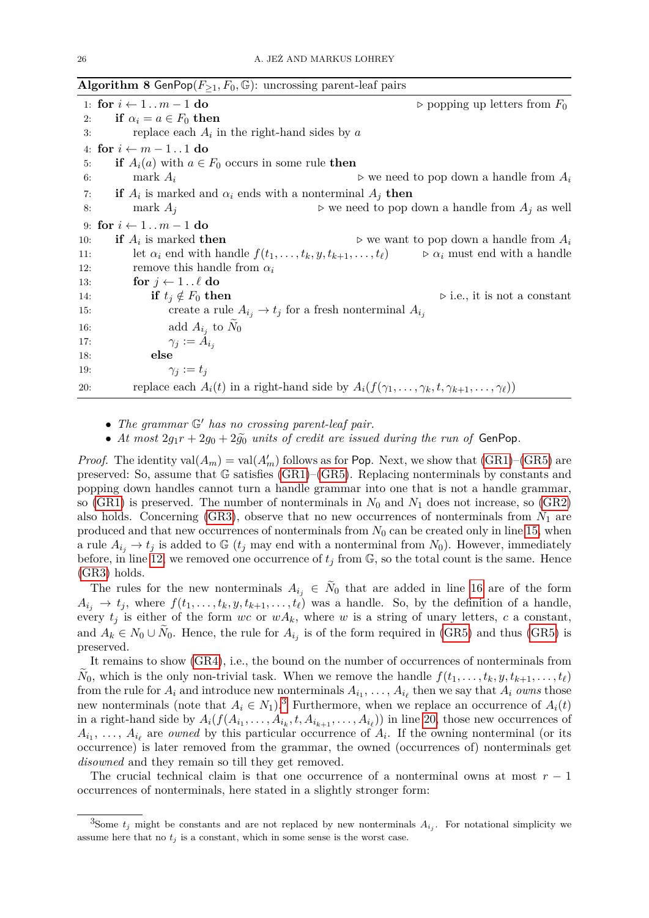<span id="page-25-0"></span>

|     | <b>Algorithm 8</b> Genrop $(r_{\geq 1}, r_0, \mathbb{F})$ : uncrossing parent-leal pairs |                                                                                                                      |
|-----|------------------------------------------------------------------------------------------|----------------------------------------------------------------------------------------------------------------------|
|     | 1: for $i \leftarrow 1 \dots m - 1$ do                                                   | $\triangleright$ popping up letters from $F_0$                                                                       |
| 2:  | if $\alpha_i = a \in F_0$ then                                                           |                                                                                                                      |
| 3:  | replace each $A_i$ in the right-hand sides by a                                          |                                                                                                                      |
|     | 4: for $i \leftarrow m-11$ do                                                            |                                                                                                                      |
| 5:  | <b>if</b> $A_i(a)$ with $a \in F_0$ occurs in some rule <b>then</b>                      |                                                                                                                      |
| 6:  | mark $A_i$                                                                               | $\triangleright$ we need to pop down a handle from $A_i$                                                             |
| 7:  | <b>if</b> $A_i$ is marked and $\alpha_i$ ends with a nonterminal $A_i$ then              |                                                                                                                      |
| 8:  | mark $A_i$                                                                               | $\triangleright$ we need to pop down a handle from $A_i$ as well                                                     |
|     | 9: for $i \leftarrow 1 \dots m - 1$ do                                                   |                                                                                                                      |
| 10: | <b>if</b> $A_i$ is marked <b>then</b>                                                    | $\triangleright$ we want to pop down a handle from $A_i$                                                             |
| 11: | let $\alpha_i$ end with handle $f(t_1,\ldots,t_k,y,t_{k+1},\ldots,t_\ell)$               | $\triangleright \alpha_i$ must end with a handle                                                                     |
| 12: | remove this handle from $\alpha_i$                                                       |                                                                                                                      |
| 13: | for $j \leftarrow 1 \dots \ell$ do                                                       |                                                                                                                      |
| 14: | if $t_j \notin F_0$ then                                                                 | $\triangleright$ i.e., it is not a constant                                                                          |
| 15: |                                                                                          | create a rule $A_{i_j} \rightarrow t_j$ for a fresh nonterminal $A_{i_j}$                                            |
| 16: | add $A_{i_j}$ to $N_0$                                                                   |                                                                                                                      |
| 17: | $\gamma_i := A_{i_i}$                                                                    |                                                                                                                      |
| 18: | else                                                                                     |                                                                                                                      |
| 19: | $\gamma_i := t_i$                                                                        |                                                                                                                      |
| 20: |                                                                                          | replace each $A_i(t)$ in a right-hand side by $A_i(f(\gamma_1,\ldots,\gamma_k,t,\gamma_{k+1},\ldots,\gamma_{\ell}))$ |

 $ALom<sub>1</sub>$   $\mathbf{Q}$   $CanDom<sub>2</sub>$ 

• The grammar  $\mathbb{G}'$  has no crossing parent-leaf pair.

• At most  $2g_1r + 2g_0 + 2\tilde{g}_0$  *units of credit are issued during the run of* GenPop.

*Proof.* The identity val $(A_m) = \text{val}(A'_m)$  follows as for Pop. Next, we show that  $(GR1)$ – $(GR5)$  are preserved: So, assume that G satisfies [\(GR1\)](#page-17-1)–[\(GR5\)](#page-17-2). Replacing nonterminals by constants and popping down handles cannot turn a handle grammar into one that is not a handle grammar, so [\(GR1\)](#page-17-1) is preserved. The number of nonterminals in  $N_0$  and  $N_1$  does not increase, so [\(GR2\)](#page-17-3) also holds. Concerning  $(GR3)$ , observe that no new occurrences of nonterminals from  $N_1$  are produced and that new occurrences of nonterminals from *N*<sup>0</sup> can be created only in line [15,](#page-25-0) when a rule  $A_{i_j} \to t_j$  is added to G ( $t_j$  may end with a nonterminal from  $N_0$ ). However, immediately before, in line [12,](#page-25-0) we removed one occurrence of  $t_j$  from  $\mathbb{G}$ , so the total count is the same. Hence [\(GR3\)](#page-17-8) holds.

The rules for the new nonterminals  $A_{i_j} \in N_0$  that are added in line [16](#page-25-0) are of the form  $A_{i_j} \rightarrow t_j$ , where  $f(t_1, \ldots, t_k, y, t_{k+1}, \ldots, t_{\ell})$  was a handle. So, by the definition of a handle, every  $t_j$  is either of the form *wc* or  $wA_k$ , where *w* is a string of unary letters, *c* a constant, and  $A_k \in N_0 \cup N_0$ . Hence, the rule for  $A_{i_j}$  is of the form required in [\(GR5\)](#page-17-2) and thus (GR5) is preserved.

It remains to show [\(GR4\)](#page-17-4), i.e., the bound on the number of occurrences of nonterminals from  $N_0$ , which is the only non-trivial task. When we remove the handle  $f(t_1, \ldots, t_k, y, t_{k+1}, \ldots, t_\ell)$ from the rule for  $A_i$  and introduce new nonterminals  $A_{i_1}, \ldots, A_{i_\ell}$  then we say that  $A_i$  *owns* those new nonterminals (note that  $A_i \in N_1$ ).<sup>[3](#page-25-1)</sup> Furthermore, when we replace an occurrence of  $A_i(t)$ in a right-hand side by  $A_i(f(A_{i_1},\ldots,A_{i_k},t,A_{i_{k+1}},\ldots,A_{i_\ell}))$  in line [20,](#page-25-0) those new occurrences of  $A_{i_1}, \ldots, A_{i_\ell}$  are *owned* by this particular occurrence of  $A_i$ . If the owning nonterminal (or its occurrence) is later removed from the grammar, the owned (occurrences of) nonterminals get *disowned* and they remain so till they get removed.

The crucial technical claim is that one occurrence of a nonterminal owns at most *r* − 1 occurrences of nonterminals, here stated in a slightly stronger form:

<span id="page-25-1"></span><sup>&</sup>lt;sup>3</sup>Some  $t_j$  might be constants and are not replaced by new nonterminals  $A_{i_j}$ . For notational simplicity we assume here that no  $t_j$  is a constant, which in some sense is the worst case.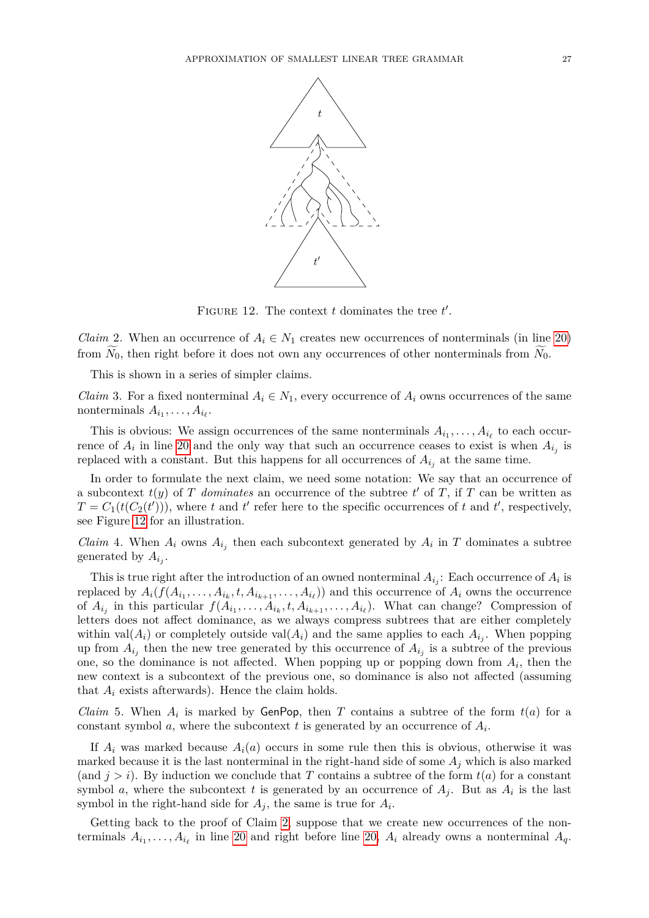

<span id="page-26-0"></span>FIGURE 12. The context  $t$  dominates the tree  $t'$ .

<span id="page-26-1"></span>*Claim* 2. When an occurrence of  $A_i \in N_1$  creates new occurrences of nonterminals (in line [20\)](#page-25-0) from  $\widetilde{N}_0$ , then right before it does not own any occurrences of other nonterminals from  $\widetilde{N}_0$ .

This is shown in a series of simpler claims.

<span id="page-26-3"></span>*Claim* 3. For a fixed nonterminal  $A_i \in N_1$ , every occurrence of  $A_i$  owns occurrences of the same nonterminals  $A_{i_1}, \ldots, A_{i_\ell}$ .

This is obvious: We assign occurrences of the same nonterminals  $A_{i_1}, \ldots, A_{i_\ell}$  to each occurrence of  $A_i$  in line [20](#page-25-0) and the only way that such an occurrence ceases to exist is when  $A_{i_j}$  is replaced with a constant. But this happens for all occurrences of  $A_{i_j}$  at the same time.

In order to formulate the next claim, we need some notation: We say that an occurrence of a subcontext  $t(y)$  of *T* dominates an occurrence of the subtree  $t'$  of *T*, if *T* can be written as  $T = C_1(t(C_2(t')))$ , where *t* and *t*<sup> $\prime$ </sup> refer here to the specific occurrences of *t* and *t*<sup> $\prime$ </sup>, respectively, see Figure [12](#page-26-0) for an illustration.

<span id="page-26-4"></span>*Claim* 4. When  $A_i$  owns  $A_{i_j}$  then each subcontext generated by  $A_i$  in *T* dominates a subtree generated by  $A_{i_j}$ .

This is true right after the introduction of an owned nonterminal  $A_{i_j}$ : Each occurrence of  $A_i$  is replaced by  $A_i(f(A_{i_1}, \ldots, A_{i_k}, t, A_{i_{k+1}}, \ldots, A_{i_\ell}))$  and this occurrence of  $A_i$  owns the occurrence of  $A_{i_j}$  in this particular  $f(A_{i_1}, \ldots, A_{i_k}, t, A_{i_{k+1}}, \ldots, A_{i_\ell})$ . What can change? Compression of letters does not affect dominance, as we always compress subtrees that are either completely within val $(A_i)$  or completely outside val $(A_i)$  and the same applies to each  $A_{i_j}$ . When popping up from  $A_{i_j}$  then the new tree generated by this occurrence of  $A_{i_j}$  is a subtree of the previous one, so the dominance is not affected. When popping up or popping down from  $A_i$ , then the new context is a subcontext of the previous one, so dominance is also not affected (assuming that  $A_i$  exists afterwards). Hence the claim holds.

<span id="page-26-2"></span>*Claim* 5. When  $A_i$  is marked by GenPop, then *T* contains a subtree of the form  $t(a)$  for a constant symbol *a*, where the subcontext *t* is generated by an occurrence of *A<sup>i</sup>* .

If  $A_i$  was marked because  $A_i(a)$  occurs in some rule then this is obvious, otherwise it was marked because it is the last nonterminal in the right-hand side of some  $A_j$  which is also marked (and  $j > i$ ). By induction we conclude that *T* contains a subtree of the form  $t(a)$  for a constant symbol *a*, where the subcontext *t* is generated by an occurrence of  $A_j$ . But as  $A_i$  is the last symbol in the right-hand side for  $A_j$ , the same is true for  $A_i$ .

Getting back to the proof of Claim [2,](#page-26-1) suppose that we create new occurrences of the nonterminals  $A_{i_1}, \ldots, A_{i_\ell}$  in line [20](#page-25-0) and right before line [20,](#page-25-0)  $A_i$  already owns a nonterminal  $A_q$ .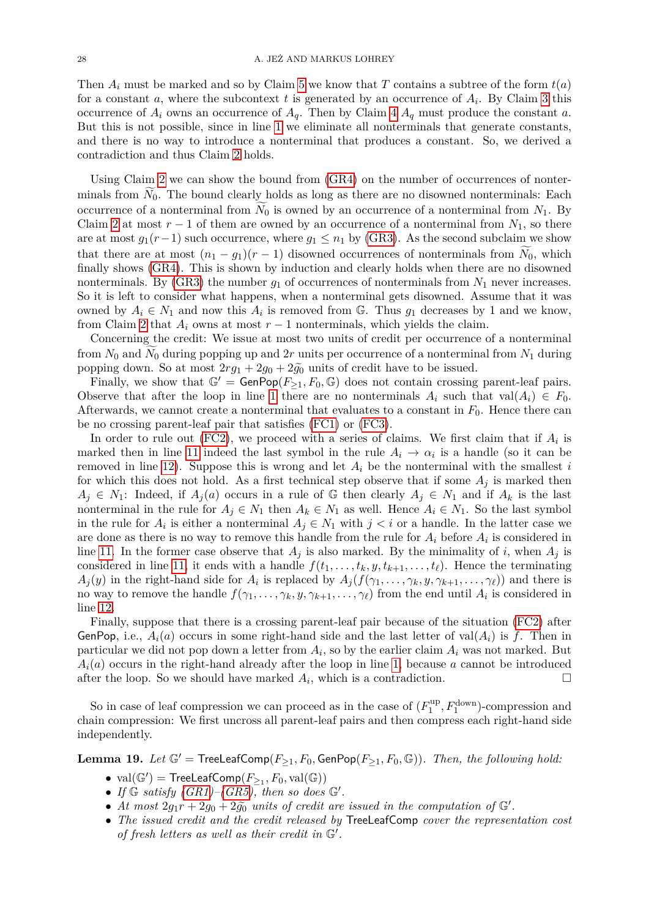Then *A<sup>i</sup>* must be marked and so by Claim [5](#page-26-2) we know that *T* contains a subtree of the form *t*(*a*) for a constant *a*, where the subcontext *t* is generated by an occurrence of *A<sup>i</sup>* . By Claim [3](#page-26-3) this occurrence of  $A_i$  owns an occurrence of  $A_q$ . Then by Claim [4](#page-26-4)  $A_q$  must produce the constant *a*. But this is not possible, since in line [1](#page-25-0) we eliminate all nonterminals that generate constants, and there is no way to introduce a nonterminal that produces a constant. So, we derived a contradiction and thus Claim [2](#page-26-1) holds.

Using Claim [2](#page-26-1) we can show the bound from [\(GR4\)](#page-17-4) on the number of occurrences of nonterminals from  $N_0$ . The bound clearly holds as long as there are no disowned nonterminals: Each occurrence of a nonterminal from  $N_0$  is owned by an occurrence of a nonterminal from  $N_1$ . By Claim [2](#page-26-1) at most  $r - 1$  of them are owned by an occurrence of a nonterminal from  $N_1$ , so there are at most  $g_1(r-1)$  such occurrence, where  $g_1 \leq n_1$  by [\(GR3\)](#page-17-8). As the second subclaim we show that there are at most  $(n_1 - g_1)(r - 1)$  disowned occurrences of nonterminals from  $N_0$ , which finally shows [\(GR4\)](#page-17-4). This is shown by induction and clearly holds when there are no disowned nonterminals. By [\(GR3\)](#page-17-8) the number  $q_1$  of occurrences of nonterminals from  $N_1$  never increases. So it is left to consider what happens, when a nonterminal gets disowned. Assume that it was owned by  $A_i \in N_1$  and now this  $A_i$  is removed from G. Thus  $g_1$  decreases by 1 and we know, from Claim [2](#page-26-1) that  $A_i$  owns at most  $r-1$  nonterminals, which yields the claim.

Concerning the credit: We issue at most two units of credit per occurrence of a nonterminal from  $N_0$  and  $\widetilde{N}_0$  during popping up and 2*r* units per occurrence of a nonterminal from  $N_1$  during popping down. So at most  $2rg_1 + 2g_0 + 2\tilde{g}_0$  units of credit have to be issued.

Finally, we show that  $\mathbb{G}^{\prime} = \mathsf{GenPop}(F_{\geq 1}, F_0, \mathbb{G})$  does not contain crossing parent-leaf pairs. Observe that after the loop in line [1](#page-25-0) there are no nonterminals  $A_i$  such that val $(A_i) \in F_0$ . Afterwards, we cannot create a nonterminal that evaluates to a constant in  $F_0$ . Hence there can be no crossing parent-leaf pair that satisfies [\(FC1\)](#page-23-3) or [\(FC3\)](#page-23-2).

In order to rule out [\(FC2\)](#page-23-1), we proceed with a series of claims. We first claim that if  $A_i$  is marked then in line [11](#page-25-0) indeed the last symbol in the rule  $A_i \to \alpha_i$  is a handle (so it can be removed in line [12\)](#page-25-0). Suppose this is wrong and let *A<sup>i</sup>* be the nonterminal with the smallest *i* for which this does not hold. As a first technical step observe that if some  $A_j$  is marked then  $A_j \in N_1$ : Indeed, if  $A_j(a)$  occurs in a rule of G then clearly  $A_j \in N_1$  and if  $A_k$  is the last nonterminal in the rule for  $A_j \in N_1$  then  $A_k \in N_1$  as well. Hence  $A_i \in N_1$ . So the last symbol in the rule for  $A_i$  is either a nonterminal  $A_j \in N_1$  with  $j < i$  or a handle. In the latter case we are done as there is no way to remove this handle from the rule for *A<sup>i</sup>* before *A<sup>i</sup>* is considered in line [11.](#page-25-0) In the former case observe that  $A_j$  is also marked. By the minimality of *i*, when  $A_j$  is considered in line [11,](#page-25-0) it ends with a handle  $f(t_1, \ldots, t_k, y, t_{k+1}, \ldots, t_\ell)$ . Hence the terminating  $A_j(y)$  in the right-hand side for  $A_i$  is replaced by  $A_j(f(\gamma_1,\ldots,\gamma_k,y,\gamma_{k+1},\ldots,\gamma_\ell))$  and there is no way to remove the handle  $f(\gamma_1, \ldots, \gamma_k, y, \gamma_{k+1}, \ldots, \gamma_\ell)$  from the end until  $A_i$  is considered in line [12.](#page-25-0)

Finally, suppose that there is a crossing parent-leaf pair because of the situation [\(FC2\)](#page-23-1) after GenPop, i.e.,  $A_i(a)$  occurs in some right-hand side and the last letter of val $(A_i)$  is f. Then in particular we did not pop down a letter from  $A_i$ , so by the earlier claim  $A_i$  was not marked. But  $A_i(a)$  occurs in the right-hand already after the loop in line [1,](#page-25-0) because *a* cannot be introduced after the loop. So we should have marked  $A_i$ , which is a contradiction.

So in case of leaf compression we can proceed as in the case of  $(F_1^{\text{up}})$  $I_1^{\text{up}}, F_1^{\text{down}}$ -compression and chain compression: We first uncross all parent-leaf pairs and then compress each right-hand side independently.

<span id="page-27-0"></span>**Lemma 19.** *Let*  $\mathbb{G}'$  = TreeLeafComp( $F_{\geq 1}$ ,  $F_0$ , GenPop( $F_{\geq 1}$ ,  $F_0$ ,  $\mathbb{G}$ )). *Then, the following hold:* 

- $\bullet$  val $(\mathbb{G}')$  = TreeLeafComp $(F_{\geq 1}, F_0, \text{val}(\mathbb{G}))$
- If  $\mathbb{G}$  satisfy  $(GR1) (GR5)$  $(GR1) (GR5)$  $(GR1) (GR5)$ , then so does  $\mathbb{G}'$ .
- *At most*  $2g_1r + 2g_0 + 2g_0$  *units of credit are issued in the computation of*  $G'$ .
- *The issued credit and the credit released by* TreeLeafComp *cover the representation cost of fresh letters as well as their credit in*  $\mathbb{G}'$ .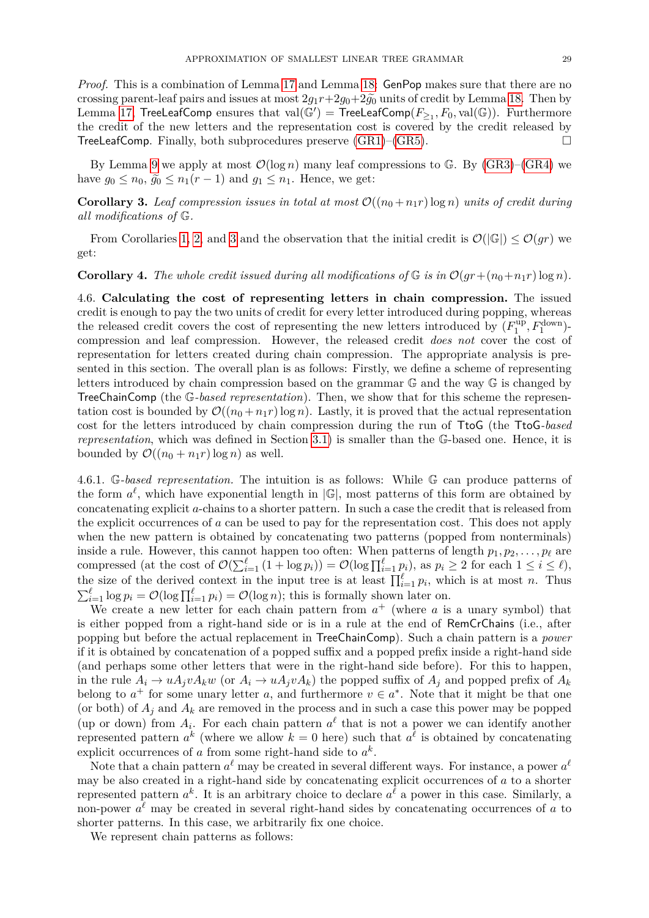*Proof.* This is a combination of Lemma [17](#page-23-4) and Lemma [18:](#page-24-1) GenPop makes sure that there are no crossing parent-leaf pairs and issues at most  $2g_1r+2g_0+2g_0$  units of credit by Lemma [18.](#page-24-1) Then by Lemma [17,](#page-23-4) TreeLeafComp ensures that  $val(\mathbb{G}') = \mathsf{TreeLeafComp}(F_{\geq 1}, F_0, val(\mathbb{G}))$ . Furthermore the credit of the new letters and the representation cost is covered by the credit released by TreeLeafComp. Finally, both subprocedures preserve  $(GR1)$ – $(GR5)$ .

By Lemma [9](#page-13-3) we apply at most  $\mathcal{O}(\log n)$  many leaf compressions to G. By [\(GR3\)](#page-17-8)–[\(GR4\)](#page-17-4) we have  $q_0 \leq n_0$ ,  $\tilde{q}_0 \leq n_1(r-1)$  and  $q_1 \leq n_1$ . Hence, we get:

<span id="page-28-1"></span>**Corollary 3.** Leaf compression issues in total at most  $\mathcal{O}((n_0 + n_1r) \log n)$  *units of credit during all modifications of* G*.*

From Corollaries [1,](#page-20-1) [2,](#page-23-5) and [3](#page-28-1) and the observation that the initial credit is  $\mathcal{O}(|\mathbb{G}|) \leq \mathcal{O}(gr)$  we get:

#### <span id="page-28-2"></span>**Corollary 4.** The whole credit issued during all modifications of  $G$  is in  $\mathcal{O}(gr + (n_0 + n_1r) \log n)$ .

<span id="page-28-0"></span>4.6. **Calculating the cost of representing letters in chain compression.** The issued credit is enough to pay the two units of credit for every letter introduced during popping, whereas the released credit covers the cost of representing the new letters introduced by  $(F_1^{\text{up}})$  $T_1^{\text{up}}, F_1^{\text{down}}$ )compression and leaf compression. However, the released credit *does not* cover the cost of representation for letters created during chain compression. The appropriate analysis is presented in this section. The overall plan is as follows: Firstly, we define a scheme of representing letters introduced by chain compression based on the grammar G and the way G is changed by TreeChainComp (the G*-based representation*). Then, we show that for this scheme the representation cost is bounded by  $\mathcal{O}((n_0 + n_1r) \log n)$ . Lastly, it is proved that the actual representation cost for the letters introduced by chain compression during the run of TtoG (the TtoG*-based representation*, which was defined in Section [3.1\)](#page-9-2) is smaller than the G-based one. Hence, it is bounded by  $\mathcal{O}((n_0 + n_1r) \log n)$  as well.

4.6.1. G*-based representation.* The intuition is as follows: While G can produce patterns of the form  $a^{\ell}$ , which have exponential length in  $|\mathbb{G}|$ , most patterns of this form are obtained by concatenating explicit *a*-chains to a shorter pattern. In such a case the credit that is released from the explicit occurrences of *a* can be used to pay for the representation cost. This does not apply when the new pattern is obtained by concatenating two patterns (popped from nonterminals) inside a rule. However, this cannot happen too often: When patterns of length  $p_1, p_2, \ldots, p_\ell$  are compressed (at the cost of  $\mathcal{O}(\sum_{i=1}^{\ell} (1 + \log p_i)) = \mathcal{O}(\log \prod_{i=1}^{\ell} p_i)$ , as  $p_i \geq 2$  for each  $1 \leq i \leq \ell$ ), the size of the derived context in the input tree is at least  $\prod_{i=1}^{\ell} p_i$ , which is at most *n*. Thus  $\sum_{i=1}^{\ell} \log p_i = \mathcal{O}(\log \prod_{i=1}^{\ell} p_i) = \mathcal{O}(\log n)$ ; this is formally shown later on.

We create a new letter for each chain pattern from  $a^+$  (where a is a unary symbol) that is either popped from a right-hand side or is in a rule at the end of RemCrChains (i.e., after popping but before the actual replacement in TreeChainComp). Such a chain pattern is a *power* if it is obtained by concatenation of a popped suffix and a popped prefix inside a right-hand side (and perhaps some other letters that were in the right-hand side before). For this to happen, in the rule  $A_i \to uA_jvA_kw$  (or  $A_i \to uA_jvA_k$ ) the popped suffix of  $A_j$  and popped prefix of  $A_k$ belong to  $a^+$  for some unary letter *a*, and furthermore  $v \in a^*$ . Note that it might be that one (or both) of  $A_j$  and  $A_k$  are removed in the process and in such a case this power may be popped (up or down) from  $A_i$ . For each chain pattern  $a^{\ell}$  that is not a power we can identify another represented pattern  $a^k$  (where we allow  $k = 0$  here) such that  $a^l$  is obtained by concatenating explicit occurrences of *a* from some right-hand side to  $a^k$ .

Note that a chain pattern  $a^{\ell}$  may be created in several different ways. For instance, a power  $a^{\ell}$ may be also created in a right-hand side by concatenating explicit occurrences of *a* to a shorter represented pattern  $a^k$ . It is an arbitrary choice to declare  $a^l$  a power in this case. Similarly, a non-power  $a^{\ell}$  may be created in several right-hand sides by concatenating occurrences of  $a$  to shorter patterns. In this case, we arbitrarily fix one choice.

We represent chain patterns as follows: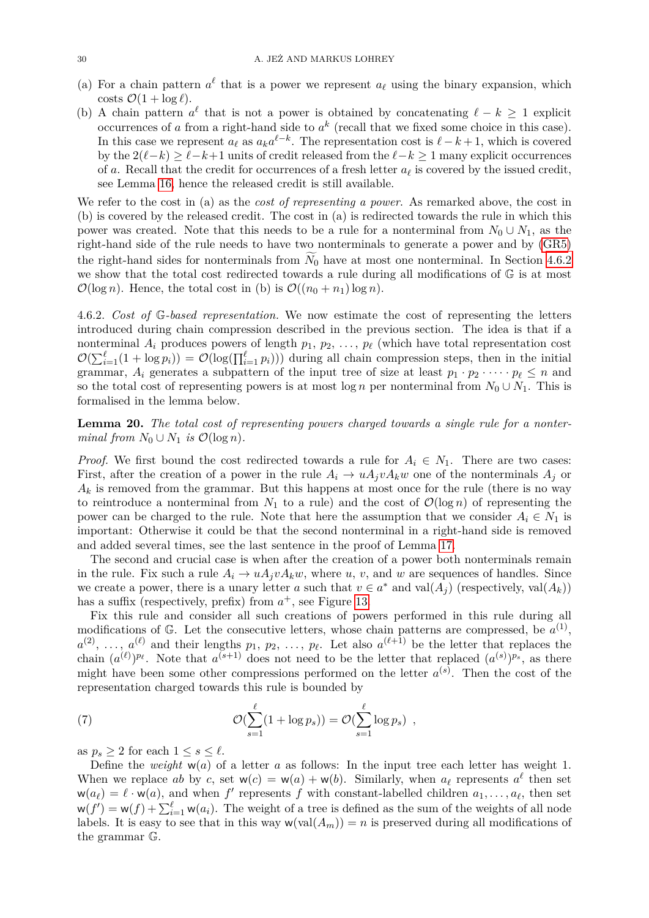- (a) For a chain pattern  $a^{\ell}$  that is a power we represent  $a_{\ell}$  using the binary expansion, which costs  $\mathcal{O}(1 + \log \ell)$ .
- (b) A chain pattern  $a^{\ell}$  that is not a power is obtained by concatenating  $\ell k \geq 1$  explicit occurrences of  $a$  from a right-hand side to  $a^k$  (recall that we fixed some choice in this case). In this case we represent  $a_\ell$  as  $a_k a^{\ell-k}$ . The representation cost is  $\ell - k + 1$ , which is covered by the  $2(\ell-k) \geq \ell-k+1$  units of credit released from the  $\ell-k \geq 1$  many explicit occurrences of *a*. Recall that the credit for occurrences of a fresh letter  $a_\ell$  is covered by the issued credit, see Lemma [16,](#page-22-1) hence the released credit is still available.

We refer to the cost in (a) as the *cost of representing a power*. As remarked above, the cost in (b) is covered by the released credit. The cost in (a) is redirected towards the rule in which this power was created. Note that this needs to be a rule for a nonterminal from  $N_0 \cup N_1$ , as the right-hand side of the rule needs to have two nonterminals to generate a power and by [\(GR5\)](#page-17-2) the right-hand sides for nonterminals from  $N_0$  have at most one nonterminal. In Section [4.6.2](#page-29-0) we show that the total cost redirected towards a rule during all modifications of G is at most  $\mathcal{O}(\log n)$ . Hence, the total cost in (b) is  $\mathcal{O}((n_0 + n_1) \log n)$ .

<span id="page-29-0"></span>4.6.2. *Cost of* G*-based representation.* We now estimate the cost of representing the letters introduced during chain compression described in the previous section. The idea is that if a nonterminal  $A_i$  produces powers of length  $p_1, p_2, \ldots, p_\ell$  (which have total representation cost  $\mathcal{O}(\sum_{i=1}^{\ell} (1 + \log p_i)) = \mathcal{O}(\log(\prod_{i=1}^{\ell} p_i)))$  during all chain compression steps, then in the initial grammar,  $A_i$  generates a subpattern of the input tree of size at least  $p_1 \cdot p_2 \cdot \cdots \cdot p_\ell \leq n$  and so the total cost of representing powers is at most  $\log n$  per nonterminal from  $N_0 \cup N_1$ . This is formalised in the lemma below.

<span id="page-29-2"></span>**Lemma 20.** *The total cost of representing powers charged towards a single rule for a nonterminal from*  $N_0 \cup N_1$  *is*  $\mathcal{O}(\log n)$ *.* 

*Proof.* We first bound the cost redirected towards a rule for  $A_i \in N_1$ . There are two cases: First, after the creation of a power in the rule  $A_i \rightarrow u A_i v A_k w$  one of the nonterminals  $A_i$  or  $A_k$  is removed from the grammar. But this happens at most once for the rule (there is no way to reintroduce a nonterminal from  $N_1$  to a rule) and the cost of  $\mathcal{O}(\log n)$  of representing the power can be charged to the rule. Note that here the assumption that we consider  $A_i \in N_1$  is important: Otherwise it could be that the second nonterminal in a right-hand side is removed and added several times, see the last sentence in the proof of Lemma [17.](#page-23-4)

The second and crucial case is when after the creation of a power both nonterminals remain in the rule. Fix such a rule  $A_i \rightarrow uA_jvA_kw$ , where *u*, *v*, and *w* are sequences of handles. Since we create a power, there is a unary letter *a* such that  $v \in a^*$  and val $(A_j)$  (respectively, val $(A_k)$ ) has a suffix (respectively, prefix) from  $a^+$ , see Figure [13.](#page-30-0)

Fix this rule and consider all such creations of powers performed in this rule during all modifications of G. Let the consecutive letters, whose chain patterns are compressed, be  $a^{(1)}$ ,  $a^{(2)}, \ldots, a^{(\ell)}$  and their lengths  $p_1, p_2, \ldots, p_{\ell}$ . Let also  $a^{(\ell+1)}$  be the letter that replaces the chain  $(a^{(\ell)})^{p_{\ell}}$ . Note that  $a^{(s+1)}$  does not need to be the letter that replaced  $(a^{(s)})^{p_s}$ , as there might have been some other compressions performed on the letter  $a^{(s)}$ . Then the cost of the representation charged towards this rule is bounded by

<span id="page-29-1"></span>(7) 
$$
\mathcal{O}(\sum_{s=1}^{\ell} (1 + \log p_s)) = \mathcal{O}(\sum_{s=1}^{\ell} \log p_s) ,
$$

as  $p_s \geq 2$  for each  $1 \leq s \leq \ell$ .

Define the *weight*  $w(a)$  of a letter *a* as follows: In the input tree each letter has weight 1. When we replace *ab* by *c*, set  $w(c) = w(a) + w(b)$ . Similarly, when  $a_{\ell}$  represents  $a^{\ell}$  then set  $w(a_\ell) = \ell \cdot w(a)$ , and when  $f'$  represents  $f$  with constant-labelled children  $a_1, \ldots, a_\ell$ , then set  $w(f') = w(f) + \sum_{i=1}^{\ell} w(a_i)$ . The weight of a tree is defined as the sum of the weights of all node labels. It is easy to see that in this way  $w(val(A_m)) = n$  is preserved during all modifications of the grammar G.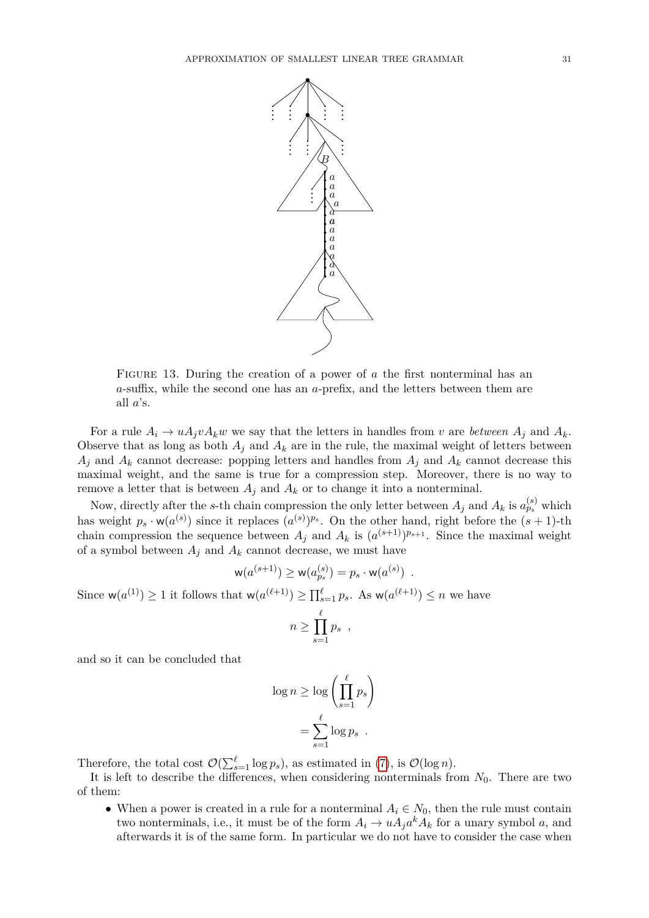

<span id="page-30-0"></span>FIGURE 13. During the creation of a power of *a* the first nonterminal has an *a*-suffix, while the second one has an *a*-prefix, and the letters between them are all *a*'s.

For a rule  $A_i \rightarrow uA_jvA_kw$  we say that the letters in handles from *v* are *between*  $A_j$  and  $A_k$ . Observe that as long as both  $A_j$  and  $A_k$  are in the rule, the maximal weight of letters between  $A_j$  and  $A_k$  cannot decrease: popping letters and handles from  $A_j$  and  $A_k$  cannot decrease this maximal weight, and the same is true for a compression step. Moreover, there is no way to remove a letter that is between  $A_j$  and  $A_k$  or to change it into a nonterminal.

Now, directly after the *s*-th chain compression the only letter between  $A_j$  and  $A_k$  is  $a_{ps}^{(s)}$  which has weight  $p_s \cdot w(a^{(s)})$  since it replaces  $(a^{(s)})^{p_s}$ . On the other hand, right before the  $(s + 1)$ -th chain compression the sequence between  $A_j$  and  $A_k$  is  $(a^{(s+1)})^{p_{s+1}}$ . Since the maximal weight of a symbol between  $A_j$  and  $A_k$  cannot decrease, we must have

$$
w(a^{(s+1)}) \ge w(a_{p_s}^{(s)}) = p_s \cdot w(a^{(s)})
$$
.

Since  $w(a^{(1)}) \ge 1$  it follows that  $w(a^{(\ell+1)}) \ge \prod_{s=1}^{\ell} p_s$ . As  $w(a^{(\ell+1)}) \le n$  we have

$$
n \geq \prod_{s=1}^{\ell} p_s ,
$$

and so it can be concluded that

$$
\log n \ge \log \left( \prod_{s=1}^{\ell} p_s \right)
$$

$$
= \sum_{s=1}^{\ell} \log p_s
$$

Therefore, the total cost  $\mathcal{O}(\sum_{s=1}^{\ell} \log p_s)$ , as estimated in [\(7\)](#page-29-1), is  $\mathcal{O}(\log n)$ .

It is left to describe the differences, when considering nonterminals from  $N_0$ . There are two of them:

• When a power is created in a rule for a nonterminal  $A_i \in N_0$ , then the rule must contain two nonterminals, i.e., it must be of the form  $A_i \to u A_j a^k A_k$  for a unary symbol *a*, and afterwards it is of the same form. In particular we do not have to consider the case when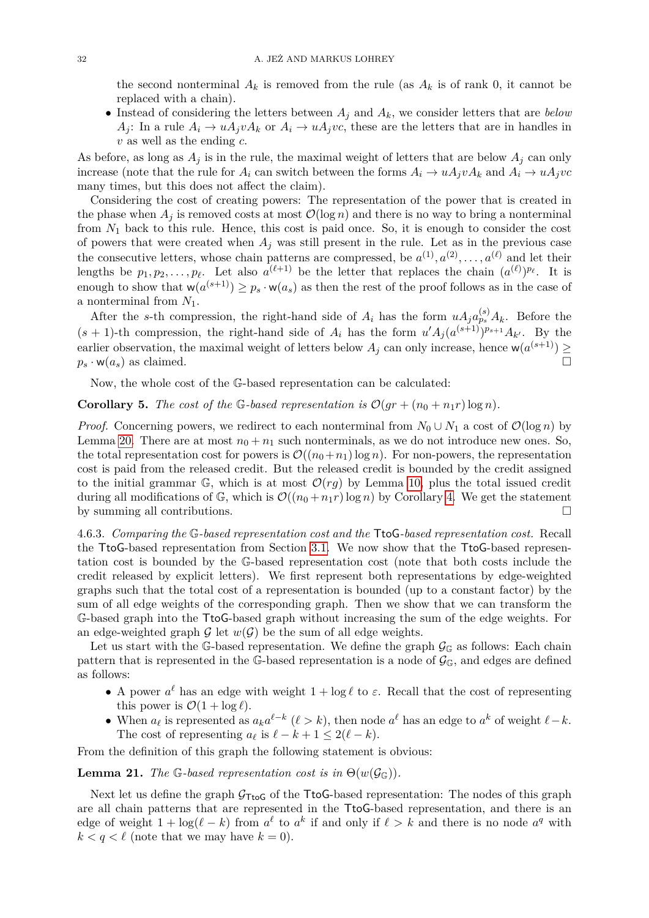the second nonterminal  $A_k$  is removed from the rule (as  $A_k$  is of rank 0, it cannot be replaced with a chain).

• Instead of considering the letters between  $A_j$  and  $A_k$ , we consider letters that are *below*  $A_i$ : In a rule  $A_i \rightarrow uA_i vA_k$  or  $A_i \rightarrow uA_i vC$ , these are the letters that are in handles in *v* as well as the ending *c*.

As before, as long as  $A_j$  is in the rule, the maximal weight of letters that are below  $A_j$  can only increase (note that the rule for  $A_i$  can switch between the forms  $A_i \to u A_j v A_k$  and  $A_i \to u A_j v c$ many times, but this does not affect the claim).

Considering the cost of creating powers: The representation of the power that is created in the phase when  $A_i$  is removed costs at most  $\mathcal{O}(\log n)$  and there is no way to bring a nonterminal from *N*<sup>1</sup> back to this rule. Hence, this cost is paid once. So, it is enough to consider the cost of powers that were created when  $A_j$  was still present in the rule. Let as in the previous case the consecutive letters, whose chain patterns are compressed, be  $a^{(1)}, a^{(2)}, \ldots, a^{(\ell)}$  and let their lengths be  $p_1, p_2, \ldots, p_\ell$ . Let also  $a^{(\ell+1)}$  be the letter that replaces the chain  $(a^{(\ell)})^{p_\ell}$ . It is enough to show that  $w(a^{(s+1)}) \geq p_s \cdot w(a_s)$  as then the rest of the proof follows as in the case of a nonterminal from *N*1.

After the *s*-th compression, the right-hand side of  $A_i$  has the form  $uA_j a_{ps}^{(s)} A_k$ . Before the  $(s + 1)$ -th compression, the right-hand side of  $A_i$  has the form  $u'A_j(a^{(s+1)})^{p_{s+1}}A_{k'}$ . By the earlier observation, the maximal weight of letters below  $A_j$  can only increase, hence  $w(a^{(s+1)}) \geq$  $p_s \cdot \mathsf{w}(a_s)$  as claimed.

Now, the whole cost of the G-based representation can be calculated:

<span id="page-31-1"></span>**Corollary 5.** The cost of the G-based representation is  $\mathcal{O}(qr + (n_0 + n_1r) \log n)$ .

*Proof.* Concerning powers, we redirect to each nonterminal from  $N_0 \cup N_1$  a cost of  $\mathcal{O}(\log n)$  by Lemma [20.](#page-29-2) There are at most  $n_0 + n_1$  such nonterminals, as we do not introduce new ones. So, the total representation cost for powers is  $\mathcal{O}((n_0+n_1) \log n)$ . For non-powers, the representation cost is paid from the released credit. But the released credit is bounded by the credit assigned to the initial grammar  $\mathbb{G}$ , which is at most  $\mathcal{O}(r_q)$  by Lemma [10,](#page-15-1) plus the total issued credit during all modifications of G, which is  $\mathcal{O}((n_0 + n_1r) \log n)$  by Corollary [4.](#page-28-2) We get the statement by summing all contributions.

4.6.3. *Comparing the* G*-based representation cost and the* TtoG*-based representation cost.* Recall the TtoG-based representation from Section [3.1.](#page-9-2) We now show that the TtoG-based representation cost is bounded by the G-based representation cost (note that both costs include the credit released by explicit letters). We first represent both representations by edge-weighted graphs such that the total cost of a representation is bounded (up to a constant factor) by the sum of all edge weights of the corresponding graph. Then we show that we can transform the G-based graph into the TtoG-based graph without increasing the sum of the edge weights. For an edge-weighted graph  $\mathcal G$  let  $w(\mathcal G)$  be the sum of all edge weights.

Let us start with the G-based representation. We define the graph  $\mathcal{G}_{\mathbb{G}}$  as follows: Each chain pattern that is represented in the G-based representation is a node of  $\mathcal{G}_{\mathbb{G}}$ , and edges are defined as follows:

- A power  $a^{\ell}$  has an edge with weight  $1 + \log \ell$  to  $\varepsilon$ . Recall that the cost of representing this power is  $\mathcal{O}(1 + \log \ell)$ .
- When  $a_{\ell}$  is represented as  $a_{k}a^{\ell-k}$  ( $\ell > k$ ), then node  $a^{\ell}$  has an edge to  $a^{k}$  of weight  $\ell k$ . The cost of representing  $a_{\ell}$  is  $\ell - k + 1 \leq 2(\ell - k)$ .

From the definition of this graph the following statement is obvious:

# <span id="page-31-0"></span>**Lemma 21.** *The* G-based representation cost is in  $\Theta(w(\mathcal{G}_{\mathbb{G}}))$ .

Next let us define the graph  $\mathcal{G}_{\text{TtoG}}$  of the TtoG-based representation: The nodes of this graph are all chain patterns that are represented in the TtoG-based representation, and there is an edge of weight  $1 + \log(\ell - k)$  from  $a^{\ell}$  to  $a^{k}$  if and only if  $\ell > k$  and there is no node  $a^{q}$  with  $k < q < \ell$  (note that we may have  $k = 0$ ).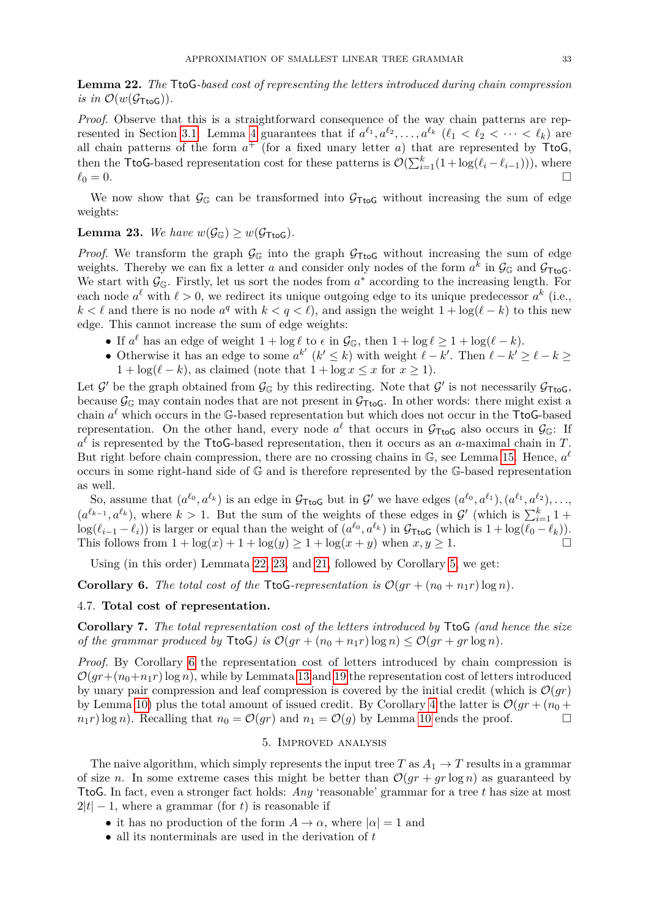<span id="page-32-1"></span>**Lemma 22.** *The* TtoG*-based cost of representing the letters introduced during chain compression is in*  $\mathcal{O}(w(\mathcal{G}_{\text{TtoG}}))$ .

*Proof.* Observe that this is a straightforward consequence of the way chain patterns are rep-resented in Section [3.1:](#page-9-2) Lemma [4](#page-9-3) guarantees that if  $a^{\ell_1}, a^{\ell_2}, \ldots, a^{\ell_k}$  ( $\ell_1 < \ell_2 < \cdots < \ell_k$ ) are all chain patterns of the form  $a^+$  (for a fixed unary letter  $a$ ) that are represented by  $\text{TtoG}$ , then the TtoG-based representation cost for these patterns is  $\mathcal{O}(\sum_{i=1}^{k}(1 + \log(\ell_i - \ell_{i-1}))),$  where  $\ell_0 = 0.$ 

We now show that  $\mathcal{G}_{\mathbb{G}}$  can be transformed into  $\mathcal{G}_{\mathsf{TtoG}}$  without increasing the sum of edge weights:

# <span id="page-32-2"></span>**Lemma 23.** We have  $w(\mathcal{G}_{\mathbb{G}}) > w(\mathcal{G}_{\mathsf{TtoG}})$ .

*Proof.* We transform the graph  $\mathcal{G}_{\mathbb{G}}$  into the graph  $\mathcal{G}_{\mathsf{TtoG}}$  without increasing the sum of edge weights. Thereby we can fix a letter *a* and consider only nodes of the form  $a^k$  in  $\mathcal{G}_{\mathbb{G}}$  and  $\mathcal{G}_{\mathsf{TtoG}}$ . We start with  $\mathcal{G}_{\mathbb{G}}$ . Firstly, let us sort the nodes from  $a^*$  according to the increasing length. For each node  $a^{\ell}$  with  $\ell > 0$ , we redirect its unique outgoing edge to its unique predecessor  $a^{k}$  (i.e., *k* <  $\ell$  and there is no node  $a^q$  with  $k < q < \ell$ , and assign the weight 1 + log( $\ell$  − *k*) to this new edge. This cannot increase the sum of edge weights:

- If  $a^{\ell}$  has an edge of weight  $1 + \log \ell$  to  $\epsilon$  in  $\mathcal{G}_{\mathbb{G}}$ , then  $1 + \log \ell \geq 1 + \log(\ell k)$ .
- Otherwise it has an edge to some  $a^{k'}$   $(k' \leq k)$  with weight  $\ell k'$ . Then  $\ell k' \geq \ell k \geq$  $1 + \log(\ell - k)$ , as claimed (note that  $1 + \log x \leq x$  for  $x \geq 1$ ).

Let  $\mathcal{G}'$  be the graph obtained from  $\mathcal{G}_{\mathbb{G}}$  by this redirecting. Note that  $\mathcal{G}'$  is not necessarily  $\mathcal{G}_{\text{TtoG}}$ , because  $\mathcal{G}_{\mathbb{G}}$  may contain nodes that are not present in  $\mathcal{G}_{\text{TtoG}}$ . In other words: there might exist a chain  $a^{\ell}$  which occurs in the G-based representation but which does not occur in the TtoG-based representation. On the other hand, every node  $a^{\ell}$  that occurs in  $\mathcal{G}_{\text{TtoG}}$  also occurs in  $\mathcal{G}_{\mathbb{G}}$ : If  $a^{\ell}$  is represented by the TtoG-based representation, then it occurs as an *a*-maximal chain in *T*. But right before chain compression, there are no crossing chains in  $\mathbb{G}$ , see Lemma [15.](#page-22-2) Hence,  $a^{\ell}$ occurs in some right-hand side of G and is therefore represented by the G-based representation as well.

So, assume that  $(a^{\ell_0}, a^{\ell_k})$  is an edge in  $\mathcal{G}_{\text{TtoG}}$  but in  $\mathcal{G}'$  we have edges  $(a^{\ell_0}, a^{\ell_1}), (a^{\ell_1}, a^{\ell_2}), \ldots,$  $(a^{\ell_{k-1}}, a^{\ell_k})$ , where  $k > 1$ . But the sum of the weights of these edges in G' (which is  $\sum_{i=1}^k 1$  +  $\log(\ell_{i-1} - \ell_i)$  is larger or equal than the weight of  $(a^{\ell_0}, a^{\ell_k})$  in  $\mathcal{G}_{\text{TtoG}}$  (which is  $1 + \log(\ell_0 - \ell_k)$ ). This follows from  $1 + \log(x) + 1 + \log(y) \ge 1 + \log(x + y)$  when  $x, y \ge 1$ .

Using (in this order) Lemmata [22,](#page-32-1) [23,](#page-32-2) and [21,](#page-31-0) followed by Corollary [5,](#page-31-1) we get:

<span id="page-32-3"></span>**Corollary 6.** The total cost of the TtoG-representation is  $\mathcal{O}(gr + (n_0 + n_1r) \log n)$ .

# 4.7. **Total cost of representation.**

**Corollary 7.** *The total representation cost of the letters introduced by* TtoG *(and hence the size of the grammar produced by*  $\text{TtoG}$ *) is*  $\mathcal{O}(qr + (n_0 + n_1r) \log n) \leq \mathcal{O}(qr + qr \log n)$ .

*Proof.* By Corollary [6](#page-32-3) the representation cost of letters introduced by chain compression is  $\mathcal{O}(qr+(n_0+n_1r)\log n)$ , while by Lemmata [13](#page-20-2) and [19](#page-27-0) the representation cost of letters introduced by unary pair compression and leaf compression is covered by the initial credit (which is  $\mathcal{O}(gr)$ ) by Lemma [10\)](#page-15-1) plus the total amount of issued credit. By Corollary [4](#page-28-2) the latter is  $\mathcal{O}(gr + (n_0 +$  $n_1 r$ ) log *n*). Recalling that  $n_0 = \mathcal{O}(gr)$  and  $n_1 = \mathcal{O}(g)$  by Lemma [10](#page-15-1) ends the proof.

#### 5. Improved analysis

<span id="page-32-0"></span>The naive algorithm, which simply represents the input tree T as  $A_1 \rightarrow T$  results in a grammar of size *n*. In some extreme cases this might be better than  $\mathcal{O}(gr + gr \log n)$  as guaranteed by TtoG. In fact, even a stronger fact holds: *Any* 'reasonable' grammar for a tree *t* has size at most  $2|t| - 1$ , where a grammar (for *t*) is reasonable if

- it has no production of the form  $A \to \alpha$ , where  $|\alpha| = 1$  and
- all its nonterminals are used in the derivation of *t*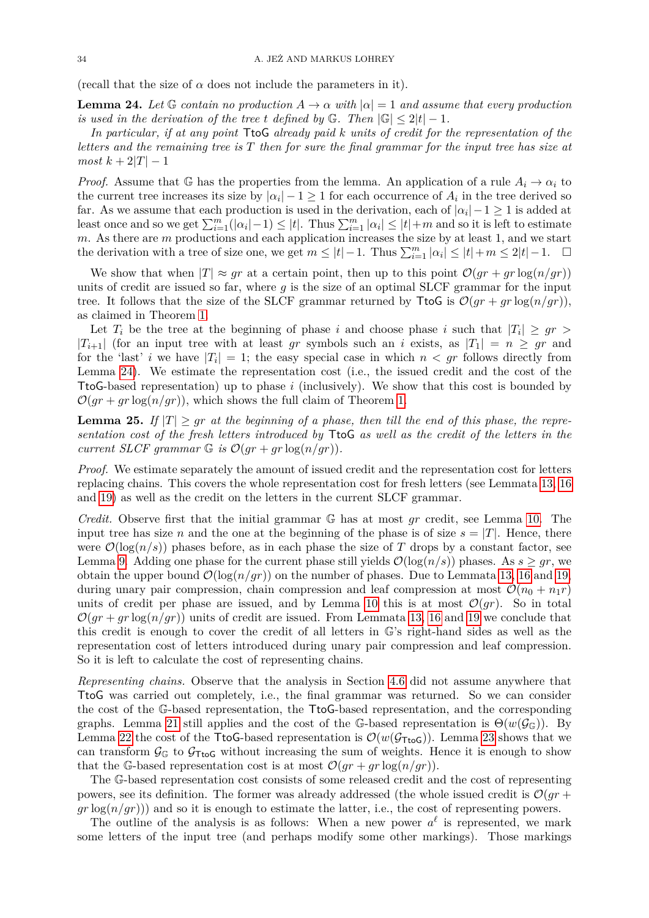(recall that the size of  $\alpha$  does not include the parameters in it).

<span id="page-33-0"></span>**Lemma 24.** Let  $\mathbb G$  *contain no production*  $A \to \alpha$  *with*  $|\alpha| = 1$  *and assume that every production is used in the derivation of the tree t defined by*  $\mathbb{G}$ *. Then*  $|\mathbb{G}| \leq 2|t| - 1$ *.* 

*In particular, if at any point* TtoG *already paid k units of credit for the representation of the letters and the remaining tree is T then for sure the final grammar for the input tree has size at*  $most k + 2|T| - 1$ 

*Proof.* Assume that G has the properties from the lemma. An application of a rule  $A_i \to \alpha_i$  to the current tree increases its size by  $|\alpha_i| - 1 \geq 1$  for each occurrence of  $A_i$  in the tree derived so far. As we assume that each production is used in the derivation, each of  $|\alpha_i| - 1 \geq 1$  is added at least once and so we get  $\sum_{i=1}^{m}(|\alpha_i|-1) \leq |t|$ . Thus  $\sum_{i=1}^{m} |\alpha_i| \leq |t| + m$  and so it is left to estimate *m*. As there are *m* productions and each application increases the size by at least 1, and we start the derivation with a tree of size one, we get  $m \leq |t| - 1$ . Thus  $\sum_{i=1}^{m} |\alpha_i| \leq |t| + m \leq 2|t| - 1$ .  $\Box$ 

We show that when  $|T| \approx gr$  at a certain point, then up to this point  $\mathcal{O}(gr + gr \log(n/gr))$ units of credit are issued so far, where *g* is the size of an optimal SLCF grammar for the input tree. It follows that the size of the SLCF grammar returned by TtoG is  $\mathcal{O}(gr + gr \log(n/gr))$ , as claimed in Theorem [1.](#page-2-0)

Let  $T_i$  be the tree at the beginning of phase *i* and choose phase *i* such that  $|T_i| \geq gr$ |*Ti*+1| (for an input tree with at least *gr* symbols such an *i* exists, as |*T*1| = *n* ≥ *gr* and for the 'last' *i* we have  $|T_i| = 1$ ; the easy special case in which  $n < gr$  follows directly from Lemma [24\)](#page-33-0). We estimate the representation cost (i.e., the issued credit and the cost of the TtoG-based representation) up to phase *i* (inclusively). We show that this cost is bounded by  $\mathcal{O}(qr + qr \log(n/qr))$ , which shows the full claim of Theorem [1.](#page-2-0)

<span id="page-33-1"></span>**Lemma 25.** If  $|T| \geq gr$  *at the beginning of a phase, then till the end of this phase, the representation cost of the fresh letters introduced by* TtoG *as well as the credit of the letters in the current SLCF grammar*  $G$  *is*  $\mathcal{O}(qr + qr \log(n/qr))$ .

*Proof.* We estimate separately the amount of issued credit and the representation cost for letters replacing chains. This covers the whole representation cost for fresh letters (see Lemmata [13,](#page-20-2) [16](#page-22-1) and [19\)](#page-27-0) as well as the credit on the letters in the current SLCF grammar.

*Credit.* Observe first that the initial grammar G has at most *gr* credit, see Lemma [10.](#page-15-1) The input tree has size *n* and the one at the beginning of the phase is of size  $s = |T|$ . Hence, there were  $\mathcal{O}(\log(n/s))$  phases before, as in each phase the size of *T* drops by a constant factor, see Lemma [9.](#page-13-3) Adding one phase for the current phase still yields  $\mathcal{O}(\log(n/s))$  phases. As  $s \geq qr$ , we obtain the upper bound  $\mathcal{O}(\log(n/gr))$  on the number of phases. Due to Lemmata [13,](#page-20-2) [16](#page-22-1) and [19,](#page-27-0) during unary pair compression, chain compression and leaf compression at most  $\mathcal{O}(n_0 + n_1 r)$ units of credit per phase are issued, and by Lemma [10](#page-15-1) this is at most  $\mathcal{O}(qr)$ . So in total  $\mathcal{O}(qr + qr \log(n/qr))$  units of credit are issued. From Lemmata [13,](#page-20-2) [16](#page-22-1) and [19](#page-27-0) we conclude that this credit is enough to cover the credit of all letters in G's right-hand sides as well as the representation cost of letters introduced during unary pair compression and leaf compression. So it is left to calculate the cost of representing chains.

*Representing chains.* Observe that the analysis in Section [4.6](#page-28-0) did not assume anywhere that TtoG was carried out completely, i.e., the final grammar was returned. So we can consider the cost of the G-based representation, the TtoG-based representation, and the corresponding graphs. Lemma [21](#page-31-0) still applies and the cost of the G-based representation is  $\Theta(w(\mathcal{G}_{\mathbb{G}}))$ . By Lemma [22](#page-32-1) the cost of the TtoG-based representation is  $\mathcal{O}(w(\mathcal{G}_{\text{TtoG}}))$ . Lemma [23](#page-32-2) shows that we can transform  $\mathcal{G}_{\mathbb{G}}$  to  $\mathcal{G}_{\mathsf{TtoG}}$  without increasing the sum of weights. Hence it is enough to show that the G-based representation cost is at most  $\mathcal{O}(gr + gr \log(n/gr))$ .

The G-based representation cost consists of some released credit and the cost of representing powers, see its definition. The former was already addressed (the whole issued credit is  $\mathcal{O}(qr + q^2)$  $gr \log(n/gr))$  and so it is enough to estimate the latter, i.e., the cost of representing powers.

The outline of the analysis is as follows: When a new power  $a^{\ell}$  is represented, we mark some letters of the input tree (and perhaps modify some other markings). Those markings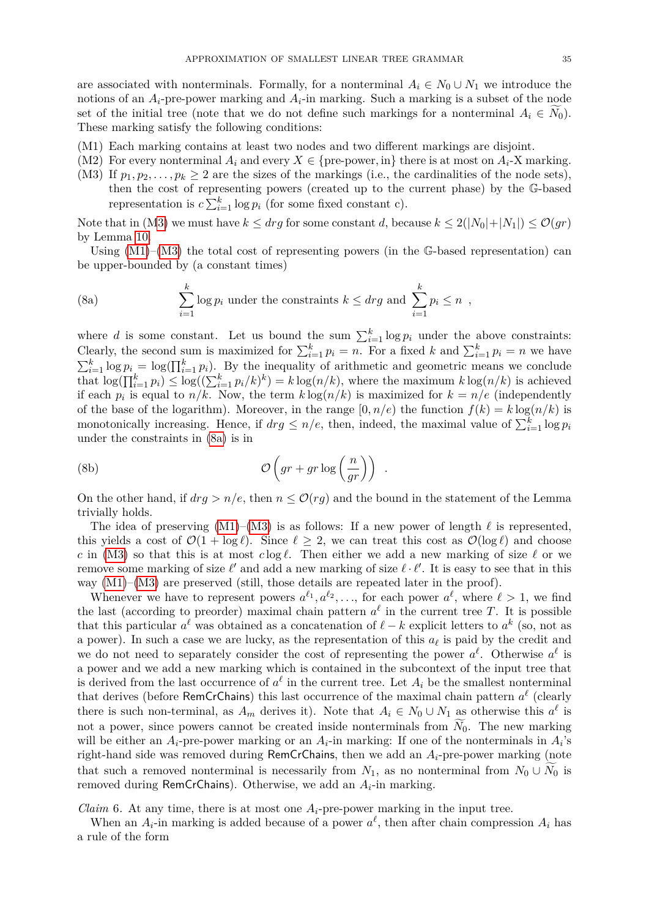are associated with nonterminals. Formally, for a nonterminal  $A_i \in N_0 \cup N_1$  we introduce the notions of an  $A_i$ -pre-power marking and  $A_i$ -in marking. Such a marking is a subset of the node set of the initial tree (note that we do not define such markings for a nonterminal  $A_i \in N_0$ ). These marking satisfy the following conditions:

- <span id="page-34-1"></span>(M1) Each marking contains at least two nodes and two different markings are disjoint.
- <span id="page-34-3"></span>(M2) For every nonterminal  $A_i$  and every  $X \in \{pre-power, in\}$  there is at most on  $A_i$ -X marking.
- <span id="page-34-0"></span>(M3) If  $p_1, p_2, \ldots, p_k \geq 2$  are the sizes of the markings (i.e., the cardinalities of the node sets), then the cost of representing powers (created up to the current phase) by the G-based representation is  $c \sum_{i=1}^{k} \log p_i$  (for some fixed constant c).

Note that in ([M3\)](#page-34-0) we must have  $k \leq drg$  for some constant *d*, because  $k \leq 2(|N_0|+|N_1|) \leq \mathcal{O}(qr)$ by Lemma [10.](#page-15-1)

<span id="page-34-5"></span>Using  $(M1)$ – $(M3)$  the total cost of representing powers (in the G-based representation) can be upper-bounded by (a constant times)

<span id="page-34-2"></span>(8a) 
$$
\sum_{i=1}^{k} \log p_i
$$
 under the constraints  $k \leq drg$  and 
$$
\sum_{i=1}^{k} p_i \leq n
$$
,

where *d* is some constant. Let us bound the sum  $\sum_{i=1}^{k} \log p_i$  under the above constraints: Clearly, the second sum is maximized for  $\sum_{i=1}^{k} p_i = n$ . For a fixed *k* and  $\sum_{i=1}^{k} p_i = n$  we have  $\sum_{i=1}^{k} \log p_i = \log(\prod_{i=1}^{k} p_i)$ . By the inequality of arithmetic and geometric means we conclude that  $\log(\prod_{i=1}^{k} p_i) \leq \log((\sum_{i=1}^{k} p_i/k)^k) = k \log(n/k)$ , where the maximum  $k \log(n/k)$  is achieved if each  $p_i$  is equal to  $n/k$ . Now, the term  $k \log(n/k)$  is maximized for  $k = n/e$  (independently of the base of the logarithm). Moreover, in the range  $[0, n/e)$  the function  $f(k) = k \log(n/k)$  is monotonically increasing. Hence, if  $drg \leq n/e$ , then, indeed, the maximal value of  $\sum_{i=1}^{k} \log p_i$ under the constraints in [\(8a\)](#page-34-2) is in

(8b) 
$$
\mathcal{O}\left(gr + gr \log\left(\frac{n}{gr}\right)\right) .
$$

On the other hand, if  $drg > n/e$ , then  $n \leq \mathcal{O}(rg)$  and the bound in the statement of the Lemma trivially holds.

The idea of preserving  $(M1)–(M3)$  $(M1)–(M3)$  $(M1)–(M3)$  is as follows: If a new power of length  $\ell$  is represented, this yields a cost of  $\mathcal{O}(1 + \log \ell)$ . Since  $\ell \geq 2$ , we can treat this cost as  $\mathcal{O}(\log \ell)$  and choose *c* in [\(M3\)](#page-34-0) so that this is at most *c* log  $\ell$ . Then either we add a new marking of size  $\ell$  or we remove some marking of size  $\ell'$  and add a new marking of size  $\ell \cdot \ell'$ . It is easy to see that in this way  $(M1)$ – $(M3)$  are preserved (still, those details are repeated later in the proof).

Whenever we have to represent powers  $a^{\ell_1}, a^{\ell_2}, \ldots$ , for each power  $a^{\ell}$ , where  $\ell > 1$ , we find the last (according to preorder) maximal chain pattern  $a^{\ell}$  in the current tree *T*. It is possible that this particular  $a^{\ell}$  was obtained as a concatenation of  $\ell - k$  explicit letters to  $a^k$  (so, not as a power). In such a case we are lucky, as the representation of this  $a_\ell$  is paid by the credit and we do not need to separately consider the cost of representing the power  $a^{\ell}$ . Otherwise  $a^{\ell}$  is a power and we add a new marking which is contained in the subcontext of the input tree that is derived from the last occurrence of  $a^{\ell}$  in the current tree. Let  $A_i$  be the smallest nonterminal that derives (before RemCrChains) this last occurrence of the maximal chain pattern  $a^{\ell}$  (clearly there is such non-terminal, as  $A_m$  derives it). Note that  $A_i \in N_0 \cup N_1$  as otherwise this  $a^{\ell}$  is not a power, since powers cannot be created inside nonterminals from  $N_0$ . The new marking will be either an  $A_i$ -pre-power marking or an  $A_i$ -in marking: If one of the nonterminals in  $A_i$ 's right-hand side was removed during RemCrChains, then we add an *Ai*-pre-power marking (note that such a removed nonterminal is necessarily from  $N_1$ , as no nonterminal from  $N_0 \cup \overline{N}_0$  is removed during RemCrChains). Otherwise, we add an *Ai*-in marking.

<span id="page-34-4"></span>*Claim* 6. At any time, there is at most one  $A_i$ -pre-power marking in the input tree.

When an  $A_i$ -in marking is added because of a power  $a^{\ell}$ , then after chain compression  $A_i$  has a rule of the form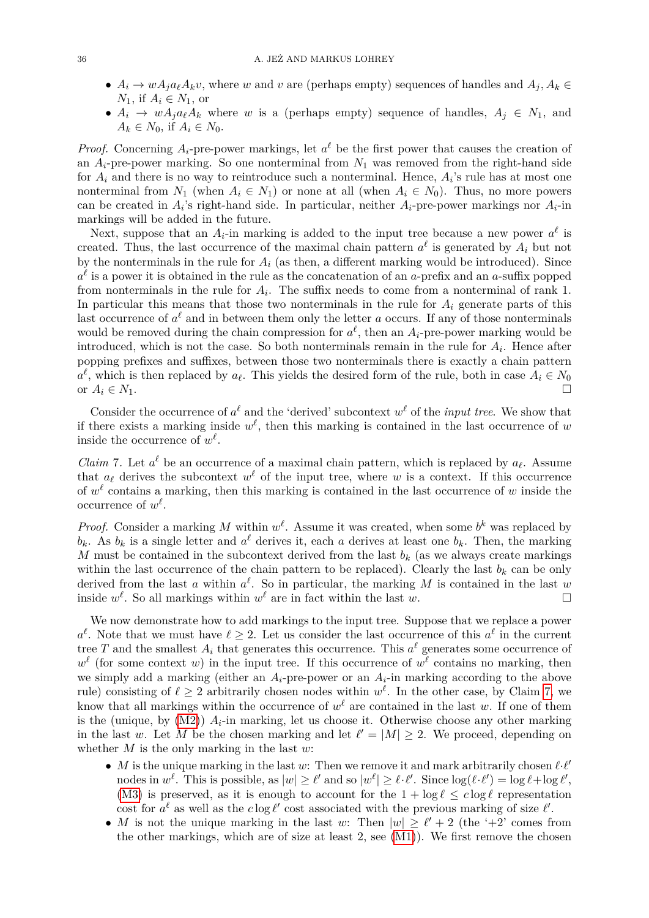- $A_i \rightarrow wA_j a_\ell A_k v$ , where *w* and *v* are (perhaps empty) sequences of handles and  $A_j, A_k \in$  $N_1$ , if  $A_i \in N_1$ , or
- $A_i \rightarrow wA_ja_\ell A_k$  where *w* is a (perhaps empty) sequence of handles,  $A_j \in N_1$ , and  $A_k \in N_0$ , if  $A_i \in N_0$ .

*Proof.* Concerning  $A_i$ -pre-power markings, let  $a^{\ell}$  be the first power that causes the creation of an  $A_i$ -pre-power marking. So one nonterminal from  $N_1$  was removed from the right-hand side for *A<sup>i</sup>* and there is no way to reintroduce such a nonterminal. Hence, *A<sup>i</sup>* 's rule has at most one nonterminal from  $N_1$  (when  $A_i \in N_1$ ) or none at all (when  $A_i \in N_0$ ). Thus, no more powers can be created in  $A_i$ 's right-hand side. In particular, neither  $A_i$ -pre-power markings nor  $A_i$ -in markings will be added in the future.

Next, suppose that an  $A_i$ -in marking is added to the input tree because a new power  $a^{\ell}$  is created. Thus, the last occurrence of the maximal chain pattern  $a^{\ell}$  is generated by  $A_i$  but not by the nonterminals in the rule for  $A_i$  (as then, a different marking would be introduced). Since  $a^{\ell}$  is a power it is obtained in the rule as the concatenation of an *a*-prefix and an *a*-suffix popped from nonterminals in the rule for  $A_i$ . The suffix needs to come from a nonterminal of rank 1. In particular this means that those two nonterminals in the rule for  $A_i$  generate parts of this last occurrence of  $a^{\ell}$  and in between them only the letter *a* occurs. If any of those nonterminals would be removed during the chain compression for  $a^{\ell}$ , then an  $A_i$ -pre-power marking would be introduced, which is not the case. So both nonterminals remain in the rule for  $A_i$ . Hence after popping prefixes and suffixes, between those two nonterminals there is exactly a chain pattern  $a^{\ell}$ , which is then replaced by  $a_{\ell}$ . This yields the desired form of the rule, both in case  $A_i \in N_0$ or  $A_i \in N_1$ .

Consider the occurrence of  $a^{\ell}$  and the 'derived' subcontext  $w^{\ell}$  of the *input tree*. We show that if there exists a marking inside  $w^{\ell}$ , then this marking is contained in the last occurrence of  $w$ inside the occurrence of  $w^{\ell}$ .

<span id="page-35-0"></span>*Claim* 7. Let  $a^{\ell}$  be an occurrence of a maximal chain pattern, which is replaced by  $a_{\ell}$ . Assume that  $a_{\ell}$  derives the subcontext  $w^{\ell}$  of the input tree, where *w* is a context. If this occurrence of  $w^{\ell}$  contains a marking, then this marking is contained in the last occurrence of  $w$  inside the occurrence of  $w^{\ell}$ .

*Proof.* Consider a marking M within  $w^{\ell}$ . Assume it was created, when some  $b^{k}$  was replaced by  $b_k$ . As  $b_k$  is a single letter and  $a^{\ell}$  derives it, each *a* derives at least one  $b_k$ . Then, the marking *M* must be contained in the subcontext derived from the last  $b_k$  (as we always create markings within the last occurrence of the chain pattern to be replaced). Clearly the last  $b_k$  can be only derived from the last *a* within  $a^{\ell}$ . So in particular, the marking *M* is contained in the last *w* inside  $w^{\ell}$ . So all markings within  $w^{\ell}$  are in fact within the last  $w$ .

We now demonstrate how to add markings to the input tree. Suppose that we replace a power  $a^{\ell}$ . Note that we must have  $\ell \geq 2$ . Let us consider the last occurrence of this  $a^{\ell}$  in the current tree *T* and the smallest  $A_i$  that generates this occurrence. This  $a^{\ell}$  generates some occurrence of  $w^{\ell}$  (for some context *w*) in the input tree. If this occurrence of  $w^{\ell}$  contains no marking, then we simply add a marking (either an  $A_i$ -pre-power or an  $A_i$ -in marking according to the above rule) consisting of  $\ell \geq 2$  arbitrarily chosen nodes within  $w^{\ell}$ . In the other case, by Claim [7,](#page-35-0) we know that all markings within the occurrence of  $w^{\ell}$  are contained in the last *w*. If one of them is the (unique, by  $(M2)$ )  $A_i$ -in marking, let us choose it. Otherwise choose any other marking in the last *w*. Let *M* be the chosen marking and let  $\ell' = |M| \geq 2$ . We proceed, depending on whether *M* is the only marking in the last *w*:

- *M* is the unique marking in the last  $w$ : Then we remove it and mark arbitrarily chosen  $\ell$ · $\ell'$ nodes in  $w^{\ell}$ . This is possible, as  $|w| \geq \ell'$  and so  $|w^{\ell}| \geq \ell \cdot \ell'$ . Since  $\log(\ell \cdot \ell') = \log \ell + \log \ell'$ , [\(M3\)](#page-34-0) is preserved, as it is enough to account for the  $1 + \log \ell \leq c \log \ell$  representation cost for  $a^{\ell}$  as well as the  $c \log \ell'$  cost associated with the previous marking of size  $\ell'$ .
- *M* is not the unique marking in the last *w*: Then  $|w| \ge \ell' + 2$  (the '+2' comes from the other markings, which are of size at least  $2$ , see  $(M1)$ ). We first remove the chosen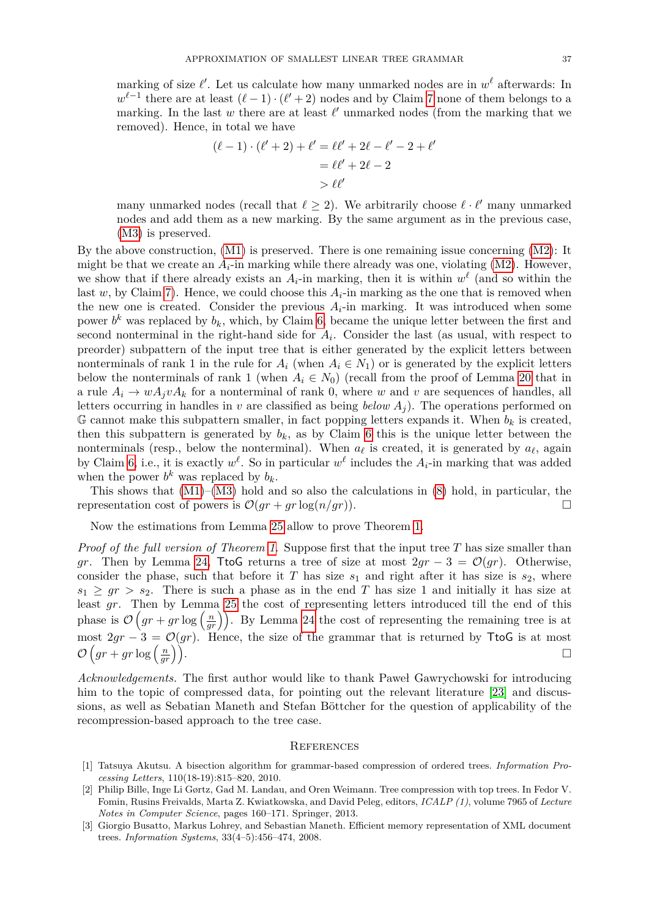marking of size  $\ell'$ . Let us calculate how many unmarked nodes are in  $w^{\ell}$  afterwards: In  $w^{\ell-1}$  there are at least  $(\ell-1)\cdot(\ell'+2)$  nodes and by Claim [7](#page-35-0) none of them belongs to a marking. In the last  $w$  there are at least  $\ell'$  unmarked nodes (from the marking that we removed). Hence, in total we have

$$
(\ell - 1) \cdot (\ell' + 2) + \ell' = \ell \ell' + 2\ell - \ell' - 2 + \ell' = \ell \ell' + 2\ell - 2 > \ell \ell'
$$

many unmarked nodes (recall that  $\ell \geq 2$ ). We arbitrarily choose  $\ell \cdot \ell'$  many unmarked nodes and add them as a new marking. By the same argument as in the previous case, [\(M3\)](#page-34-0) is preserved.

By the above construction, [\(M1\)](#page-34-1) is preserved. There is one remaining issue concerning [\(M2\)](#page-34-3): It might be that we create an  $A_i$ -in marking while there already was one, violating  $(M2)$ . However, we show that if there already exists an  $A_i$ -in marking, then it is within  $w^{\ell}$  (and so within the last  $w$ , by Claim [7\)](#page-35-0). Hence, we could choose this  $A_i$ -in marking as the one that is removed when the new one is created. Consider the previous  $A_i$ -in marking. It was introduced when some power  $b^k$  was replaced by  $b_k$ , which, by Claim [6,](#page-34-4) became the unique letter between the first and second nonterminal in the right-hand side for  $A_i$ . Consider the last (as usual, with respect to preorder) subpattern of the input tree that is either generated by the explicit letters between nonterminals of rank 1 in the rule for  $A_i$  (when  $A_i \in N_1$ ) or is generated by the explicit letters below the nonterminals of rank 1 (when  $A_i \in N_0$ ) (recall from the proof of Lemma [20](#page-29-2) that in a rule  $A_i \rightarrow w A_j v A_k$  for a nonterminal of rank 0, where *w* and *v* are sequences of handles, all letters occurring in handles in *v* are classified as being *below*  $A_i$ ). The operations performed on G cannot make this subpattern smaller, in fact popping letters expands it. When  $b_k$  is created, then this subpattern is generated by  $b_k$ , as by Claim [6](#page-34-4) this is the unique letter between the nonterminals (resp., below the nonterminal). When  $a_\ell$  is created, it is generated by  $a_\ell$ , again by Claim [6,](#page-34-4) i.e., it is exactly  $w^{\ell}$ . So in particular  $w^{\ell}$  includes the  $A_i$ -in marking that was added when the power  $b^k$  was replaced by  $b_k$ .

This shows that  $(M1)–(M3)$  $(M1)–(M3)$  $(M1)–(M3)$  hold and so also the calculations in  $(8)$  hold, in particular, the representation cost of powers is  $\mathcal{O}(qr + qr \log(n/qr))$ .

Now the estimations from Lemma [25](#page-33-1) allow to prove Theorem [1.](#page-2-0)

*Proof of the full version of Theorem [1.](#page-2-0)* Suppose first that the input tree *T* has size smaller than *gr*. Then by Lemma [24,](#page-33-0) TtoG returns a tree of size at most  $2gr - 3 = \mathcal{O}(gr)$ . Otherwise, consider the phase, such that before it *T* has size  $s_1$  and right after it has size is  $s_2$ , where  $s_1 \geq gr > s_2$ . There is such a phase as in the end *T* has size 1 and initially it has size at least *gr*. Then by Lemma [25](#page-33-1) the cost of representing letters introduced till the end of this phase is  $\mathcal{O}\left(gr + gr\log\left(\frac{n}{gr}\right)\right)$ . By Lemma [24](#page-33-0) the cost of representing the remaining tree is at most  $2gr - 3 = \mathcal{O}(gr)$ . Hence, the size of the grammar that is returned by TtoG is at most  $\mathcal{O}\left( gr+gr\log\left(\frac{n}{m}\right)\right)$  $\left(\frac{n}{gr}\right)$ .

*Acknowledgements.* The first author would like to thank Paweł Gawrychowski for introducing him to the topic of compressed data, for pointing out the relevant literature [\[23\]](#page-37-28) and discussions, as well as Sebatian Maneth and Stefan Böttcher for the question of applicability of the recompression-based approach to the tree case.

#### **REFERENCES**

- <span id="page-36-1"></span>[1] Tatsuya Akutsu. A bisection algorithm for grammar-based compression of ordered trees. *Information Processing Letters*, 110(18-19):815–820, 2010.
- <span id="page-36-2"></span>[2] Philip Bille, Inge Li Gørtz, Gad M. Landau, and Oren Weimann. Tree compression with top trees. In Fedor V. Fomin, Rusins Freivalds, Marta Z. Kwiatkowska, and David Peleg, editors, *ICALP (1)*, volume 7965 of *Lecture Notes in Computer Science*, pages 160–171. Springer, 2013.
- <span id="page-36-0"></span>[3] Giorgio Busatto, Markus Lohrey, and Sebastian Maneth. Efficient memory representation of XML document trees. *Information Systems*, 33(4–5):456–474, 2008.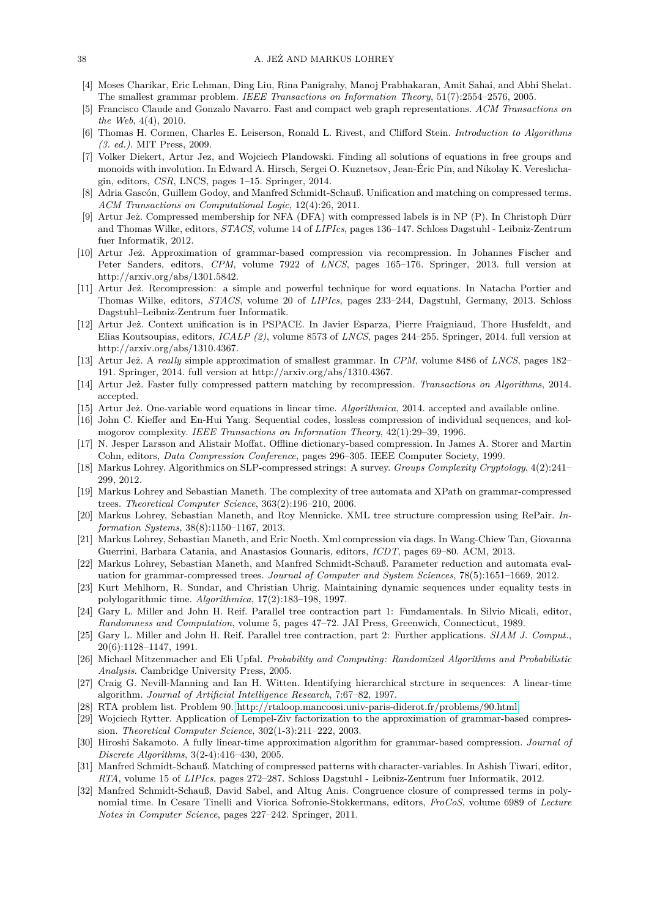- <span id="page-37-3"></span>[4] Moses Charikar, Eric Lehman, Ding Liu, Rina Panigrahy, Manoj Prabhakaran, Amit Sahai, and Abhi Shelat. The smallest grammar problem. *IEEE Transactions on Information Theory*, 51(7):2554–2576, 2005.
- <span id="page-37-9"></span>[5] Francisco Claude and Gonzalo Navarro. Fast and compact web graph representations. *ACM Transactions on the Web*, 4(4), 2010.
- <span id="page-37-26"></span>[6] Thomas H. Cormen, Charles E. Leiserson, Ronald L. Rivest, and Clifford Stein. *Introduction to Algorithms (3. ed.)*. MIT Press, 2009.
- <span id="page-37-19"></span>[7] Volker Diekert, Artur Jez, and Wojciech Plandowski. Finding all solutions of equations in free groups and monoids with involution. In Edward A. Hirsch, Sergei O. Kuznetsov, Jean-Éric Pin, and Nikolay K. Vereshchagin, editors, *CSR*, LNCS, pages 1–15. Springer, 2014.
- <span id="page-37-10"></span>[8] Adria Gascón, Guillem Godoy, and Manfred Schmidt-Schauß. Unification and matching on compressed terms. *ACM Transactions on Computational Logic*, 12(4):26, 2011.
- <span id="page-37-17"></span>[9] Artur Jeż. Compressed membership for NFA (DFA) with compressed labels is in NP (P). In Christoph Dürr and Thomas Wilke, editors, *STACS*, volume 14 of *LIPIcs*, pages 136–147. Schloss Dagstuhl - Leibniz-Zentrum fuer Informatik, 2012.
- <span id="page-37-4"></span>[10] Artur Jeż. Approximation of grammar-based compression via recompression. In Johannes Fischer and Peter Sanders, editors, *CPM*, volume 7922 of *LNCS*, pages 165–176. Springer, 2013. full version at http://arxiv.org/abs/1301.5842.
- <span id="page-37-21"></span>[11] Artur Jeż. Recompression: a simple and powerful technique for word equations. In Natacha Portier and Thomas Wilke, editors, *STACS*, volume 20 of *LIPIcs*, pages 233–244, Dagstuhl, Germany, 2013. Schloss Dagstuhl–Leibniz-Zentrum fuer Informatik.
- <span id="page-37-22"></span>[12] Artur Jeż. Context unification is in PSPACE. In Javier Esparza, Pierre Fraigniaud, Thore Husfeldt, and Elias Koutsoupias, editors, *ICALP (2)*, volume 8573 of *LNCS*, pages 244–255. Springer, 2014. full version at http://arxiv.org/abs/1310.4367.
- <span id="page-37-5"></span>[13] Artur Jeż. A *really* simple approximation of smallest grammar. In *CPM*, volume 8486 of *LNCS*, pages 182– 191. Springer, 2014. full version at http://arxiv.org/abs/1310.4367.
- <span id="page-37-18"></span>[14] Artur Jeż. Faster fully compressed pattern matching by recompression. *Transactions on Algorithms*, 2014. accepted.
- <span id="page-37-20"></span>[15] Artur Jeż. One-variable word equations in linear time. *Algorithmica*, 2014. accepted and available online.
- <span id="page-37-1"></span>[16] John C. Kieffer and En-Hui Yang. Sequential codes, lossless compression of individual sequences, and kolmogorov complexity. *IEEE Transactions on Information Theory*, 42(1):29–39, 1996.
- <span id="page-37-0"></span>[17] N. Jesper Larsson and Alistair Moffat. Offline dictionary-based compression. In James A. Storer and Martin Cohn, editors, *Data Compression Conference*, pages 296–305. IEEE Computer Society, 1999.
- <span id="page-37-8"></span>[18] Markus Lohrey. Algorithmics on SLP-compressed strings: A survey. *Groups Complexity Cryptology*, 4(2):241– 299, 2012.
- <span id="page-37-11"></span>[19] Markus Lohrey and Sebastian Maneth. The complexity of tree automata and XPath on grammar-compressed trees. *Theoretical Computer Science*, 363(2):196–210, 2006.
- <span id="page-37-15"></span>[20] Markus Lohrey, Sebastian Maneth, and Roy Mennicke. XML tree structure compression using RePair. *Information Systems*, 38(8):1150–1167, 2013.
- <span id="page-37-16"></span>[21] Markus Lohrey, Sebastian Maneth, and Eric Noeth. Xml compression via dags. In Wang-Chiew Tan, Giovanna Guerrini, Barbara Catania, and Anastasios Gounaris, editors, *ICDT*, pages 69–80. ACM, 2013.
- <span id="page-37-12"></span>[22] Markus Lohrey, Sebastian Maneth, and Manfred Schmidt-Schauß. Parameter reduction and automata evaluation for grammar-compressed trees. *Journal of Computer and System Sciences*, 78(5):1651–1669, 2012.
- <span id="page-37-28"></span>[23] Kurt Mehlhorn, R. Sundar, and Christian Uhrig. Maintaining dynamic sequences under equality tests in polylogarithmic time. *Algorithmica*, 17(2):183–198, 1997.
- <span id="page-37-24"></span>[24] Gary L. Miller and John H. Reif. Parallel tree contraction part 1: Fundamentals. In Silvio Micali, editor, *Randomness and Computation*, volume 5, pages 47–72. JAI Press, Greenwich, Connecticut, 1989.
- <span id="page-37-25"></span>[25] Gary L. Miller and John H. Reif. Parallel tree contraction, part 2: Further applications. *SIAM J. Comput.*, 20(6):1128–1147, 1991.
- <span id="page-37-27"></span>[26] Michael Mitzenmacher and Eli Upfal. *Probability and Computing: Randomized Algorithms and Probabilistic Analysis*. Cambridge University Press, 2005.
- <span id="page-37-2"></span>[27] Craig G. Nevill-Manning and Ian H. Witten. Identifying hierarchical strcture in sequences: A linear-time algorithm. *Journal of Artificial Intelligence Research*, 7:67–82, 1997.
- <span id="page-37-23"></span>[28] RTA problem list. Problem 90. [http://rtaloop.mancoosi.univ-paris-diderot.fr/problems/90.html.](http://rtaloop.mancoosi.univ-paris-diderot.fr/problems/90.html)
- <span id="page-37-6"></span>[29] Wojciech Rytter. Application of Lempel-Ziv factorization to the approximation of grammar-based compression. *Theoretical Computer Science*, 302(1-3):211–222, 2003.
- <span id="page-37-7"></span>[30] Hiroshi Sakamoto. A fully linear-time approximation algorithm for grammar-based compression. *Journal of Discrete Algorithms*, 3(2-4):416–430, 2005.
- <span id="page-37-13"></span>[31] Manfred Schmidt-Schauß. Matching of compressed patterns with character-variables. In Ashish Tiwari, editor, *RTA*, volume 15 of *LIPIcs*, pages 272–287. Schloss Dagstuhl - Leibniz-Zentrum fuer Informatik, 2012.
- <span id="page-37-14"></span>[32] Manfred Schmidt-Schauß, David Sabel, and Altug Anis. Congruence closure of compressed terms in polynomial time. In Cesare Tinelli and Viorica Sofronie-Stokkermans, editors, *FroCoS*, volume 6989 of *Lecture Notes in Computer Science*, pages 227–242. Springer, 2011.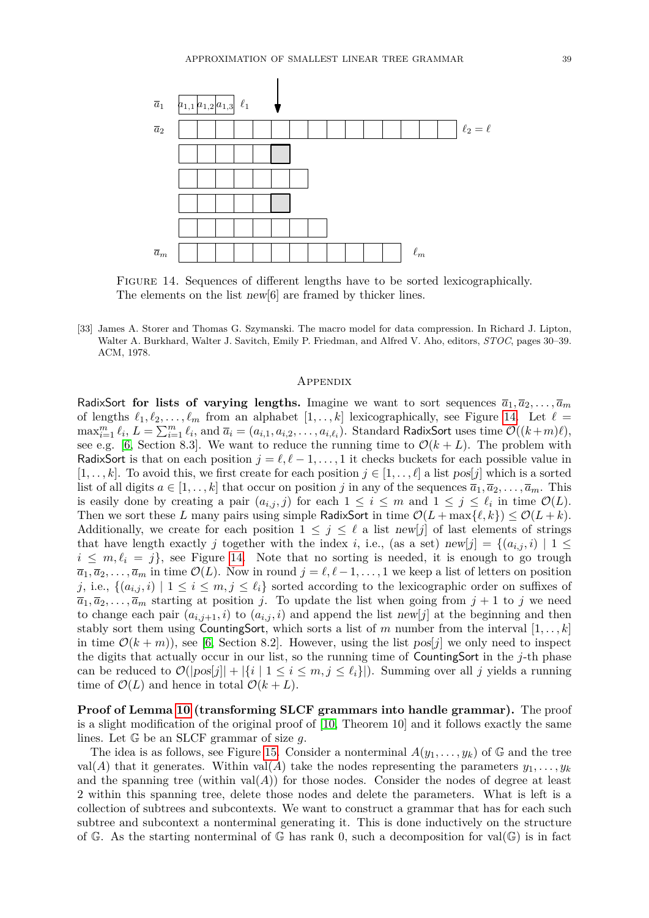

Figure 14. Sequences of different lengths have to be sorted lexicographically. The elements on the list new[6] are framed by thicker lines.

<span id="page-38-0"></span>[33] James A. Storer and Thomas G. Szymanski. The macro model for data compression. In Richard J. Lipton, Walter A. Burkhard, Walter J. Savitch, Emily P. Friedman, and Alfred V. Aho, editors, *STOC*, pages 30–39. ACM, 1978.

#### <span id="page-38-1"></span>**APPENDIX**

RadixSort for lists of varying lengths. Imagine we want to sort sequences  $\bar{a}_1, \bar{a}_2, \ldots, \bar{a}_m$ of lengths  $\ell_1, \ell_2, \ldots, \ell_m$  from an alphabet  $[1, \ldots, k]$  lexicographically, see Figure [14.](#page-38-1) Let  $\ell =$  $\max_{i=1}^m \ell_i$ ,  $L = \sum_{i=1}^m \ell_i$ , and  $\overline{a}_i = (a_{i,1}, a_{i,2}, \ldots, a_{i,\ell_i})$ . Standard RadixSort uses time  $\mathcal{O}((k+m)\ell)$ , see e.g. [\[6,](#page-37-26) Section 8.3]. We want to reduce the running time to  $\mathcal{O}(k+L)$ . The problem with RadixSort is that on each position  $j = \ell, \ell - 1, \ldots, 1$  it checks buckets for each possible value in  $[1, \ldots, k]$ . To avoid this, we first create for each position  $j \in [1, \ldots, \ell]$  a list pos[*j*] which is a sorted list of all digits  $a \in [1, \ldots, k]$  that occur on position *j* in any of the sequences  $\overline{a}_1, \overline{a}_2, \ldots, \overline{a}_m$ . This is easily done by creating a pair  $(a_{i,j}, j)$  for each  $1 \leq i \leq m$  and  $1 \leq j \leq \ell_i$  in time  $\mathcal{O}(L)$ . Then we sort these *L* many pairs using simple RadixSort in time  $\mathcal{O}(L + \max\{\ell, k\}) \leq \mathcal{O}(L + k)$ . Additionally, we create for each position  $1 \leq j \leq \ell$  a list new[j] of last elements of strings that have length exactly *j* together with the index *i*, i.e., (as a set) new[j] = { $(a_{i,j}, i)$  | 1 ≤  $i \leq m, \ell_i = j$ , see Figure [14.](#page-38-1) Note that no sorting is needed, it is enough to go trough  $\overline{a_1}, \overline{a_2}, \ldots, \overline{a_m}$  in time  $\mathcal{O}(L)$ . Now in round  $j = \ell, \ell - 1, \ldots, 1$  we keep a list of letters on position *j*, i.e.,  $\{(a_{i,j}, i) \mid 1 \leq i \leq m, j \leq \ell_i\}$  sorted according to the lexicographic order on suffixes of  $\overline{a_1}, \overline{a_2}, \ldots, \overline{a_m}$  starting at position *j*. To update the list when going from  $j + 1$  to *j* we need to change each pair  $(a_{i,j+1}, i)$  to  $(a_{i,j}, i)$  and append the list new[j] at the beginning and then stably sort them using CountingSort, which sorts a list of  $m$  number from the interval  $[1, \ldots, k]$ in time  $\mathcal{O}(k+m)$ , see [\[6,](#page-37-26) Section 8.2]. However, using the list pos[*j*] we only need to inspect the digits that actually occur in our list, so the running time of CountingSort in the *j*-th phase can be reduced to  $\mathcal{O}(|pos[j]| + |\{i \mid 1 \le i \le m, j \le \ell_i\}|)$ . Summing over all *j* yields a running time of  $\mathcal{O}(L)$  and hence in total  $\mathcal{O}(k+L)$ .

**Proof of Lemma [10](#page-15-1) (transforming SLCF grammars into handle grammar).** The proof is a slight modification of the original proof of [\[10,](#page-37-4) Theorem 10] and it follows exactly the same lines. Let G be an SLCF grammar of size *g*.

The idea is as follows, see Figure [15.](#page-39-0) Consider a nonterminal  $A(y_1, \ldots, y_k)$  of G and the tree val(*A*) that it generates. Within val(*A*) take the nodes representing the parameters  $y_1, \ldots, y_k$ and the spanning tree (within  $val(A)$ ) for those nodes. Consider the nodes of degree at least 2 within this spanning tree, delete those nodes and delete the parameters. What is left is a collection of subtrees and subcontexts. We want to construct a grammar that has for each such subtree and subcontext a nonterminal generating it. This is done inductively on the structure of G. As the starting nonterminal of G has rank 0, such a decomposition for  $val(\mathbb{G})$  is in fact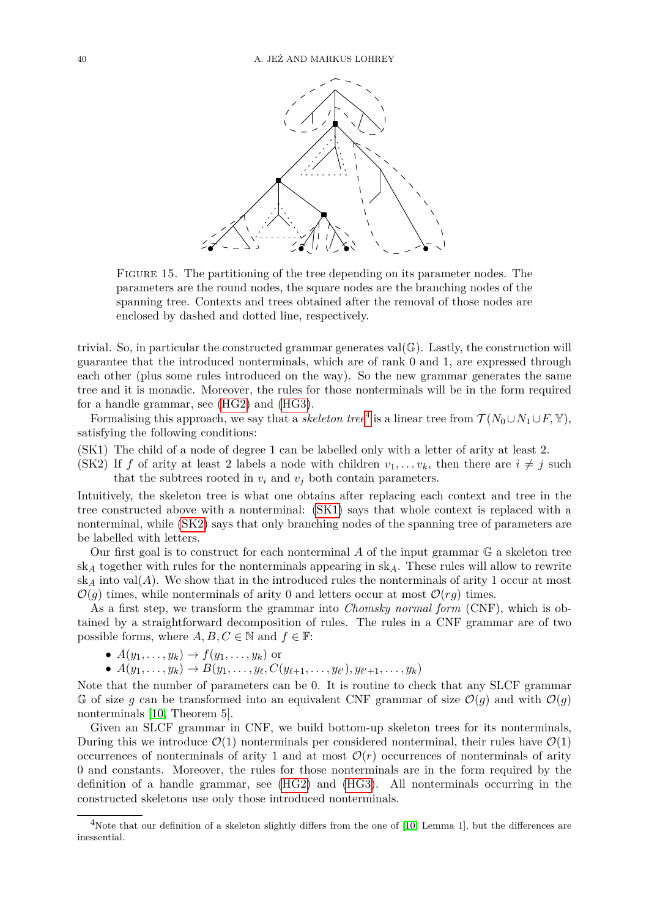<span id="page-39-0"></span>

Figure 15. The partitioning of the tree depending on its parameter nodes. The parameters are the round nodes, the square nodes are the branching nodes of the spanning tree. Contexts and trees obtained after the removal of those nodes are enclosed by dashed and dotted line, respectively.

trivial. So, in particular the constructed grammar generates val $(\mathbb{G})$ . Lastly, the construction will guarantee that the introduced nonterminals, which are of rank 0 and 1, are expressed through each other (plus some rules introduced on the way). So the new grammar generates the same tree and it is monadic. Moreover, the rules for those nonterminals will be in the form required for a handle grammar, see [\(HG2\)](#page-15-3) and [\(HG3\)](#page-15-2).

Formalising this approach, we say that a *skeleton tree*<sup>[4](#page-39-1)</sup> is a linear tree from  $\mathcal{T}(N_0 \cup N_1 \cup F, \mathbb{Y})$ , satisfying the following conditions:

- <span id="page-39-2"></span>(SK1) The child of a node of degree 1 can be labelled only with a letter of arity at least 2.
- <span id="page-39-3"></span>(SK2) If *f* of arity at least 2 labels a node with children  $v_1, \ldots v_k$ , then there are  $i \neq j$  such that the subtrees rooted in  $v_i$  and  $v_j$  both contain parameters.

Intuitively, the skeleton tree is what one obtains after replacing each context and tree in the tree constructed above with a nonterminal: [\(SK1\)](#page-39-2) says that whole context is replaced with a nonterminal, while [\(SK2\)](#page-39-3) says that only branching nodes of the spanning tree of parameters are be labelled with letters.

Our first goal is to construct for each nonterminal *A* of the input grammar G a skeleton tree sk*<sup>A</sup>* together with rules for the nonterminals appearing in sk*A*. These rules will allow to rewrite  $sk_A$  into val $(A)$ . We show that in the introduced rules the nonterminals of arity 1 occur at most  $\mathcal{O}(g)$  times, while nonterminals of arity 0 and letters occur at most  $\mathcal{O}(rg)$  times.

As a first step, we transform the grammar into *Chomsky normal form* (CNF), which is obtained by a straightforward decomposition of rules. The rules in a CNF grammar are of two possible forms, where  $A, B, C \in \mathbb{N}$  and  $f \in \mathbb{F}$ :

- $A(y_1, \ldots, y_k) \rightarrow f(y_1, \ldots, y_k)$  or
- $A(y_1, \ldots, y_k)$  →  $B(y_1, \ldots, y_\ell, C(y_{\ell+1}, \ldots, y_{\ell'}), y_{\ell'+1}, \ldots, y_k)$

Note that the number of parameters can be 0. It is routine to check that any SLCF grammar G of size g can be transformed into an equivalent CNF grammar of size  $\mathcal{O}(q)$  and with  $\mathcal{O}(q)$ nonterminals [\[10,](#page-37-4) Theorem 5].

Given an SLCF grammar in CNF, we build bottom-up skeleton trees for its nonterminals, During this we introduce  $\mathcal{O}(1)$  nonterminals per considered nonterminal, their rules have  $\mathcal{O}(1)$ occurrences of nonterminals of arity 1 and at most  $\mathcal{O}(r)$  occurrences of nonterminals of arity 0 and constants. Moreover, the rules for those nonterminals are in the form required by the definition of a handle grammar, see [\(HG2\)](#page-15-3) and [\(HG3\)](#page-15-2). All nonterminals occurring in the constructed skeletons use only those introduced nonterminals.

<span id="page-39-1"></span><sup>&</sup>lt;sup>4</sup>Note that our definition of a skeleton slightly differs from the one of [\[10,](#page-37-4) Lemma 1], but the differences are inessential.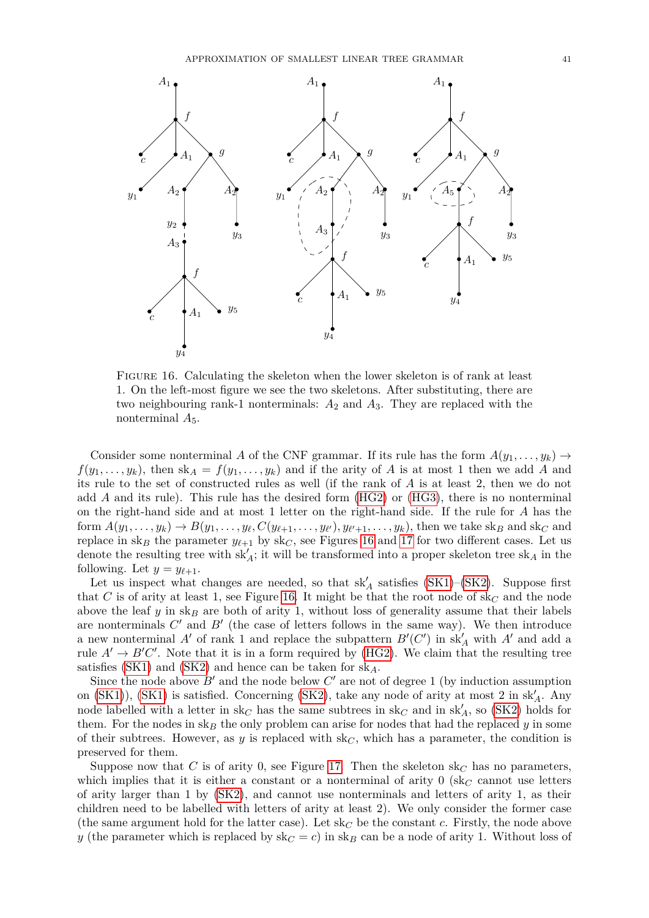

<span id="page-40-0"></span>Figure 16. Calculating the skeleton when the lower skeleton is of rank at least 1. On the left-most figure we see the two skeletons. After substituting, there are two neighbouring rank-1 nonterminals: *A*<sup>2</sup> and *A*3. They are replaced with the nonterminal *A*5.

Consider some nonterminal *A* of the CNF grammar. If its rule has the form  $A(y_1, \ldots, y_k) \rightarrow$  $f(y_1, \ldots, y_k)$ , then sk<sub>*A*</sub> =  $f(y_1, \ldots, y_k)$  and if the arity of *A* is at most 1 then we add *A* and its rule to the set of constructed rules as well (if the rank of *A* is at least 2, then we do not add *A* and its rule). This rule has the desired form [\(HG2\)](#page-15-3) or [\(HG3\)](#page-15-2), there is no nonterminal on the right-hand side and at most 1 letter on the right-hand side. If the rule for *A* has the form  $A(y_1,\ldots,y_k) \to B(y_1,\ldots,y_\ell,C(y_{\ell+1},\ldots,y_{\ell'}),y_{\ell'+1},\ldots,y_k)$ , then we take sk<sub>B</sub> and sk<sub>C</sub> and replace in sk<sub>*B*</sub> the parameter  $y_{\ell+1}$  by sk<sub>*C*</sub>, see Figures [16](#page-40-0) and [17](#page-41-0) for two different cases. Let us denote the resulting tree with  $sk'_{A}$ ; it will be transformed into a proper skeleton tree  $sk_{A}$  in the following. Let  $y = y_{\ell+1}$ .

Let us inspect what changes are needed, so that  $sk'_A$  satisfies [\(SK1\)](#page-39-2)–[\(SK2\)](#page-39-3). Suppose first that *C* is of arity at least 1, see Figure [16.](#page-40-0) It might be that the root node of sk*<sup>C</sup>* and the node above the leaf *y* in sk<sub>*B*</sub> are both of arity 1, without loss of generality assume that their labels are nonterminals  $C'$  and  $B'$  (the case of letters follows in the same way). We then introduce a new nonterminal  $A'$  of rank 1 and replace the subpattern  $B'(C')$  in  $sk'_{A}$  with  $A'$  and add a rule  $A' \to B'C'$ . Note that it is in a form required by [\(HG2\)](#page-15-3). We claim that the resulting tree satisfies [\(SK1\)](#page-39-2) and [\(SK2\)](#page-39-3) and hence can be taken for sk*A*.

Since the node above  $B'$  and the node below  $C'$  are not of degree 1 (by induction assumption on [\(SK1\)](#page-39-2)), (SK1) is satisfied. Concerning [\(SK2\)](#page-39-3), take any node of arity at most 2 in sk<sub>A</sub>. Any node labelled with a letter in  $sk_C$  has the same subtrees in  $sk_C$  and in  $sk_A'$ , so [\(SK2\)](#page-39-3) holds for them. For the nodes in sk<sub>B</sub> the only problem can arise for nodes that had the replaced  $y$  in some of their subtrees. However, as  $y$  is replaced with  $sk_C$ , which has a parameter, the condition is preserved for them.

Suppose now that *C* is of arity 0, see Figure [17.](#page-41-0) Then the skeleton  $sk<sub>C</sub>$  has no parameters, which implies that it is either a constant or a nonterminal of arity  $0$  (sk<sub>C</sub> cannot use letters of arity larger than 1 by [\(SK2\)](#page-39-3), and cannot use nonterminals and letters of arity 1, as their children need to be labelled with letters of arity at least 2). We only consider the former case (the same argument hold for the latter case). Let  $sk_C$  be the constant *c*. Firstly, the node above *y* (the parameter which is replaced by  $sk_C = c$ ) in  $sk_B$  can be a node of arity 1. Without loss of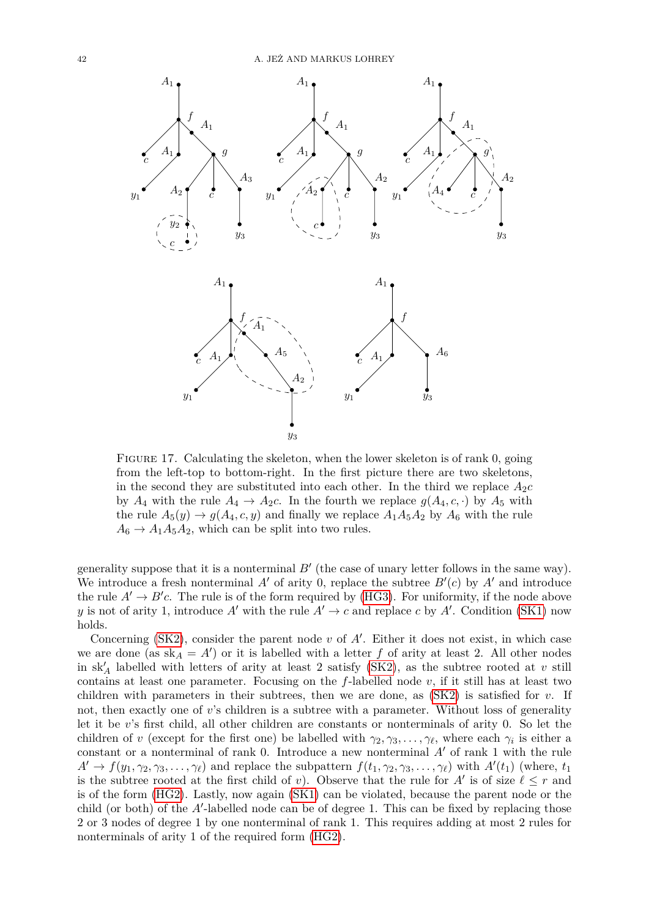

<span id="page-41-0"></span>FIGURE 17. Calculating the skeleton, when the lower skeleton is of rank 0, going from the left-top to bottom-right. In the first picture there are two skeletons, in the second they are substituted into each other. In the third we replace  $A_2c$ by  $A_4$  with the rule  $A_4 \rightarrow A_2c$ . In the fourth we replace  $g(A_4, c, \cdot)$  by  $A_5$  with the rule  $A_5(y) \rightarrow g(A_4, c, y)$  and finally we replace  $A_1A_5A_2$  by  $A_6$  with the rule  $A_6 \rightarrow A_1 A_5 A_2$ , which can be split into two rules.

generality suppose that it is a nonterminal  $B'$  (the case of unary letter follows in the same way). We introduce a fresh nonterminal  $A'$  of arity 0, replace the subtree  $B'(c)$  by  $A'$  and introduce the rule  $A' \rightarrow B'c$ . The rule is of the form required by [\(HG3\)](#page-15-2). For uniformity, if the node above *y* is not of arity 1, introduce *A'* with the rule  $A' \to c$  and replace *c* by *A'*. Condition [\(SK1\)](#page-39-2) now holds.

Concerning [\(SK2\)](#page-39-3), consider the parent node  $v$  of  $A'$ . Either it does not exist, in which case we are done (as  $sk_A = A'$ ) or it is labelled with a letter f of arity at least 2. All other nodes in  $sk'_A$  labelled with letters of arity at least 2 satisfy [\(SK2\)](#page-39-3), as the subtree rooted at  $v$  still contains at least one parameter. Focusing on the  $f$ -labelled node  $v$ , if it still has at least two children with parameters in their subtrees, then we are done, as [\(SK2\)](#page-39-3) is satisfied for *v*. If not, then exactly one of *v*'s children is a subtree with a parameter. Without loss of generality let it be *v*'s first child, all other children are constants or nonterminals of arity 0. So let the children of *v* (except for the first one) be labelled with  $\gamma_2, \gamma_3, \ldots, \gamma_\ell$ , where each  $\gamma_i$  is either a constant or a nonterminal of rank 0. Introduce a new nonterminal  $A'$  of rank 1 with the rule  $A' \rightarrow f(y_1, \gamma_2, \gamma_3, \ldots, \gamma_\ell)$  and replace the subpattern  $f(t_1, \gamma_2, \gamma_3, \ldots, \gamma_\ell)$  with  $A'(t_1)$  (where,  $t_1$ ) is the subtree rooted at the first child of *v*). Observe that the rule for  $A'$  is of size  $\ell \leq r$  and is of the form [\(HG2\)](#page-15-3). Lastly, now again [\(SK1\)](#page-39-2) can be violated, because the parent node or the child (or both) of the  $A'$ -labelled node can be of degree 1. This can be fixed by replacing those 2 or 3 nodes of degree 1 by one nonterminal of rank 1. This requires adding at most 2 rules for nonterminals of arity 1 of the required form [\(HG2\)](#page-15-3).